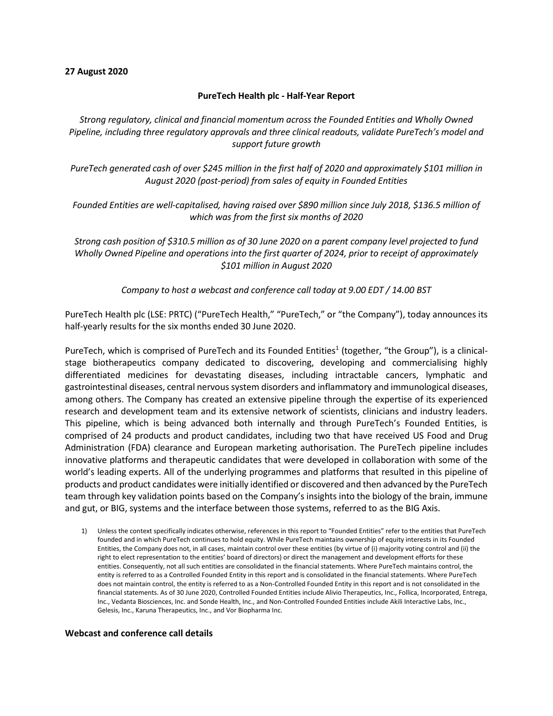#### **27 August 2020**

#### **PureTech Health plc - Half-Year Report**

*Strong regulatory, clinical and financial momentum across the Founded Entities and Wholly Owned Pipeline, including three regulatory approvals and three clinical readouts, validate PureTech's model and support future growth*

*PureTech generated cash of over \$245 million in the first half of 2020 and approximately \$101 million in August 2020 (post-period) from sales of equity in Founded Entities*

*Founded Entities are well-capitalised, having raised over \$890 million since July 2018, \$136.5 million of which was from the first six months of 2020*

*Strong cash position of \$310.5 million as of 30 June 2020 on a parent company level projected to fund Wholly Owned Pipeline and operations into the first quarter of 2024, prior to receipt of approximately \$101 million in August 2020*

*Company to host a webcast and conference call today at 9.00 EDT / 14.00 BST*

PureTech Health plc (LSE: PRTC) ("PureTech Health," "PureTech," or "the Company"), today announces its half-yearly results for the six months ended 30 June 2020.

PureTech, which is comprised of PureTech and its Founded Entities<sup>1</sup> (together, "the Group"), is a clinicalstage biotherapeutics company dedicated to discovering, developing and commercialising highly differentiated medicines for devastating diseases, including intractable cancers, lymphatic and gastrointestinal diseases, central nervous system disorders and inflammatory and immunological diseases, among others. The Company has created an extensive pipeline through the expertise of its experienced research and development team and its extensive network of scientists, clinicians and industry leaders. This pipeline, which is being advanced both internally and through PureTech's Founded Entities, is comprised of 24 products and product candidates, including two that have received US Food and Drug Administration (FDA) clearance and European marketing authorisation. The PureTech pipeline includes innovative platforms and therapeutic candidates that were developed in collaboration with some of the world's leading experts. All of the underlying programmes and platforms that resulted in this pipeline of products and product candidates were initially identified or discovered and then advanced by the PureTech team through key validation points based on the Company's insights into the biology of the brain, immune and gut, or BIG, systems and the interface between those systems, referred to as the BIG Axis.

1) Unless the context specifically indicates otherwise, references in this report to "Founded Entities" refer to the entities that PureTech founded and in which PureTech continues to hold equity. While PureTech maintains ownership of equity interests in its Founded Entities, the Company does not, in all cases, maintain control over these entities (by virtue of (i) majority voting control and (ii) the right to elect representation to the entities' board of directors) or direct the management and development efforts for these entities. Consequently, not all such entities are consolidated in the financial statements. Where PureTech maintains control, the entity is referred to as a Controlled Founded Entity in this report and is consolidated in the financial statements. Where PureTech does not maintain control, the entity is referred to as a Non-Controlled Founded Entity in this report and is not consolidated in the financial statements. As of 30 June 2020, Controlled Founded Entities include Alivio Therapeutics, Inc., Follica, Incorporated, Entrega, Inc., Vedanta Biosciences, Inc. and Sonde Health, Inc., and Non-Controlled Founded Entities include Akili Interactive Labs, Inc., Gelesis, Inc., Karuna Therapeutics, Inc., and Vor Biopharma Inc.

#### **Webcast and conference call details**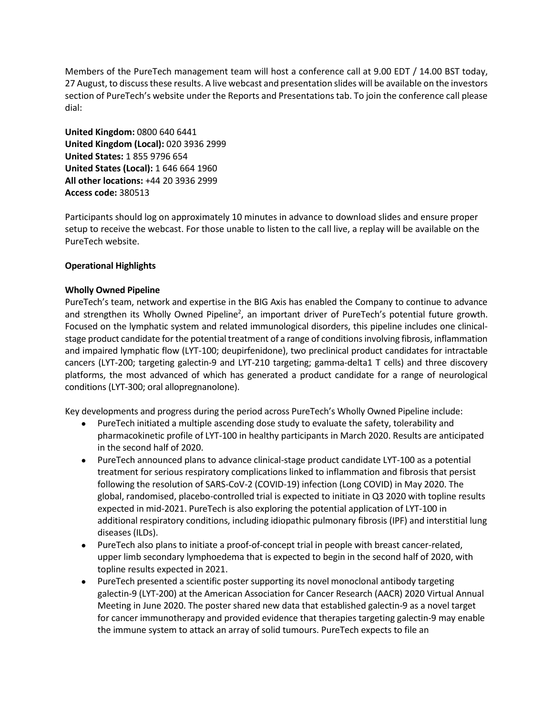Members of the PureTech management team will host a conference call at 9.00 EDT / 14.00 BST today, 27 August, to discuss these results. A live webcast and presentation slides will be available on the investors section of PureTech's website under the Reports and Presentations tab. To join the conference call please dial:

**United Kingdom:** 0800 640 6441 **United Kingdom (Local):** 020 3936 2999 **United States:** 1 855 9796 654 **United States (Local):** 1 646 664 1960 **All other locations:** +44 20 3936 2999 **Access code:** 380513

Participants should log on approximately 10 minutes in advance to download slides and ensure proper setup to receive the webcast. For those unable to listen to the call live, a replay will be available on the PureTech website.

# **Operational Highlights**

# **Wholly Owned Pipeline**

PureTech's team, network and expertise in the BIG Axis has enabled the Company to continue to advance and strengthen its Wholly Owned Pipeline<sup>2</sup>, an important driver of PureTech's potential future growth. Focused on the lymphatic system and related immunological disorders, this pipeline includes one clinicalstage product candidate for the potential treatment of a range of conditions involving fibrosis, inflammation and impaired lymphatic flow (LYT-100; deupirfenidone), two preclinical product candidates for intractable cancers (LYT-200; targeting galectin-9 and LYT-210 targeting; gamma-delta1 T cells) and three discovery platforms, the most advanced of which has generated a product candidate for a range of neurological conditions (LYT-300; oral allopregnanolone).

Key developments and progress during the period across PureTech's Wholly Owned Pipeline include:

- PureTech initiated a multiple ascending dose study to evaluate the safety, tolerability and pharmacokinetic profile of LYT-100 in healthy participants in March 2020. Results are anticipated in the second half of 2020.
- PureTech announced plans to advance clinical-stage product candidate LYT-100 as a potential treatment for serious respiratory complications linked to inflammation and fibrosis that persist following the resolution of SARS-CoV-2 (COVID-19) infection (Long COVID) in May 2020. The global, randomised, placebo-controlled trial is expected to initiate in Q3 2020 with topline results expected in mid-2021. PureTech is also exploring the potential application of LYT-100 in additional respiratory conditions, including idiopathic pulmonary fibrosis (IPF) and interstitial lung diseases (ILDs).
- PureTech also plans to initiate a proof-of-concept trial in people with breast cancer-related, upper limb secondary lymphoedema that is expected to begin in the second half of 2020, with topline results expected in 2021.
- PureTech presented a scientific poster supporting its novel monoclonal antibody targeting galectin-9 (LYT-200) at the American Association for Cancer Research (AACR) 2020 Virtual Annual Meeting in June 2020. The poster shared new data that established galectin-9 as a novel target for cancer immunotherapy and provided evidence that therapies targeting galectin-9 may enable the immune system to attack an array of solid tumours. PureTech expects to file an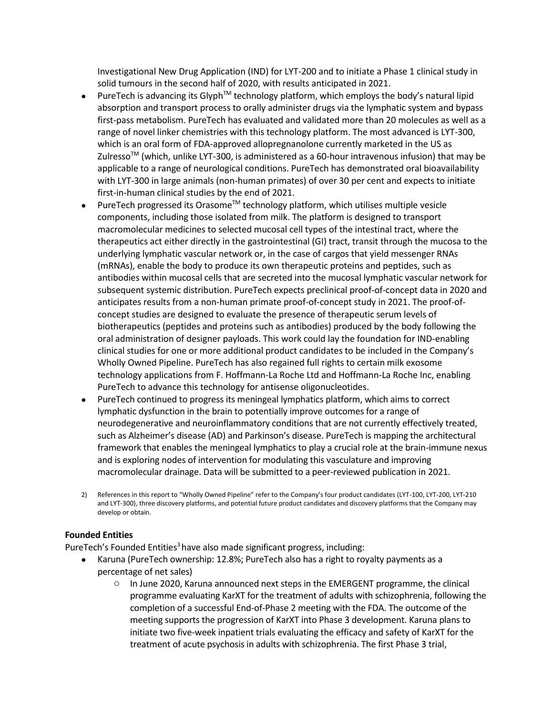Investigational New Drug Application (IND) for LYT-200 and to initiate a Phase 1 clinical study in solid tumours in the second half of 2020, with results anticipated in 2021.

- PureTech is advancing its Glyph<sup>TM</sup> technology platform, which employs the body's natural lipid absorption and transport process to orally administer drugs via the lymphatic system and bypass first-pass metabolism. PureTech has evaluated and validated more than 20 molecules as well as a range of novel linker chemistries with this technology platform. The most advanced is LYT-300, which is an oral form of FDA-approved allopregnanolone currently marketed in the US as Zulresso<sup>TM</sup> (which, unlike LYT-300, is administered as a 60-hour intravenous infusion) that may be applicable to a range of neurological conditions. PureTech has demonstrated oral bioavailability with LYT-300 in large animals (non-human primates) of over 30 per cent and expects to initiate first-in-human clinical studies by the end of 2021.
- PureTech progressed its Orasome<sup>TM</sup> technology platform, which utilises multiple vesicle components, including those isolated from milk. The platform is designed to transport macromolecular medicines to selected mucosal cell types of the intestinal tract, where the therapeutics act either directly in the gastrointestinal (GI) tract, transit through the mucosa to the underlying lymphatic vascular network or, in the case of cargos that yield messenger RNAs (mRNAs), enable the body to produce its own therapeutic proteins and peptides, such as antibodies within mucosal cells that are secreted into the mucosal lymphatic vascular network for subsequent systemic distribution. PureTech expects preclinical proof-of-concept data in 2020 and anticipates results from a non-human primate proof-of-concept study in 2021. The proof-ofconcept studies are designed to evaluate the presence of therapeutic serum levels of biotherapeutics (peptides and proteins such as antibodies) produced by the body following the oral administration of designer payloads. This work could lay the foundation for IND-enabling clinical studies for one or more additional product candidates to be included in the Company's Wholly Owned Pipeline. PureTech has also regained full rights to certain milk exosome technology applications from F. Hoffmann-La Roche Ltd and Hoffmann-La Roche Inc, enabling PureTech to advance this technology for antisense oligonucleotides.
- PureTech continued to progress its meningeal lymphatics platform, which aims to correct lymphatic dysfunction in the brain to potentially improve outcomes for a range of neurodegenerative and neuroinflammatory conditions that are not currently effectively treated, such as Alzheimer's disease (AD) and Parkinson's disease. PureTech is mapping the architectural framework that enables the meningeal lymphatics to play a crucial role at the brain-immune nexus and is exploring nodes of intervention for modulating this vasculature and improving macromolecular drainage. Data will be submitted to a peer-reviewed publication in 2021.
- 2) References in this report to "Wholly Owned Pipeline" refer to the Company's four product candidates (LYT-100, LYT-200, LYT-210 and LYT-300), three discovery platforms, and potential future product candidates and discovery platforms that the Company may develop or obtain.

# **Founded Entities**

PureTech's Founded Entities<sup>3</sup> have also made significant progress, including:

- Karuna (PureTech ownership: 12.8%; PureTech also has a right to royalty payments as a percentage of net sales)
	- $\circ$  In June 2020, Karuna announced next steps in the EMERGENT programme, the clinical programme evaluating KarXT for the treatment of adults with schizophrenia, following the completion of a successful End-of-Phase 2 meeting with the FDA. The outcome of the meeting supports the progression of KarXT into Phase 3 development. Karuna plans to initiate two five-week inpatient trials evaluating the efficacy and safety of KarXT for the treatment of acute psychosis in adults with schizophrenia. The first Phase 3 trial,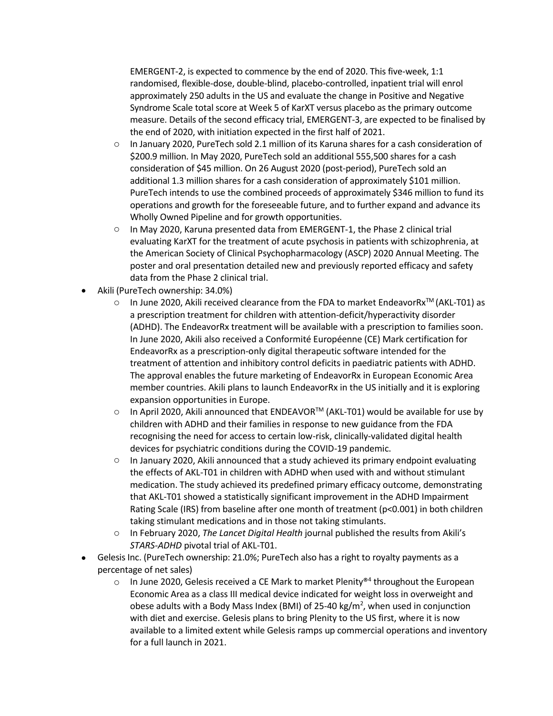EMERGENT-2, is expected to commence by the end of 2020. This five-week, 1:1 randomised, flexible-dose, double-blind, placebo-controlled, inpatient trial will enrol approximately 250 adults in the US and evaluate the change in Positive and Negative Syndrome Scale total score at Week 5 of KarXT versus placebo as the primary outcome measure. Details of the second efficacy trial, EMERGENT-3, are expected to be finalised by the end of 2020, with initiation expected in the first half of 2021.

- o In January 2020, PureTech sold 2.1 million of its Karuna shares for a cash consideration of \$200.9 million. In May 2020, PureTech sold an additional 555,500 shares for a cash consideration of \$45 million. On 26 August 2020 (post-period), PureTech sold an additional 1.3 million shares for a cash consideration of approximately \$101 million. PureTech intends to use the combined proceeds of approximately \$346 million to fund its operations and growth for the foreseeable future, and to further expand and advance its Wholly Owned Pipeline and for growth opportunities.
- o In May 2020, Karuna presented data from EMERGENT-1, the Phase 2 clinical trial evaluating KarXT for the treatment of acute psychosis in patients with schizophrenia, at the American Society of Clinical Psychopharmacology (ASCP) 2020 Annual Meeting. The poster and oral presentation detailed new and previously reported efficacy and safety data from the Phase 2 clinical trial.
- Akili (PureTech ownership: 34.0%)
	- $\circ$  In June 2020, Akili received clearance from the FDA to market EndeavorRx<sup>TM</sup> (AKL-T01) as a prescription treatment for children with attention-deficit/hyperactivity disorder (ADHD). The EndeavorRx treatment will be available with a prescription to families soon. In June 2020, Akili also received a Conformité Européenne (CE) Mark certification for EndeavorRx as a prescription-only digital therapeutic software intended for the treatment of attention and inhibitory control deficits in paediatric patients with ADHD. The approval enables the future marketing of EndeavorRx in European Economic Area member countries. Akili plans to launch EndeavorRx in the US initially and it is exploring expansion opportunities in Europe.
	- o In April 2020, Akili announced that ENDEAVOR™ (AKL-T01) would be available for use by children with ADHD and their families in response to new guidance from the FDA recognising the need for access to certain low-risk, clinically-validated digital health devices for psychiatric conditions during the COVID-19 pandemic.
	- $\circ$  In January 2020, Akili announced that a study achieved its primary endpoint evaluating the effects of AKL-T01 in children with ADHD when used with and without stimulant medication. The study achieved its predefined primary efficacy outcome, demonstrating that AKL-T01 showed a statistically significant improvement in the ADHD Impairment Rating Scale (IRS) from baseline after one month of treatment (p<0.001) in both children taking stimulant medications and in those not taking stimulants.
	- o In February 2020, *The Lancet Digital Health* journal published the results from Akili's *STARS-ADHD* pivotal trial of AKL-T01.
- Gelesis Inc. (PureTech ownership: 21.0%; PureTech also has a right to royalty payments as a percentage of net sales)
	- $\circ$  In June 2020, Gelesis received a CE Mark to market Plenity®<sup>4</sup> throughout the European Economic Area as a class III medical device indicated for weight loss in overweight and obese adults with a Body Mass Index (BMI) of 25-40 kg/m<sup>2</sup>, when used in conjunction with diet and exercise. Gelesis plans to bring Plenity to the US first, where it is now available to a limited extent while Gelesis ramps up commercial operations and inventory for a full launch in 2021.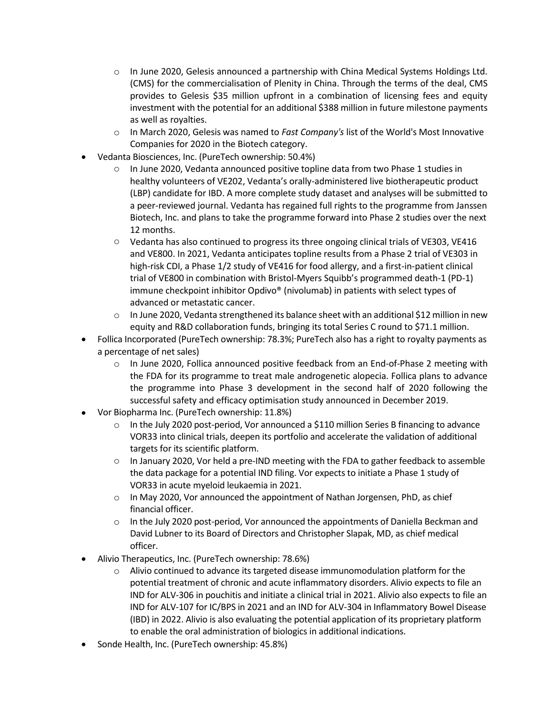- $\circ$  In June 2020, Gelesis announced a partnership with China Medical Systems Holdings Ltd. (CMS) for the commercialisation of Plenity in China. Through the terms of the deal, CMS provides to Gelesis \$35 million upfront in a combination of licensing fees and equity investment with the potential for an additional \$388 million in future milestone payments as well as royalties.
- o In March 2020, Gelesis was named to *Fast Company's* list of the World's Most Innovative Companies for 2020 in the Biotech category.
- Vedanta Biosciences, Inc. (PureTech ownership: 50.4%)
	- $\circ$  In June 2020, Vedanta announced positive topline data from two Phase 1 studies in healthy volunteers of VE202, Vedanta's orally-administered live biotherapeutic product (LBP) candidate for IBD. A more complete study dataset and analyses will be submitted to a peer-reviewed journal. Vedanta has regained full rights to the programme from Janssen Biotech, Inc. and plans to take the programme forward into Phase 2 studies over the next 12 months.
	- o Vedanta has also continued to progress its three ongoing clinical trials of VE303, VE416 and VE800. In 2021, Vedanta anticipates topline results from a Phase 2 trial of VE303 in high-risk CDI, a Phase 1/2 study of VE416 for food allergy, and a first-in-patient clinical trial of VE800 in combination with Bristol-Myers Squibb's programmed death-1 (PD-1) immune checkpoint inhibitor Opdivo® (nivolumab) in patients with select types of advanced or metastatic cancer.
	- $\circ$  In June 2020, Vedanta strengthened its balance sheet with an additional \$12 million in new equity and R&D collaboration funds, bringing its total Series C round to \$71.1 million.
- Follica Incorporated (PureTech ownership: 78.3%; PureTech also has a right to royalty payments as a percentage of net sales)
	- $\circ$  In June 2020, Follica announced positive feedback from an End-of-Phase 2 meeting with the FDA for its programme to treat male androgenetic alopecia. Follica plans to advance the programme into Phase 3 development in the second half of 2020 following the successful safety and efficacy optimisation study announced in December 2019.
- Vor Biopharma Inc. (PureTech ownership: 11.8%)
	- $\circ$  In the July 2020 post-period, Vor announced a \$110 million Series B financing to advance VOR33 into clinical trials, deepen its portfolio and accelerate the validation of additional targets for its scientific platform.
	- $\circ$  In January 2020, Vor held a pre-IND meeting with the FDA to gather feedback to assemble the data package for a potential IND filing. Vor expects to initiate a Phase 1 study of VOR33 in acute myeloid leukaemia in 2021.
	- o In May 2020, Vor announced the appointment of Nathan Jorgensen, PhD, as chief financial officer.
	- $\circ$  In the July 2020 post-period, Vor announced the appointments of Daniella Beckman and David Lubner to its Board of Directors and Christopher Slapak, MD, as chief medical officer.
- Alivio Therapeutics, Inc. (PureTech ownership: 78.6%)
	- $\circ$  Alivio continued to advance its targeted disease immunomodulation platform for the potential treatment of chronic and acute inflammatory disorders. Alivio expects to file an IND for ALV-306 in pouchitis and initiate a clinical trial in 2021. Alivio also expects to file an IND for ALV-107 for IC/BPS in 2021 and an IND for ALV-304 in Inflammatory Bowel Disease (IBD) in 2022. Alivio is also evaluating the potential application of its proprietary platform to enable the oral administration of biologics in additional indications.
- Sonde Health, Inc. (PureTech ownership: 45.8%)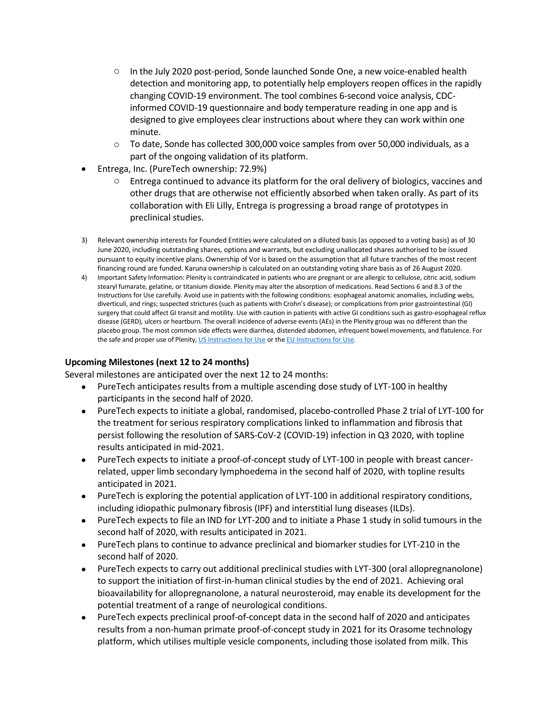- $\circ$  In the July 2020 post-period, Sonde launched Sonde One, a new voice-enabled health detection and monitoring app, to potentially help employers reopen offices in the rapidly changing COVID-19 environment. The tool combines 6-second voice analysis, CDCinformed COVID-19 questionnaire and body temperature reading in one app and is designed to give employees clear instructions about where they can work within one minute.
- o To date, Sonde has collected 300,000 voice samples from over 50,000 individuals, as a part of the ongoing validation of its platform.
- Entrega, Inc. (PureTech ownership: 72.9%)
	- $\circ$  Entrega continued to advance its platform for the oral delivery of biologics, vaccines and other drugs that are otherwise not efficiently absorbed when taken orally. As part of its collaboration with Eli Lilly, Entrega is progressing a broad range of prototypes in preclinical studies.
- 3) Relevant ownership interests for Founded Entities were calculated on a diluted basis (as opposed to a voting basis) as of 30 June 2020, including outstanding shares, options and warrants, but excluding unallocated shares authorised to be issued pursuant to equity incentive plans. Ownership of Vor is based on the assumption that all future tranches of the most recent financing round are funded. Karuna ownership is calculated on an outstanding voting share basis as of 26 August 2020.
- 4) Important Safety Information: Plenity is contraindicated in patients who are pregnant or are allergic to cellulose, citric acid, sodium stearyl fumarate, gelatine, or titanium dioxide. Plenity may alter the absorption of medications. Read Sections 6 and 8.3 of the Instructions for Use carefully. Avoid use in patients with the following conditions: esophageal anatomic anomalies, including webs, diverticuli, and rings; suspected strictures (such as patients with Crohn's disease); or complications from prior gastrointestinal (GI) surgery that could affect GI transit and motility. Use with caution in patients with active GI conditions such as gastro-esophageal reflux disease (GERD), ulcers or heartburn. The overall incidence of adverse events (AEs) in the Plenity group was no different than the placebo group. The most common side effects were diarrhea, distended abdomen, infrequent bowel movements, and flatulence. For the safe and proper use of Plenity[, US Instructions for Use](https://www.myplenity.com/static/pdfs/hcp-isi.pdf) or th[e EU Instructions for Use.](https://bit.ly/2wt8oCo)

# **Upcoming Milestones (next 12 to 24 months)**

Several milestones are anticipated over the next 12 to 24 months:

- PureTech anticipates results from a multiple ascending dose study of LYT-100 in healthy participants in the second half of 2020.
- PureTech expects to initiate a global, randomised, placebo-controlled Phase 2 trial of LYT-100 for the treatment for serious respiratory complications linked to inflammation and fibrosis that persist following the resolution of SARS-CoV-2 (COVID-19) infection in Q3 2020, with topline results anticipated in mid-2021.
- PureTech expects to initiate a proof-of-concept study of LYT-100 in people with breast cancerrelated, upper limb secondary lymphoedema in the second half of 2020, with topline results anticipated in 2021.
- PureTech is exploring the potential application of LYT-100 in additional respiratory conditions, including idiopathic pulmonary fibrosis (IPF) and interstitial lung diseases (ILDs).
- PureTech expects to file an IND for LYT-200 and to initiate a Phase 1 study in solid tumours in the second half of 2020, with results anticipated in 2021.
- PureTech plans to continue to advance preclinical and biomarker studies for LYT-210 in the second half of 2020.
- PureTech expects to carry out additional preclinical studies with LYT-300 (oral allopregnanolone) to support the initiation of first-in-human clinical studies by the end of 2021. Achieving oral bioavailability for allopregnanolone, a natural neurosteroid, may enable its development for the potential treatment of a range of neurological conditions.
- PureTech expects preclinical proof-of-concept data in the second half of 2020 and anticipates results from a non-human primate proof-of-concept study in 2021 for its Orasome technology platform, which utilises multiple vesicle components, including those isolated from milk. This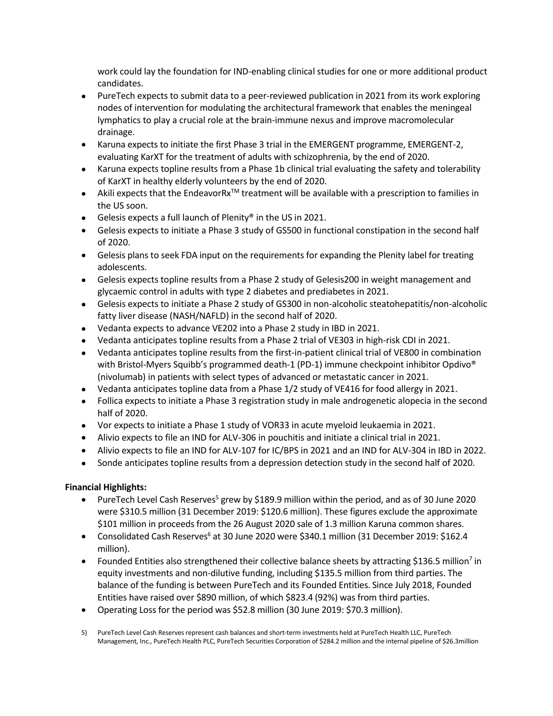work could lay the foundation for IND-enabling clinical studies for one or more additional product candidates.

- PureTech expects to submit data to a peer-reviewed publication in 2021 from its work exploring nodes of intervention for modulating the architectural framework that enables the meningeal lymphatics to play a crucial role at the brain-immune nexus and improve macromolecular drainage.
- Karuna expects to initiate the first Phase 3 trial in the EMERGENT programme, EMERGENT-2, evaluating KarXT for the treatment of adults with schizophrenia, by the end of 2020.
- Karuna expects topline results from a Phase 1b clinical trial evaluating the safety and tolerability of KarXT in healthy elderly volunteers by the end of 2020.
- Akili expects that the EndeavorRx<sup>TM</sup> treatment will be available with a prescription to families in the US soon.
- Gelesis expects a full launch of Plenity® in the US in 2021.
- Gelesis expects to initiate a Phase 3 study of GS500 in functional constipation in the second half of 2020.
- Gelesis plans to seek FDA input on the requirements for expanding the Plenity label for treating adolescents.
- Gelesis expects topline results from a Phase 2 study of Gelesis200 in weight management and glycaemic control in adults with type 2 diabetes and prediabetes in 2021.
- Gelesis expects to initiate a Phase 2 study of GS300 in non-alcoholic steatohepatitis/non-alcoholic fatty liver disease (NASH/NAFLD) in the second half of 2020.
- Vedanta expects to advance VE202 into a Phase 2 study in IBD in 2021.
- Vedanta anticipates topline results from a Phase 2 trial of VE303 in high-risk CDI in 2021.
- Vedanta anticipates topline results from the first-in-patient clinical trial of VE800 in combination with Bristol-Myers Squibb's programmed death-1 (PD-1) immune checkpoint inhibitor Opdivo<sup>®</sup> (nivolumab) in patients with select types of advanced or metastatic cancer in 2021.
- Vedanta anticipates topline data from a Phase 1/2 study of VE416 for food allergy in 2021.
- Follica expects to initiate a Phase 3 registration study in male androgenetic alopecia in the second half of 2020.
- Vor expects to initiate a Phase 1 study of VOR33 in acute myeloid leukaemia in 2021.
- Alivio expects to file an IND for ALV-306 in pouchitis and initiate a clinical trial in 2021.
- Alivio expects to file an IND for ALV-107 for IC/BPS in 2021 and an IND for ALV-304 in IBD in 2022.
- Sonde anticipates topline results from a depression detection study in the second half of 2020.

# **Financial Highlights:**

- PureTech Level Cash Reserves<sup>5</sup> grew by \$189.9 million within the period, and as of 30 June 2020 were \$310.5 million (31 December 2019: \$120.6 million). These figures exclude the approximate \$101 million in proceeds from the 26 August 2020 sale of 1.3 million Karuna common shares.
- Consolidated Cash Reserves<sup>6</sup> at 30 June 2020 were \$340.1 million (31 December 2019: \$162.4 million).
- Founded Entities also strengthened their collective balance sheets by attracting \$136.5 million<sup>7</sup> in equity investments and non-dilutive funding, including \$135.5 million from third parties. The balance of the funding is between PureTech and its Founded Entities. Since July 2018, Founded Entities have raised over \$890 million, of which \$823.4 (92%) was from third parties.
- Operating Loss for the period was \$52.8 million (30 June 2019: \$70.3 million).
- 5) PureTech Level Cash Reserves represent cash balances and short-term investments held at PureTech Health LLC, PureTech Management, Inc., PureTech Health PLC, PureTech Securities Corporation of \$284.2 million and the internal pipeline of \$26.3million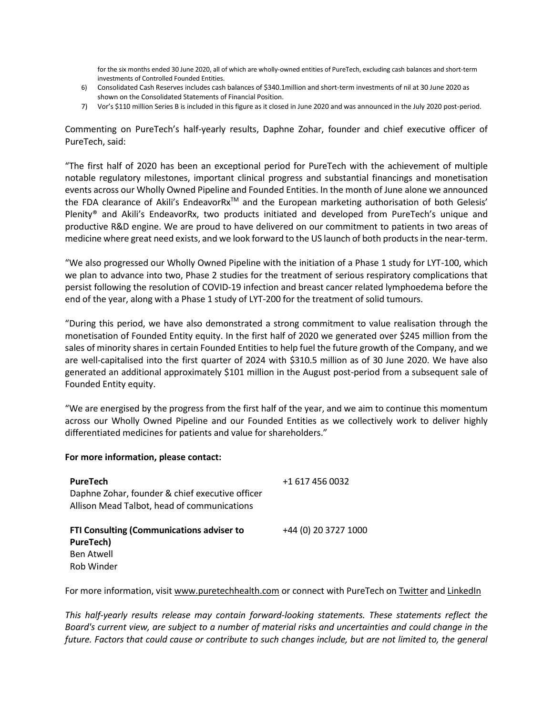for the six months ended 30 June 2020, all of which are wholly-owned entities of PureTech, excluding cash balances and short-term investments of Controlled Founded Entities.

- 6) Consolidated Cash Reserves includes cash balances of \$340.1million and short-term investments of nil at 30 June 2020 as shown on the Consolidated Statements of Financial Position.
- 7) Vor's \$110 million Series B is included in this figure as it closed in June 2020 and was announced in the July 2020 post-period.

Commenting on PureTech's half-yearly results, Daphne Zohar, founder and chief executive officer of PureTech, said:

"The first half of 2020 has been an exceptional period for PureTech with the achievement of multiple notable regulatory milestones, important clinical progress and substantial financings and monetisation events across our Wholly Owned Pipeline and Founded Entities. In the month of June alone we announced the FDA clearance of Akili's EndeavorRx<sup>™</sup> and the European marketing authorisation of both Gelesis' Plenity® and Akili's EndeavorRx, two products initiated and developed from PureTech's unique and productive R&D engine. We are proud to have delivered on our commitment to patients in two areas of medicine where great need exists, and we look forward to the US launch of both products in the near-term.

"We also progressed our Wholly Owned Pipeline with the initiation of a Phase 1 study for LYT-100, which we plan to advance into two, Phase 2 studies for the treatment of serious respiratory complications that persist following the resolution of COVID-19 infection and breast cancer related lymphoedema before the end of the year, along with a Phase 1 study of LYT-200 for the treatment of solid tumours.

"During this period, we have also demonstrated a strong commitment to value realisation through the monetisation of Founded Entity equity. In the first half of 2020 we generated over \$245 million from the sales of minority shares in certain Founded Entities to help fuel the future growth of the Company, and we are well-capitalised into the first quarter of 2024 with \$310.5 million as of 30 June 2020. We have also generated an additional approximately \$101 million in the August post-period from a subsequent sale of Founded Entity equity.

"We are energised by the progress from the first half of the year, and we aim to continue this momentum across our Wholly Owned Pipeline and our Founded Entities as we collectively work to deliver highly differentiated medicines for patients and value for shareholders."

#### **For more information, please contact:**

| PureTech<br>Daphne Zohar, founder & chief executive officer<br>Allison Mead Talbot, head of communications | +1 617 456 0032      |
|------------------------------------------------------------------------------------------------------------|----------------------|
| FTI Consulting (Communications adviser to<br>PureTech)<br>Ben Atwell<br>Rob Winder                         | +44 (0) 20 3727 1000 |

For more information, visit [www.puretechhealth.com](http://www.puretechhealth.com/) or connect with PureTech o[n Twitter](https://twitter.com/puretechh) an[d LinkedIn](https://www.linkedin.com/company/puretech-health/?viewAsMember=true)

*This half-yearly results release may contain forward-looking statements. These statements reflect the Board's current view, are subject to a number of material risks and uncertainties and could change in the future. Factors that could cause or contribute to such changes include, but are not limited to, the general*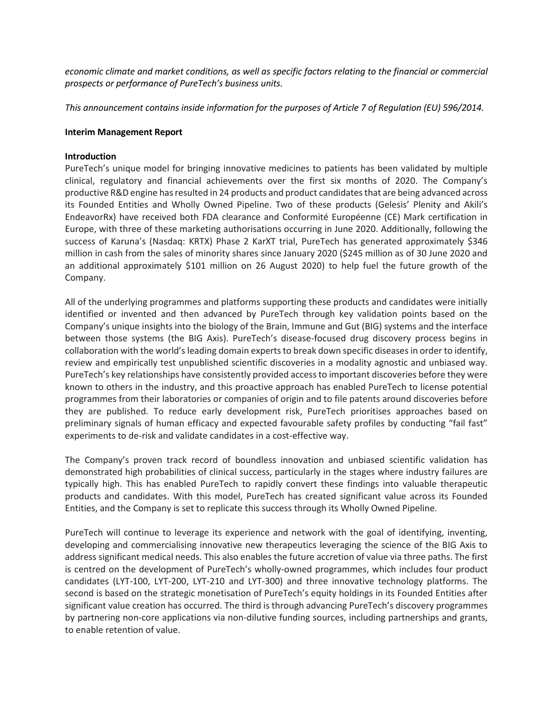*economic climate and market conditions, as well as specific factors relating to the financial or commercial prospects or performance of PureTech's business units.* 

*This announcement contains inside information for the purposes of Article 7 of Regulation (EU) 596/2014.*

## **Interim Management Report**

## **Introduction**

PureTech's unique model for bringing innovative medicines to patients has been validated by multiple clinical, regulatory and financial achievements over the first six months of 2020. The Company's productive R&D engine has resulted in 24 products and product candidates that are being advanced across its Founded Entities and Wholly Owned Pipeline. Two of these products (Gelesis' Plenity and Akili's EndeavorRx) have received both FDA clearance and Conformité Européenne (CE) Mark certification in Europe, with three of these marketing authorisations occurring in June 2020. Additionally, following the success of Karuna's (Nasdaq: KRTX) Phase 2 KarXT trial, PureTech has generated approximately \$346 million in cash from the sales of minority shares since January 2020 (\$245 million as of 30 June 2020 and an additional approximately \$101 million on 26 August 2020) to help fuel the future growth of the Company.

All of the underlying programmes and platforms supporting these products and candidates were initially identified or invented and then advanced by PureTech through key validation points based on the Company's unique insights into the biology of the Brain, Immune and Gut (BIG) systems and the interface between those systems (the BIG Axis). PureTech's disease-focused drug discovery process begins in collaboration with the world's leading domain experts to break down specific diseases in order to identify, review and empirically test unpublished scientific discoveries in a modality agnostic and unbiased way. PureTech's key relationships have consistently provided access to important discoveries before they were known to others in the industry, and this proactive approach has enabled PureTech to license potential programmes from their laboratories or companies of origin and to file patents around discoveries before they are published. To reduce early development risk, PureTech prioritises approaches based on preliminary signals of human efficacy and expected favourable safety profiles by conducting "fail fast" experiments to de-risk and validate candidates in a cost-effective way.

The Company's proven track record of boundless innovation and unbiased scientific validation has demonstrated high probabilities of clinical success, particularly in the stages where industry failures are typically high. This has enabled PureTech to rapidly convert these findings into valuable therapeutic products and candidates. With this model, PureTech has created significant value across its Founded Entities, and the Company is set to replicate this success through its Wholly Owned Pipeline.

PureTech will continue to leverage its experience and network with the goal of identifying, inventing, developing and commercialising innovative new therapeutics leveraging the science of the BIG Axis to address significant medical needs. This also enables the future accretion of value via three paths. The first is centred on the development of PureTech's wholly-owned programmes, which includes four product candidates (LYT-100, LYT-200, LYT-210 and LYT-300) and three innovative technology platforms. The second is based on the strategic monetisation of PureTech's equity holdings in its Founded Entities after significant value creation has occurred. The third is through advancing PureTech's discovery programmes by partnering non-core applications via non-dilutive funding sources, including partnerships and grants, to enable retention of value.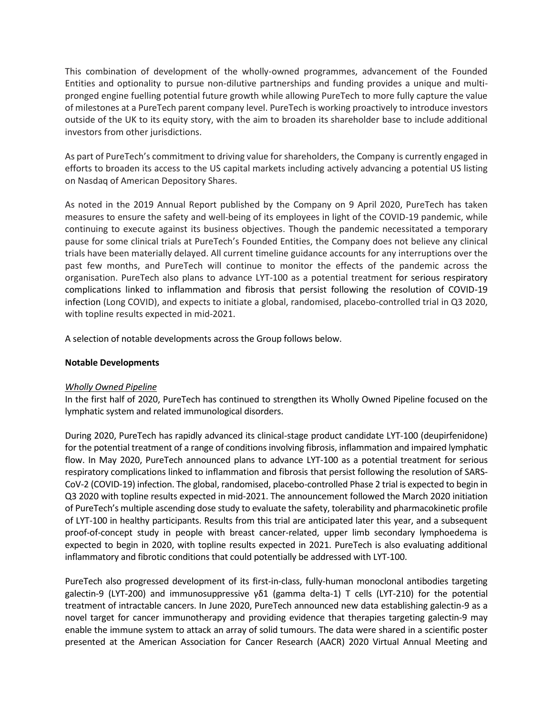This combination of development of the wholly-owned programmes, advancement of the Founded Entities and optionality to pursue non-dilutive partnerships and funding provides a unique and multipronged engine fuelling potential future growth while allowing PureTech to more fully capture the value of milestones at a PureTech parent company level. PureTech is working proactively to introduce investors outside of the UK to its equity story, with the aim to broaden its shareholder base to include additional investors from other jurisdictions.

As part of PureTech's commitment to driving value for shareholders, the Company is currently engaged in efforts to broaden its access to the US capital markets including actively advancing a potential US listing on Nasdaq of American Depository Shares.

As noted in the 2019 Annual Report published by the Company on 9 April 2020, PureTech has taken measures to ensure the safety and well-being of its employees in light of the COVID-19 pandemic, while continuing to execute against its business objectives. Though the pandemic necessitated a temporary pause for some clinical trials at PureTech's Founded Entities, the Company does not believe any clinical trials have been materially delayed. All current timeline guidance accounts for any interruptions over the past few months, and PureTech will continue to monitor the effects of the pandemic across the organisation. PureTech also plans to advance LYT-100 as a potential treatment for serious respiratory complications linked to inflammation and fibrosis that persist following the resolution of COVID-19 infection (Long COVID), and expects to initiate a global, randomised, placebo-controlled trial in Q3 2020, with topline results expected in mid-2021.

A selection of notable developments across the Group follows below.

# **Notable Developments**

# *Wholly Owned Pipeline*

In the first half of 2020, PureTech has continued to strengthen its Wholly Owned Pipeline focused on the lymphatic system and related immunological disorders.

During 2020, PureTech has rapidly advanced its clinical-stage product candidate LYT-100 (deupirfenidone) for the potential treatment of a range of conditions involving fibrosis, inflammation and impaired lymphatic flow. In May 2020, PureTech announced plans to advance LYT-100 as a potential treatment for serious respiratory complications linked to inflammation and fibrosis that persist following the resolution of SARS-CoV-2 (COVID-19) infection. The global, randomised, placebo-controlled Phase 2 trial is expected to begin in Q3 2020 with topline results expected in mid-2021. The announcement followed the March 2020 initiation of PureTech's multiple ascending dose study to evaluate the safety, tolerability and pharmacokinetic profile of LYT-100 in healthy participants. Results from this trial are anticipated later this year, and a subsequent proof-of-concept study in people with breast cancer-related, upper limb secondary lymphoedema is expected to begin in 2020, with topline results expected in 2021. PureTech is also evaluating additional inflammatory and fibrotic conditions that could potentially be addressed with LYT-100.

PureTech also progressed development of its first-in-class, fully-human monoclonal antibodies targeting galectin-9 (LYT-200) and immunosuppressive γδ1 (gamma delta-1) T cells (LYT-210) for the potential treatment of intractable cancers. In June 2020, PureTech announced new data establishing galectin-9 as a novel target for cancer immunotherapy and providing evidence that therapies targeting galectin-9 may enable the immune system to attack an array of solid tumours. The data were shared in a scientific poster presented at the American Association for Cancer Research (AACR) 2020 Virtual Annual Meeting and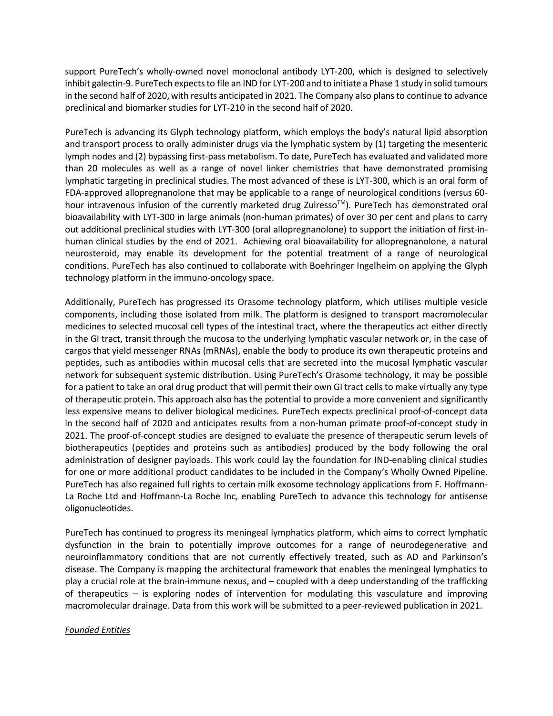support PureTech's wholly-owned novel monoclonal antibody LYT-200, which is designed to selectively inhibit galectin-9. PureTech expects to file an IND for LYT-200 and to initiate a Phase 1 study in solid tumours in the second half of 2020, with results anticipated in 2021. The Company also plans to continue to advance preclinical and biomarker studies for LYT-210 in the second half of 2020.

PureTech is advancing its Glyph technology platform, which employs the body's natural lipid absorption and transport process to orally administer drugs via the lymphatic system by (1) targeting the mesenteric lymph nodes and (2) bypassing first-pass metabolism. To date, PureTech has evaluated and validated more than 20 molecules as well as a range of novel linker chemistries that have demonstrated promising lymphatic targeting in preclinical studies. The most advanced of these is LYT-300, which is an oral form of FDA-approved allopregnanolone that may be applicable to a range of neurological conditions (versus 60 hour intravenous infusion of the currently marketed drug Zulresso<sup>™</sup>). PureTech has demonstrated oral bioavailability with LYT-300 in large animals (non-human primates) of over 30 per cent and plans to carry out additional preclinical studies with LYT-300 (oral allopregnanolone) to support the initiation of first-inhuman clinical studies by the end of 2021. Achieving oral bioavailability for allopregnanolone, a natural neurosteroid, may enable its development for the potential treatment of a range of neurological conditions. PureTech has also continued to collaborate with Boehringer Ingelheim on applying the Glyph technology platform in the immuno-oncology space.

Additionally, PureTech has progressed its Orasome technology platform, which utilises multiple vesicle components, including those isolated from milk. The platform is designed to transport macromolecular medicines to selected mucosal cell types of the intestinal tract, where the therapeutics act either directly in the GI tract, transit through the mucosa to the underlying lymphatic vascular network or, in the case of cargos that yield messenger RNAs (mRNAs), enable the body to produce its own therapeutic proteins and peptides, such as antibodies within mucosal cells that are secreted into the mucosal lymphatic vascular network for subsequent systemic distribution. Using PureTech's Orasome technology, it may be possible for a patient to take an oral drug product that will permit their own GI tract cells to make virtually any type of therapeutic protein. This approach also has the potential to provide a more convenient and significantly less expensive means to deliver biological medicines. PureTech expects preclinical proof-of-concept data in the second half of 2020 and anticipates results from a non-human primate proof-of-concept study in 2021. The proof-of-concept studies are designed to evaluate the presence of therapeutic serum levels of biotherapeutics (peptides and proteins such as antibodies) produced by the body following the oral administration of designer payloads. This work could lay the foundation for IND-enabling clinical studies for one or more additional product candidates to be included in the Company's Wholly Owned Pipeline. PureTech has also regained full rights to certain milk exosome technology applications from F. Hoffmann-La Roche Ltd and Hoffmann-La Roche Inc, enabling PureTech to advance this technology for antisense oligonucleotides.

PureTech has continued to progress its meningeal lymphatics platform, which aims to correct lymphatic dysfunction in the brain to potentially improve outcomes for a range of neurodegenerative and neuroinflammatory conditions that are not currently effectively treated, such as AD and Parkinson's disease. The Company is mapping the architectural framework that enables the meningeal lymphatics to play a crucial role at the brain-immune nexus, and – coupled with a deep understanding of the trafficking of therapeutics – is exploring nodes of intervention for modulating this vasculature and improving macromolecular drainage. Data from this work will be submitted to a peer-reviewed publication in 2021.

#### *Founded Entities*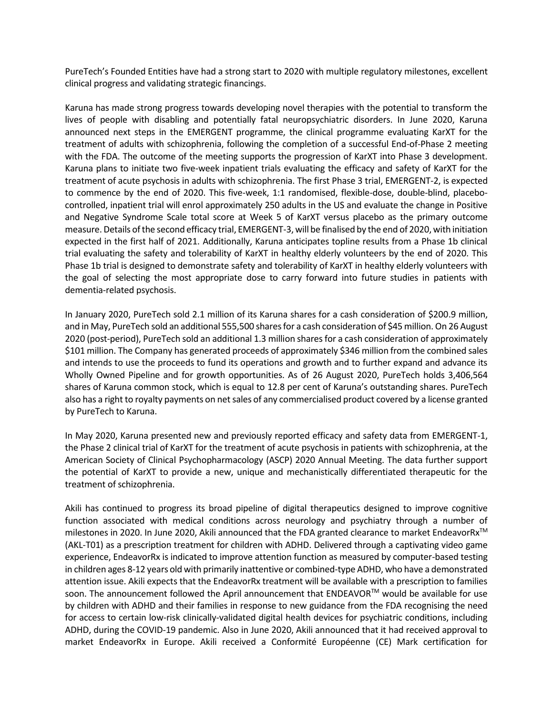PureTech's Founded Entities have had a strong start to 2020 with multiple regulatory milestones, excellent clinical progress and validating strategic financings.

Karuna has made strong progress towards developing novel therapies with the potential to transform the lives of people with disabling and potentially fatal neuropsychiatric disorders. In June 2020, Karuna announced next steps in the EMERGENT programme, the clinical programme evaluating KarXT for the treatment of adults with schizophrenia, following the completion of a successful End-of-Phase 2 meeting with the FDA. The outcome of the meeting supports the progression of KarXT into Phase 3 development. Karuna plans to initiate two five-week inpatient trials evaluating the efficacy and safety of KarXT for the treatment of acute psychosis in adults with schizophrenia. The first Phase 3 trial, EMERGENT-2, is expected to commence by the end of 2020. This five-week, 1:1 randomised, flexible-dose, double-blind, placebocontrolled, inpatient trial will enrol approximately 250 adults in the US and evaluate the change in Positive and Negative Syndrome Scale total score at Week 5 of KarXT versus placebo as the primary outcome measure. Details of the second efficacy trial, EMERGENT-3, will be finalised by the end of 2020, with initiation expected in the first half of 2021. Additionally, Karuna anticipates topline results from a Phase 1b clinical trial evaluating the safety and tolerability of KarXT in healthy elderly volunteers by the end of 2020. This Phase 1b trial is designed to demonstrate safety and tolerability of KarXT in healthy elderly volunteers with the goal of selecting the most appropriate dose to carry forward into future studies in patients with dementia-related psychosis.

In January 2020, PureTech sold 2.1 million of its Karuna shares for a cash consideration of \$200.9 million, and in May, PureTech sold an additional 555,500 shares for a cash consideration of \$45 million. On 26 August 2020 (post-period), PureTech sold an additional 1.3 million shares for a cash consideration of approximately \$101 million. The Company has generated proceeds of approximately \$346 million from the combined sales and intends to use the proceeds to fund its operations and growth and to further expand and advance its Wholly Owned Pipeline and for growth opportunities. As of 26 August 2020, PureTech holds 3,406,564 shares of Karuna common stock, which is equal to 12.8 per cent of Karuna's outstanding shares. PureTech also has a right to royalty payments on net sales of any commercialised product covered by a license granted by PureTech to Karuna.

In May 2020, Karuna presented new and previously reported efficacy and safety data from EMERGENT-1, the Phase 2 clinical trial of KarXT for the treatment of acute psychosis in patients with schizophrenia, at the American Society of Clinical Psychopharmacology (ASCP) 2020 Annual Meeting. The data further support the potential of KarXT to provide a new, unique and mechanistically differentiated therapeutic for the treatment of schizophrenia.

Akili has continued to progress its broad pipeline of digital therapeutics designed to improve cognitive function associated with medical conditions across neurology and psychiatry through a number of milestones in 2020. In June 2020, Akili announced that the FDA granted clearance to market EndeavorRx<sup>™</sup> (AKL-T01) as a prescription treatment for children with ADHD. Delivered through a captivating video game experience, EndeavorRx is indicated to improve attention function as measured by computer-based testing in children ages 8-12 years old with primarily inattentive or combined-type ADHD, who have a demonstrated attention issue. Akili expects that the EndeavorRx treatment will be available with a prescription to families soon. The announcement followed the April announcement that ENDEAVOR™ would be available for use by children with ADHD and their families in response to new guidance from the FDA recognising the need for access to certain low-risk clinically-validated digital health devices for psychiatric conditions, including ADHD, during the COVID-19 pandemic. Also in June 2020, Akili announced that it had received approval to market EndeavorRx in Europe. Akili received a Conformité Européenne (CE) Mark certification for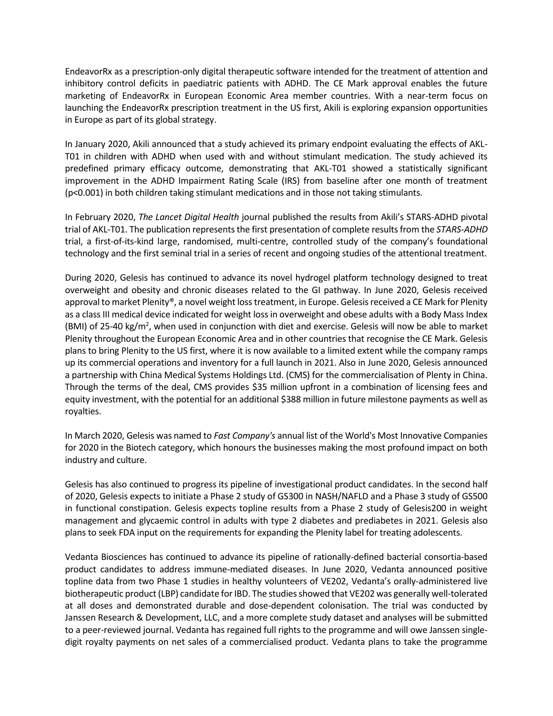EndeavorRx as a prescription-only digital therapeutic software intended for the treatment of attention and inhibitory control deficits in paediatric patients with ADHD. The CE Mark approval enables the future marketing of EndeavorRx in European Economic Area member countries. With a near-term focus on launching the EndeavorRx prescription treatment in the US first, Akili is exploring expansion opportunities in Europe as part of its global strategy.

In January 2020, Akili announced that a study achieved its primary endpoint evaluating the effects of AKL-T01 in children with ADHD when used with and without stimulant medication. The study achieved its predefined primary efficacy outcome, demonstrating that AKL-T01 showed a statistically significant improvement in the ADHD Impairment Rating Scale (IRS) from baseline after one month of treatment (p<0.001) in both children taking stimulant medications and in those not taking stimulants.

In February 2020, *The Lancet Digital Health* journal published the results from Akili's STARS-ADHD pivotal trial of AKL-T01. The publication represents the first presentation of complete results from the *STARS-ADHD* trial, a first-of-its-kind large, randomised, multi-centre, controlled study of the company's foundational technology and the first seminal trial in a series of recent and ongoing studies of the attentional treatment.

During 2020, Gelesis has continued to advance its novel hydrogel platform technology designed to treat overweight and obesity and chronic diseases related to the GI pathway. In June 2020, Gelesis received approval to market Plenity®, a novel weight loss treatment, in Europe. Gelesis received a CE Mark for Plenity as a class III medical device indicated for weight loss in overweight and obese adults with a Body Mass Index (BMI) of 25-40 kg/m<sup>2</sup>, when used in conjunction with diet and exercise. Gelesis will now be able to market Plenity throughout the European Economic Area and in other countries that recognise the CE Mark. Gelesis plans to bring Plenity to the US first, where it is now available to a limited extent while the company ramps up its commercial operations and inventory for a full launch in 2021. Also in June 2020, Gelesis announced a partnership with China Medical Systems Holdings Ltd. (CMS) for the commercialisation of Plenty in China. Through the terms of the deal, CMS provides \$35 million upfront in a combination of licensing fees and equity investment, with the potential for an additional \$388 million in future milestone payments as well as royalties.

In March 2020, Gelesis was named to *Fast Company's* annual list of the World's Most Innovative Companies for 2020 in the Biotech category, which honours the businesses making the most profound impact on both industry and culture.

Gelesis has also continued to progress its pipeline of investigational product candidates. In the second half of 2020, Gelesis expects to initiate a Phase 2 study of GS300 in NASH/NAFLD and a Phase 3 study of GS500 in functional constipation. Gelesis expects topline results from a Phase 2 study of Gelesis200 in weight management and glycaemic control in adults with type 2 diabetes and prediabetes in 2021. Gelesis also plans to seek FDA input on the requirements for expanding the Plenity label for treating adolescents.

Vedanta Biosciences has continued to advance its pipeline of rationally-defined bacterial consortia-based product candidates to address immune-mediated diseases. In June 2020, Vedanta announced positive topline data from two Phase 1 studies in healthy volunteers of VE202, Vedanta's orally-administered live biotherapeutic product (LBP) candidate for IBD. The studies showed that VE202 was generally well-tolerated at all doses and demonstrated durable and dose-dependent colonisation. The trial was conducted by Janssen Research & Development, LLC, and a more complete study dataset and analyses will be submitted to a peer-reviewed journal. Vedanta has regained full rights to the programme and will owe Janssen singledigit royalty payments on net sales of a commercialised product. Vedanta plans to take the programme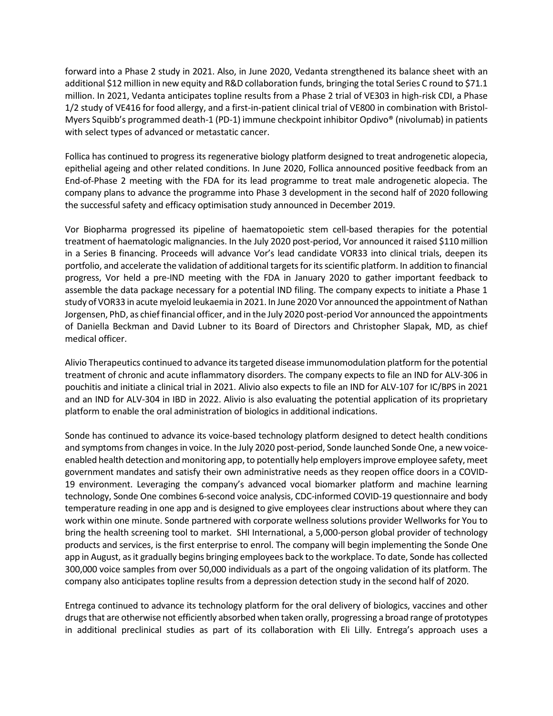forward into a Phase 2 study in 2021. Also, in June 2020, Vedanta strengthened its balance sheet with an additional \$12 million in new equity and R&D collaboration funds, bringing the total Series C round to \$71.1 million. In 2021, Vedanta anticipates topline results from a Phase 2 trial of VE303 in high-risk CDI, a Phase 1/2 study of VE416 for food allergy, and a first-in-patient clinical trial of VE800 in combination with Bristol-Myers Squibb's programmed death-1 (PD-1) immune checkpoint inhibitor Opdivo® (nivolumab) in patients with select types of advanced or metastatic cancer.

Follica has continued to progress its regenerative biology platform designed to treat androgenetic alopecia, epithelial ageing and other related conditions. In June 2020, Follica announced positive feedback from an End-of-Phase 2 meeting with the FDA for its lead programme to treat male androgenetic alopecia. The company plans to advance the programme into Phase 3 development in the second half of 2020 following the successful safety and efficacy optimisation study announced in December 2019.

Vor Biopharma progressed its pipeline of haematopoietic stem cell-based therapies for the potential treatment of haematologic malignancies. In the July 2020 post-period, Vor announced it raised \$110 million in a Series B financing. Proceeds will advance Vor's lead candidate VOR33 into clinical trials, deepen its portfolio, and accelerate the validation of additional targets for its scientific platform. In addition to financial progress, Vor held a pre-IND meeting with the FDA in January 2020 to gather important feedback to assemble the data package necessary for a potential IND filing. The company expects to initiate a Phase 1 study of VOR33 in acute myeloid leukaemia in 2021. In June 2020 Vor announced the appointment of Nathan Jorgensen, PhD, as chief financial officer, and in the July 2020 post-period Vor announced the appointments of Daniella Beckman and David Lubner to its Board of Directors and Christopher Slapak, MD, as chief medical officer.

Alivio Therapeutics continued to advance its targeted disease immunomodulation platform for the potential treatment of chronic and acute inflammatory disorders. The company expects to file an IND for ALV-306 in pouchitis and initiate a clinical trial in 2021. Alivio also expects to file an IND for ALV-107 for IC/BPS in 2021 and an IND for ALV-304 in IBD in 2022. Alivio is also evaluating the potential application of its proprietary platform to enable the oral administration of biologics in additional indications.

Sonde has continued to advance its voice-based technology platform designed to detect health conditions and symptoms from changes in voice. In the July 2020 post-period, Sonde launched Sonde One, a new voiceenabled health detection and monitoring app, to potentially help employers improve employee safety, meet government mandates and satisfy their own administrative needs as they reopen office doors in a COVID-19 environment. Leveraging the company's advanced vocal biomarker platform and machine learning technology, Sonde One combines 6-second voice analysis, CDC-informed COVID-19 questionnaire and body temperature reading in one app and is designed to give employees clear instructions about where they can work within one minute. Sonde partnered with corporate wellness solutions provider Wellworks for You to bring the health screening tool to market. SHI International, a 5,000-person global provider of technology products and services, is the first enterprise to enrol. The company will begin implementing the Sonde One app in August, as it gradually begins bringing employees back to the workplace. To date, Sonde has collected 300,000 voice samples from over 50,000 individuals as a part of the ongoing validation of its platform. The company also anticipates topline results from a depression detection study in the second half of 2020.

Entrega continued to advance its technology platform for the oral delivery of biologics, vaccines and other drugs that are otherwise not efficiently absorbed when taken orally, progressing a broad range of prototypes in additional preclinical studies as part of its collaboration with Eli Lilly. Entrega's approach uses a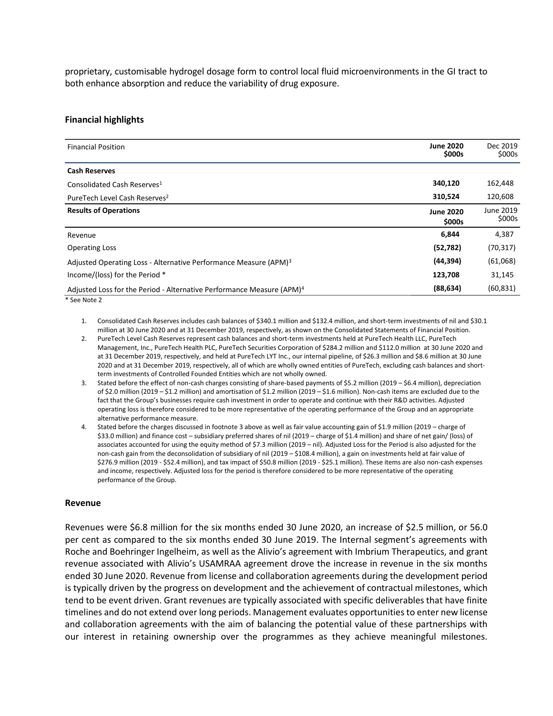proprietary, customisable hydrogel dosage form to control local fluid microenvironments in the GI tract to both enhance absorption and reduce the variability of drug exposure.

#### **Financial highlights**

| <b>Financial Position</b>                                                         | <b>June 2020</b><br>\$000s | Dec 2019<br>\$000s  |
|-----------------------------------------------------------------------------------|----------------------------|---------------------|
| <b>Cash Reserves</b>                                                              |                            |                     |
| Consolidated Cash Reserves <sup>1</sup>                                           | 340,120                    | 162,448             |
| PureTech Level Cash Reserves <sup>2</sup>                                         | 310,524                    | 120,608             |
| <b>Results of Operations</b>                                                      | <b>June 2020</b><br>\$000s | June 2019<br>\$000s |
| Revenue                                                                           | 6,844                      | 4,387               |
| <b>Operating Loss</b>                                                             | (52, 782)                  | (70, 317)           |
| Adjusted Operating Loss - Alternative Performance Measure (APM) <sup>3</sup>      | (44, 394)                  | (61,068)            |
| Income/(loss) for the Period *                                                    | 123,708                    | 31,145              |
| Adjusted Loss for the Period - Alternative Performance Measure (APM) <sup>4</sup> | (88, 634)                  | (60, 831)           |

\* See Note 2

- 1. Consolidated Cash Reserves includes cash balances of \$340.1 million and \$132.4 million, and short-term investments of nil and \$30.1 million at 30 June 2020 and at 31 December 2019, respectively, as shown on the Consolidated Statements of Financial Position.
- 2. PureTech Level Cash Reserves represent cash balances and short-term investments held at PureTech Health LLC, PureTech Management, Inc., PureTech Health PLC, PureTech Securities Corporation of \$284.2 million and \$112.0 million at 30 June 2020 and at 31 December 2019, respectively, and held at PureTech LYT Inc., our internal pipeline, of \$26.3 million and \$8.6 million at 30 June 2020 and at 31 December 2019, respectively, all of which are wholly owned entities of PureTech, excluding cash balances and shortterm investments of Controlled Founded Entities which are not wholly owned.
- 3. Stated before the effect of non-cash charges consisting of share-based payments of \$5.2 million (2019 \$6.4 million), depreciation of \$2.0 million (2019 – \$1.2 million) and amortisation of \$1.2 million (2019 – \$1.6 million). Non-cash items are excluded due to the fact that the Group's businesses require cash investment in order to operate and continue with their R&D activities. Adjusted operating loss is therefore considered to be more representative of the operating performance of the Group and an appropriate alternative performance measure.
- 4. Stated before the charges discussed in footnote 3 above as well as fair value accounting gain of \$1.9 million (2019 charge of \$33.0 million) and finance cost – subsidiary preferred shares of nil (2019 – charge of \$1.4 million) and share of net gain/ (loss) of associates accounted for using the equity method of \$7.3 million (2019 – nil). Adjusted Loss for the Period is also adjusted for the non-cash gain from the deconsolidation of subsidiary of nil (2019 – \$108.4 million), a gain on investments held at fair value of \$276.9 million (2019 - \$52.4 million), and tax impact of \$50.8 million (2019 - \$25.1 million). These items are also non-cash expenses and income, respectively. Adjusted loss for the period is therefore considered to be more representative of the operating performance of the Group.

#### **Revenue**

Revenues were \$6.8 million for the six months ended 30 June 2020, an increase of \$2.5 million, or 56.0 per cent as compared to the six months ended 30 June 2019. The Internal segment's agreements with Roche and Boehringer Ingelheim, as well as the Alivio's agreement with Imbrium Therapeutics, and grant revenue associated with Alivio's USAMRAA agreement drove the increase in revenue in the six months ended 30 June 2020. Revenue from license and collaboration agreements during the development period is typically driven by the progress on development and the achievement of contractual milestones, which tend to be event driven. Grant revenues are typically associated with specific deliverables that have finite timelines and do not extend over long periods. Management evaluates opportunities to enter new license and collaboration agreements with the aim of balancing the potential value of these partnerships with our interest in retaining ownership over the programmes as they achieve meaningful milestones.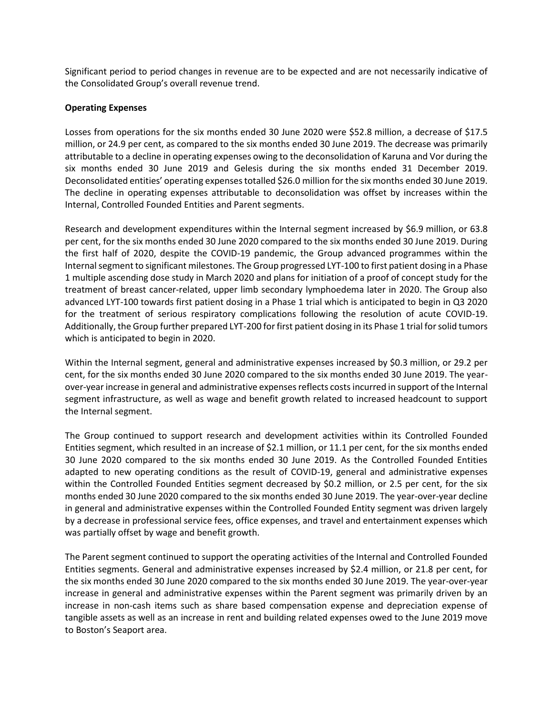Significant period to period changes in revenue are to be expected and are not necessarily indicative of the Consolidated Group's overall revenue trend.

## **Operating Expenses**

Losses from operations for the six months ended 30 June 2020 were \$52.8 million, a decrease of \$17.5 million, or 24.9 per cent, as compared to the six months ended 30 June 2019. The decrease was primarily attributable to a decline in operating expenses owing to the deconsolidation of Karuna and Vor during the six months ended 30 June 2019 and Gelesis during the six months ended 31 December 2019. Deconsolidated entities' operating expenses totalled \$26.0 million for the six months ended 30 June 2019. The decline in operating expenses attributable to deconsolidation was offset by increases within the Internal, Controlled Founded Entities and Parent segments.

Research and development expenditures within the Internal segment increased by \$6.9 million, or 63.8 per cent, for the six months ended 30 June 2020 compared to the six months ended 30 June 2019. During the first half of 2020, despite the COVID-19 pandemic, the Group advanced programmes within the Internal segment to significant milestones. The Group progressed LYT-100 to first patient dosing in a Phase 1 multiple ascending dose study in March 2020 and plans for initiation of a proof of concept study for the treatment of breast cancer-related, upper limb secondary lymphoedema later in 2020. The Group also advanced LYT-100 towards first patient dosing in a Phase 1 trial which is anticipated to begin in Q3 2020 for the treatment of serious respiratory complications following the resolution of acute COVID-19. Additionally, the Group further prepared LYT-200 for first patient dosing in its Phase 1 trial for solid tumors which is anticipated to begin in 2020.

Within the Internal segment, general and administrative expenses increased by \$0.3 million, or 29.2 per cent, for the six months ended 30 June 2020 compared to the six months ended 30 June 2019. The yearover-year increase in general and administrative expenses reflects costsincurred in support of the Internal segment infrastructure, as well as wage and benefit growth related to increased headcount to support the Internal segment.

The Group continued to support research and development activities within its Controlled Founded Entities segment, which resulted in an increase of \$2.1 million, or 11.1 per cent, for the six months ended 30 June 2020 compared to the six months ended 30 June 2019. As the Controlled Founded Entities adapted to new operating conditions as the result of COVID-19, general and administrative expenses within the Controlled Founded Entities segment decreased by \$0.2 million, or 2.5 per cent, for the six months ended 30 June 2020 compared to the six months ended 30 June 2019. The year-over-year decline in general and administrative expenses within the Controlled Founded Entity segment was driven largely by a decrease in professional service fees, office expenses, and travel and entertainment expenses which was partially offset by wage and benefit growth.

The Parent segment continued to support the operating activities of the Internal and Controlled Founded Entities segments. General and administrative expenses increased by \$2.4 million, or 21.8 per cent, for the six months ended 30 June 2020 compared to the six months ended 30 June 2019. The year-over-year increase in general and administrative expenses within the Parent segment was primarily driven by an increase in non-cash items such as share based compensation expense and depreciation expense of tangible assets as well as an increase in rent and building related expenses owed to the June 2019 move to Boston's Seaport area.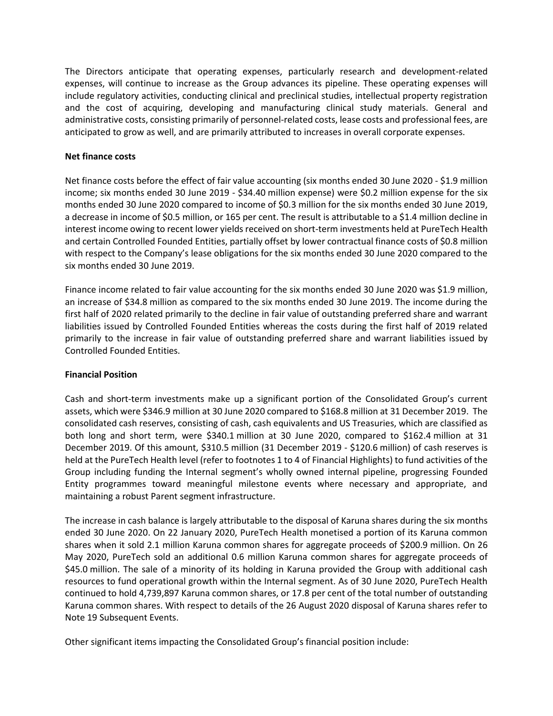The Directors anticipate that operating expenses, particularly research and development-related expenses, will continue to increase as the Group advances its pipeline. These operating expenses will include regulatory activities, conducting clinical and preclinical studies, intellectual property registration and the cost of acquiring, developing and manufacturing clinical study materials. General and administrative costs, consisting primarily of personnel-related costs, lease costs and professional fees, are anticipated to grow as well, and are primarily attributed to increases in overall corporate expenses.

## **Net finance costs**

Net finance costs before the effect of fair value accounting (six months ended 30 June 2020 - \$1.9 million income; six months ended 30 June 2019 - \$34.40 million expense) were \$0.2 million expense for the six months ended 30 June 2020 compared to income of \$0.3 million for the six months ended 30 June 2019, a decrease in income of \$0.5 million, or 165 per cent. The result is attributable to a \$1.4 million decline in interest income owing to recent lower yields received on short-term investments held at PureTech Health and certain Controlled Founded Entities, partially offset by lower contractual finance costs of \$0.8 million with respect to the Company's lease obligations for the six months ended 30 June 2020 compared to the six months ended 30 June 2019.

Finance income related to fair value accounting for the six months ended 30 June 2020 was \$1.9 million, an increase of \$34.8 million as compared to the six months ended 30 June 2019. The income during the first half of 2020 related primarily to the decline in fair value of outstanding preferred share and warrant liabilities issued by Controlled Founded Entities whereas the costs during the first half of 2019 related primarily to the increase in fair value of outstanding preferred share and warrant liabilities issued by Controlled Founded Entities.

# **Financial Position**

Cash and short-term investments make up a significant portion of the Consolidated Group's current assets, which were \$346.9 million at 30 June 2020 compared to \$168.8 million at 31 December 2019. The consolidated cash reserves, consisting of cash, cash equivalents and US Treasuries, which are classified as both long and short term, were \$340.1 million at 30 June 2020, compared to \$162.4 million at 31 December 2019. Of this amount, \$310.5 million (31 December 2019 - \$120.6 million) of cash reserves is held at the PureTech Health level (refer to footnotes 1 to 4 of Financial Highlights) to fund activities of the Group including funding the Internal segment's wholly owned internal pipeline, progressing Founded Entity programmes toward meaningful milestone events where necessary and appropriate, and maintaining a robust Parent segment infrastructure.

The increase in cash balance is largely attributable to the disposal of Karuna shares during the six months ended 30 June 2020. On 22 January 2020, PureTech Health monetised a portion of its Karuna common shares when it sold 2.1 million Karuna common shares for aggregate proceeds of \$200.9 million. On 26 May 2020, PureTech sold an additional 0.6 million Karuna common shares for aggregate proceeds of \$45.0 million. The sale of a minority of its holding in Karuna provided the Group with additional cash resources to fund operational growth within the Internal segment. As of 30 June 2020, PureTech Health continued to hold 4,739,897 Karuna common shares, or 17.8 per cent of the total number of outstanding Karuna common shares. With respect to details of the 26 August 2020 disposal of Karuna shares refer to Note 19 Subsequent Events.

Other significant items impacting the Consolidated Group's financial position include: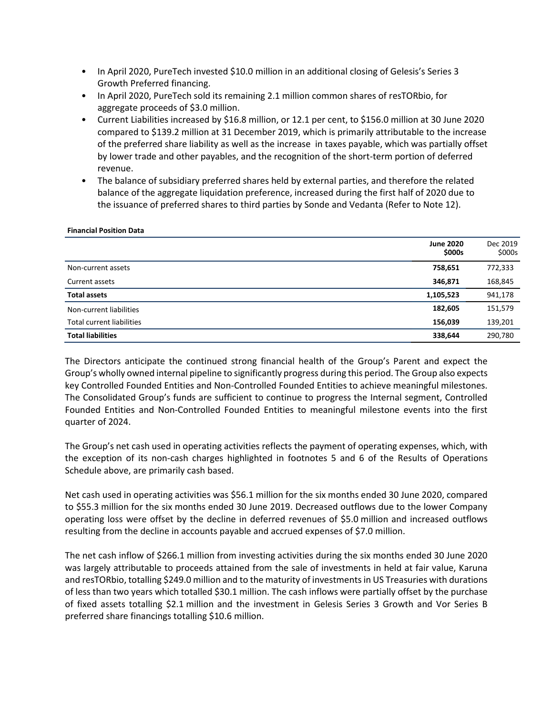- In April 2020, PureTech invested \$10.0 million in an additional closing of Gelesis's Series 3 Growth Preferred financing.
- In April 2020, PureTech sold its remaining 2.1 million common shares of resTORbio, for aggregate proceeds of \$3.0 million.
- Current Liabilities increased by \$16.8 million, or 12.1 per cent, to \$156.0 million at 30 June 2020 compared to \$139.2 million at 31 December 2019, which is primarily attributable to the increase of the preferred share liability as well as the increase in taxes payable, which was partially offset by lower trade and other payables, and the recognition of the short-term portion of deferred revenue.
- The balance of subsidiary preferred shares held by external parties, and therefore the related balance of the aggregate liquidation preference, increased during the first half of 2020 due to the issuance of preferred shares to third parties by Sonde and Vedanta (Refer to Note 12).

#### **Financial Position Data**

|                                  | <b>June 2020</b><br>\$000s | Dec 2019<br>\$000s |
|----------------------------------|----------------------------|--------------------|
| Non-current assets               | 758,651                    | 772,333            |
| Current assets                   | 346,871                    | 168,845            |
| <b>Total assets</b>              | 1,105,523                  | 941,178            |
| Non-current liabilities          | 182,605                    | 151,579            |
| <b>Total current liabilities</b> | 156,039                    | 139,201            |
| <b>Total liabilities</b>         | 338,644                    | 290,780            |

The Directors anticipate the continued strong financial health of the Group's Parent and expect the Group's wholly owned internal pipeline to significantly progress during this period. The Group also expects key Controlled Founded Entities and Non-Controlled Founded Entities to achieve meaningful milestones. The Consolidated Group's funds are sufficient to continue to progress the Internal segment, Controlled Founded Entities and Non-Controlled Founded Entities to meaningful milestone events into the first quarter of 2024.

The Group's net cash used in operating activities reflects the payment of operating expenses, which, with the exception of its non-cash charges highlighted in footnotes 5 and 6 of the Results of Operations Schedule above, are primarily cash based.

Net cash used in operating activities was \$56.1 million for the six months ended 30 June 2020, compared to \$55.3 million for the six months ended 30 June 2019. Decreased outflows due to the lower Company operating loss were offset by the decline in deferred revenues of \$5.0 million and increased outflows resulting from the decline in accounts payable and accrued expenses of \$7.0 million.

The net cash inflow of \$266.1 million from investing activities during the six months ended 30 June 2020 was largely attributable to proceeds attained from the sale of investments in held at fair value, Karuna and resTORbio, totalling \$249.0 million and to the maturity of investments in US Treasuries with durations of less than two years which totalled \$30.1 million. The cash inflows were partially offset by the purchase of fixed assets totalling \$2.1 million and the investment in Gelesis Series 3 Growth and Vor Series B preferred share financings totalling \$10.6 million.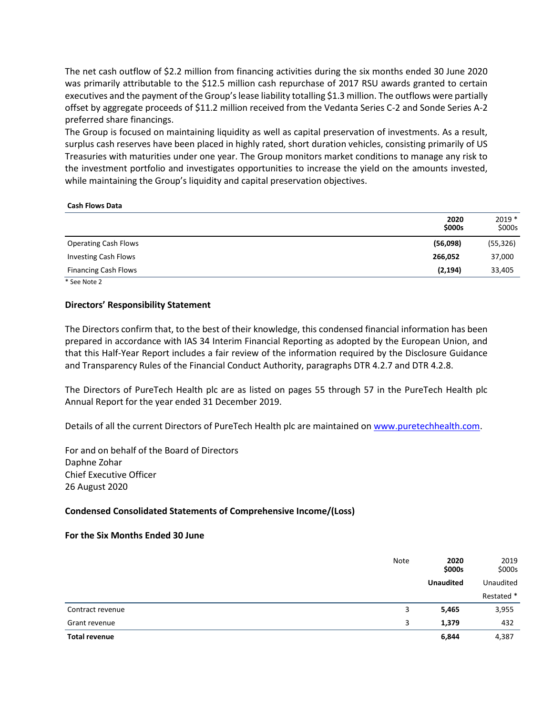The net cash outflow of \$2.2 million from financing activities during the six months ended 30 June 2020 was primarily attributable to the \$12.5 million cash repurchase of 2017 RSU awards granted to certain executives and the payment of the Group's lease liability totalling \$1.3 million. The outflows were partially offset by aggregate proceeds of \$11.2 million received from the Vedanta Series C-2 and Sonde Series A-2 preferred share financings.

The Group is focused on maintaining liquidity as well as capital preservation of investments. As a result, surplus cash reserves have been placed in highly rated, short duration vehicles, consisting primarily of US Treasuries with maturities under one year. The Group monitors market conditions to manage any risk to the investment portfolio and investigates opportunities to increase the yield on the amounts invested, while maintaining the Group's liquidity and capital preservation objectives.

#### **Cash Flows Data**

|                             | 2020<br>\$000s | $2019*$<br>\$000s |
|-----------------------------|----------------|-------------------|
| <b>Operating Cash Flows</b> | (56,098)       | (55, 326)         |
| <b>Investing Cash Flows</b> | 266,052        | 37,000            |
| <b>Financing Cash Flows</b> | (2, 194)       | 33,405            |

\* See Note 2

## **Directors' Responsibility Statement**

The Directors confirm that, to the best of their knowledge, this condensed financial information has been prepared in accordance with IAS 34 Interim Financial Reporting as adopted by the European Union, and that this Half-Year Report includes a fair review of the information required by the Disclosure Guidance and Transparency Rules of the Financial Conduct Authority, paragraphs DTR 4.2.7 and DTR 4.2.8.

The Directors of PureTech Health plc are as listed on pages 55 through 57 in the PureTech Health plc Annual Report for the year ended 31 December 2019.

Details of all the current Directors of PureTech Health plc are maintained on [www.puretechhealth.com.](http://www.puretechhealth.com/)

For and on behalf of the Board of Directors Daphne Zohar Chief Executive Officer 26 August 2020

# **Condensed Consolidated Statements of Comprehensive Income/(Loss)**

#### **For the Six Months Ended 30 June**

|                      | Note | 2020<br>\$000s   | 2019<br>\$000s |
|----------------------|------|------------------|----------------|
|                      |      | <b>Unaudited</b> | Unaudited      |
|                      |      |                  | Restated *     |
| Contract revenue     | 3    | 5,465            | 3,955          |
| Grant revenue        | 3    | 1,379            | 432            |
| <b>Total revenue</b> |      | 6,844            | 4,387          |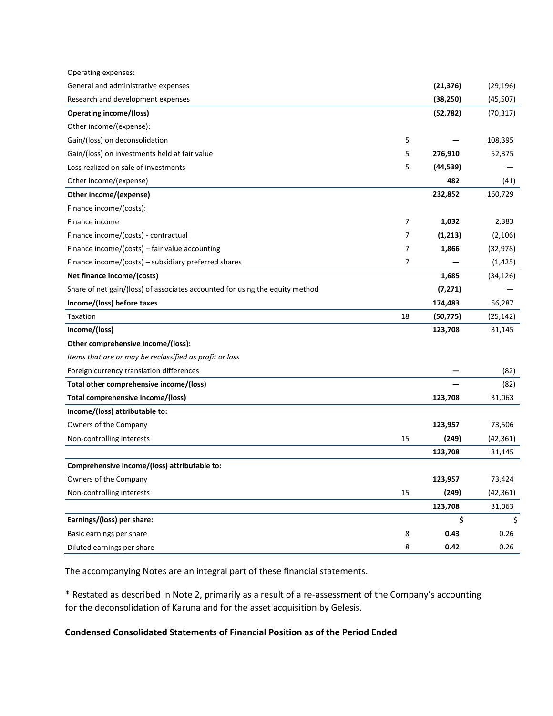| Operating expenses:                                                          |                |           |           |
|------------------------------------------------------------------------------|----------------|-----------|-----------|
| General and administrative expenses                                          |                | (21, 376) | (29, 196) |
| Research and development expenses                                            |                | (38, 250) | (45, 507) |
| <b>Operating income/(loss)</b>                                               |                | (52, 782) | (70, 317) |
| Other income/(expense):                                                      |                |           |           |
| Gain/(loss) on deconsolidation                                               | 5              |           | 108,395   |
| Gain/(loss) on investments held at fair value                                | 5              | 276,910   | 52,375    |
| Loss realized on sale of investments                                         | 5              | (44, 539) |           |
| Other income/(expense)                                                       |                | 482       | (41)      |
| Other income/(expense)                                                       |                | 232,852   | 160,729   |
| Finance income/(costs):                                                      |                |           |           |
| Finance income                                                               | $\overline{7}$ | 1,032     | 2,383     |
| Finance income/(costs) - contractual                                         | 7              | (1, 213)  | (2, 106)  |
| Finance income/(costs) - fair value accounting                               | 7              | 1,866     | (32, 978) |
| Finance income/(costs) – subsidiary preferred shares                         | 7              |           | (1, 425)  |
| Net finance income/(costs)                                                   |                | 1,685     | (34, 126) |
| Share of net gain/(loss) of associates accounted for using the equity method |                | (7, 271)  |           |
| Income/(loss) before taxes                                                   |                | 174,483   | 56,287    |
| Taxation                                                                     | 18             | (50, 775) | (25, 142) |
| Income/(loss)                                                                |                | 123,708   | 31,145    |
| Other comprehensive income/(loss):                                           |                |           |           |
| Items that are or may be reclassified as profit or loss                      |                |           |           |
| Foreign currency translation differences                                     |                |           | (82)      |
| Total other comprehensive income/(loss)                                      |                |           | (82)      |
| Total comprehensive income/(loss)                                            |                | 123,708   | 31,063    |
| Income/(loss) attributable to:                                               |                |           |           |
| Owners of the Company                                                        |                | 123,957   | 73,506    |
| Non-controlling interests                                                    | 15             | (249)     | (42, 361) |
|                                                                              |                | 123,708   | 31,145    |
| Comprehensive income/(loss) attributable to:                                 |                |           |           |
| Owners of the Company                                                        |                | 123,957   | 73,424    |
| Non-controlling interests                                                    | 15             | (249)     | (42, 361) |
|                                                                              |                | 123,708   | 31,063    |
| Earnings/(loss) per share:                                                   |                | \$        | \$        |
| Basic earnings per share                                                     | 8              | 0.43      | 0.26      |
| Diluted earnings per share                                                   | 8              | 0.42      | 0.26      |

The accompanying Notes are an integral part of these financial statements.

\* Restated as described in Note 2, primarily as a result of a re-assessment of the Company's accounting for the deconsolidation of Karuna and for the asset acquisition by Gelesis.

# **Condensed Consolidated Statements of Financial Position as of the Period Ended**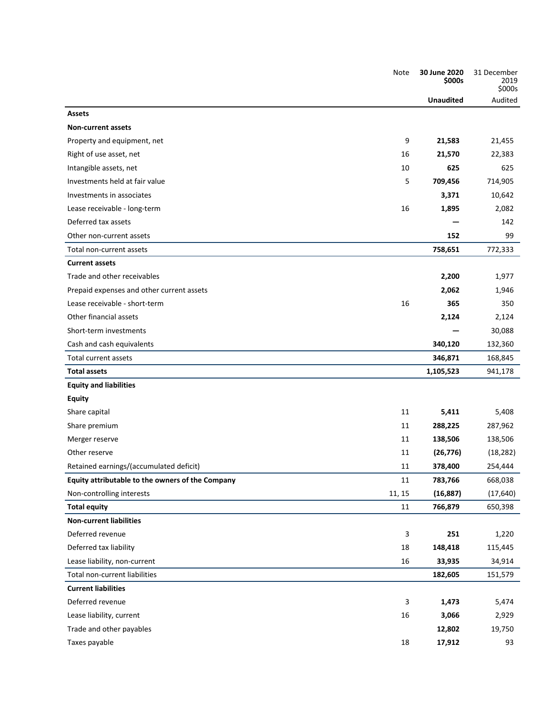|                                                  | Note   | 30 June 2020<br>\$000s | 31 December<br>2019<br>\$000s |
|--------------------------------------------------|--------|------------------------|-------------------------------|
|                                                  |        | <b>Unaudited</b>       | Audited                       |
| <b>Assets</b>                                    |        |                        |                               |
| <b>Non-current assets</b>                        |        |                        |                               |
| Property and equipment, net                      | 9      | 21,583                 | 21,455                        |
| Right of use asset, net                          | 16     | 21,570                 | 22,383                        |
| Intangible assets, net                           | 10     | 625                    | 625                           |
| Investments held at fair value                   | 5      | 709,456                | 714,905                       |
| Investments in associates                        |        | 3,371                  | 10,642                        |
| Lease receivable - long-term                     | 16     | 1,895                  | 2,082                         |
| Deferred tax assets                              |        |                        | 142                           |
| Other non-current assets                         |        | 152                    | 99                            |
| Total non-current assets                         |        | 758,651                | 772,333                       |
| <b>Current assets</b>                            |        |                        |                               |
| Trade and other receivables                      |        | 2,200                  | 1,977                         |
| Prepaid expenses and other current assets        |        | 2,062                  | 1,946                         |
| Lease receivable - short-term                    | 16     | 365                    | 350                           |
| Other financial assets                           |        | 2,124                  | 2,124                         |
| Short-term investments                           |        |                        | 30,088                        |
| Cash and cash equivalents                        |        | 340,120                | 132,360                       |
| Total current assets                             |        | 346,871                | 168,845                       |
| <b>Total assets</b>                              |        | 1,105,523              | 941,178                       |
| <b>Equity and liabilities</b>                    |        |                        |                               |
| <b>Equity</b>                                    |        |                        |                               |
| Share capital                                    | 11     | 5,411                  | 5,408                         |
| Share premium                                    | 11     | 288,225                | 287,962                       |
| Merger reserve                                   | 11     | 138,506                | 138,506                       |
| Other reserve                                    | 11     | (26, 776)              | (18, 282)                     |
| Retained earnings/(accumulated deficit)          | 11     | 378,400                | 254,444                       |
| Equity attributable to the owners of the Company | 11     | 783,766                | 668,038                       |
| Non-controlling interests                        | 11, 15 | (16, 887)              | (17, 640)                     |
| <b>Total equity</b>                              | 11     | 766,879                | 650,398                       |
| <b>Non-current liabilities</b>                   |        |                        |                               |
| Deferred revenue                                 | 3      | 251                    | 1,220                         |
| Deferred tax liability                           | 18     | 148,418                | 115,445                       |
| Lease liability, non-current                     | 16     | 33,935                 | 34,914                        |
| Total non-current liabilities                    |        | 182,605                | 151,579                       |
| <b>Current liabilities</b>                       |        |                        |                               |
| Deferred revenue                                 | 3      | 1,473                  | 5,474                         |
| Lease liability, current                         | 16     | 3,066                  | 2,929                         |
| Trade and other payables                         |        | 12,802                 | 19,750                        |
| Taxes payable                                    | 18     | 17,912                 | 93                            |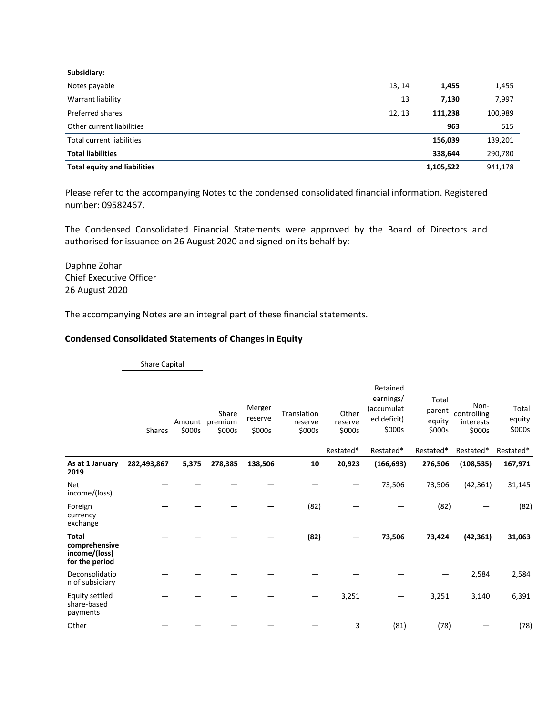| Subsidiary:                         |        |           |         |
|-------------------------------------|--------|-----------|---------|
| Notes payable                       | 13, 14 | 1,455     | 1,455   |
| Warrant liability                   | 13     | 7,130     | 7,997   |
| Preferred shares                    | 12, 13 | 111,238   | 100,989 |
| Other current liabilities           |        | 963       | 515     |
| Total current liabilities           |        | 156,039   | 139,201 |
| <b>Total liabilities</b>            |        | 338,644   | 290,780 |
| <b>Total equity and liabilities</b> |        | 1,105,522 | 941,178 |

Please refer to the accompanying Notes to the condensed consolidated financial information. Registered number: 09582467.

The Condensed Consolidated Financial Statements were approved by the Board of Directors and authorised for issuance on 26 August 2020 and signed on its behalf by:

Daphne Zohar Chief Executive Officer 26 August 2020

The accompanying Notes are an integral part of these financial statements.

## **Condensed Consolidated Statements of Changes in Equity**

Share Capital Shares Amount premium \$000s Share \$000s Merger reserve \$000s Translation reserve \$000s **Other** reserve \$000s Retained earnings/ (accumulat ed deficit) \$000s Total - Non-<br>parent <sub>controlling</sub> equity \$000s controlling interests \$000s Total equity \$000s Restated\* Restated\* Restated\* Restated\* Restated\* **As at 1 January 2019 282,493,867 5,375 278,385 138,506 10 20,923 (166,693) 276,506 (108,535) 167,971** Net income/(loss) — — — — — — 73,506 73,506 (42,361) 31,145 Foreign currency exchange **— — — —** (82) — — (82) — (82) **Total comprehensive income/(loss) for the period — — — — (82) — 73,506 73,424 (42,361) 31,063** Deconsolidatio n of subsidiary — — — — — — — — 2,584 2,584 Equity settled share-based payments — — — — — 3,251 — 3,251 3,140 6,391 Other — — — — — 3 (81) (78) — (78)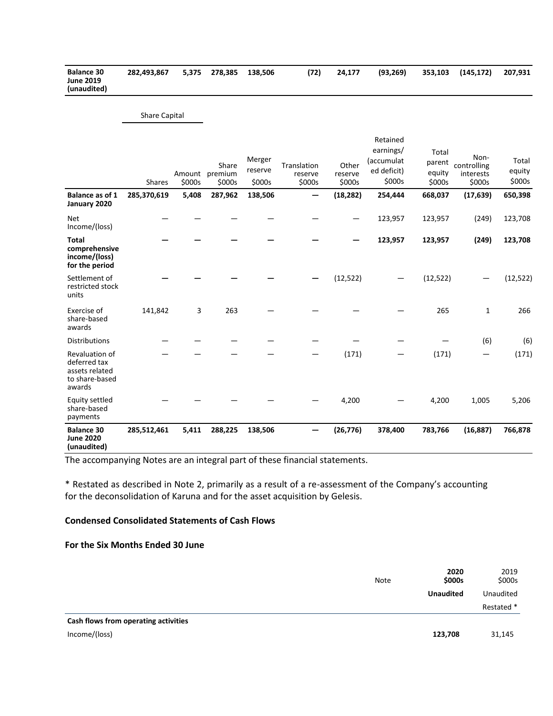| <b>Balance 30</b> | 282.493.867 | 5.375 278.385 138.506 | (72) | 24.177 | (93.269) | 353.103 (145.172) | 207.931 |
|-------------------|-------------|-----------------------|------|--------|----------|-------------------|---------|
| <b>June 2019</b>  |             |                       |      |        |          |                   |         |
| (unaudited)       |             |                       |      |        |          |                   |         |

#### Share Capital

|                                                                              | Shares      | Amount<br>\$000s | Share<br>premium<br>\$000s | Merger<br>reserve<br>\$000s | Translation<br>reserve<br>\$000s | Other<br>reserve<br>\$000s | Retained<br>earnings/<br>(accumulat<br>ed deficit)<br>\$000s | Total<br>parent<br>equity<br>\$000s | Non-<br>controlling<br>interests<br>\$000s | Total<br>equity<br>\$000s |
|------------------------------------------------------------------------------|-------------|------------------|----------------------------|-----------------------------|----------------------------------|----------------------------|--------------------------------------------------------------|-------------------------------------|--------------------------------------------|---------------------------|
| Balance as of 1<br>January 2020                                              | 285,370,619 | 5,408            | 287,962                    | 138,506                     |                                  | (18, 282)                  | 254,444                                                      | 668,037                             | (17, 639)                                  | 650,398                   |
| <b>Net</b><br>Income/(loss)                                                  |             |                  |                            |                             |                                  |                            | 123,957                                                      | 123,957                             | (249)                                      | 123,708                   |
| <b>Total</b><br>comprehensive<br>income/(loss)<br>for the period             |             |                  |                            |                             |                                  |                            | 123,957                                                      | 123,957                             | (249)                                      | 123,708                   |
| Settlement of<br>restricted stock<br>units                                   |             |                  |                            |                             |                                  | (12, 522)                  |                                                              | (12, 522)                           |                                            | (12, 522)                 |
| Exercise of<br>share-based<br>awards                                         | 141,842     | 3                | 263                        |                             |                                  |                            |                                                              | 265                                 | $\mathbf{1}$                               | 266                       |
| <b>Distributions</b>                                                         |             |                  |                            |                             |                                  |                            |                                                              |                                     | (6)                                        | (6)                       |
| Revaluation of<br>deferred tax<br>assets related<br>to share-based<br>awards |             |                  |                            |                             |                                  | (171)                      |                                                              | (171)                               | —                                          | (171)                     |
| <b>Equity settled</b><br>share-based<br>payments                             |             |                  |                            |                             |                                  | 4,200                      |                                                              | 4,200                               | 1,005                                      | 5,206                     |
| <b>Balance 30</b><br><b>June 2020</b><br>(unaudited)                         | 285,512,461 | 5,411            | 288,225                    | 138,506                     |                                  | (26, 776)                  | 378,400                                                      | 783,766                             | (16, 887)                                  | 766,878                   |

The accompanying Notes are an integral part of these financial statements.

\* Restated as described in Note 2, primarily as a result of a re-assessment of the Company's accounting for the deconsolidation of Karuna and for the asset acquisition by Gelesis.

#### **Condensed Consolidated Statements of Cash Flows**

#### **For the Six Months Ended 30 June**

|                                      | Note | 2020<br>\$000s   | 2019<br>\$000s<br>Unaudited |
|--------------------------------------|------|------------------|-----------------------------|
|                                      |      | <b>Unaudited</b> |                             |
|                                      |      |                  | Restated *                  |
| Cash flows from operating activities |      |                  |                             |
| Income/(loss)                        |      | 123,708          | 31,145                      |
|                                      |      |                  |                             |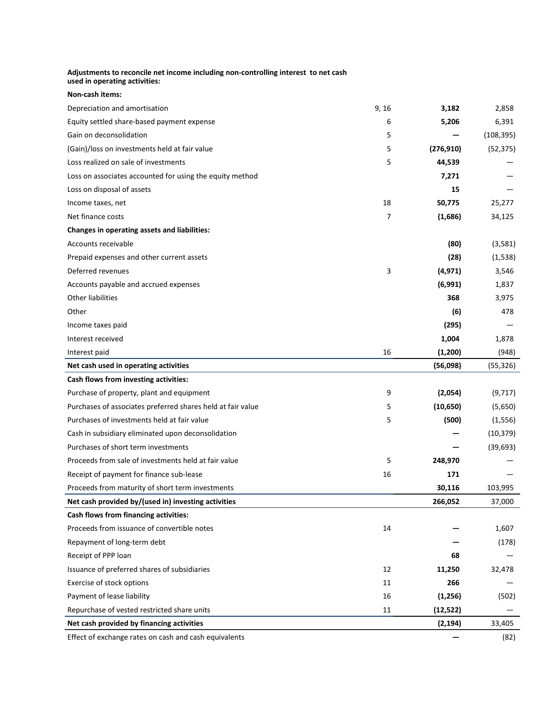| Adjustments to reconcile net income including non-controlling interest to net cash<br>used in operating activities: |       |            |            |
|---------------------------------------------------------------------------------------------------------------------|-------|------------|------------|
| Non-cash items:                                                                                                     |       |            |            |
| Depreciation and amortisation                                                                                       | 9, 16 | 3,182      | 2,858      |
| Equity settled share-based payment expense                                                                          | 6     | 5,206      | 6,391      |
| Gain on deconsolidation                                                                                             | 5     |            | (108, 395) |
| (Gain)/loss on investments held at fair value                                                                       | 5     | (276, 910) | (52, 375)  |
| Loss realized on sale of investments                                                                                | 5     | 44,539     |            |
| Loss on associates accounted for using the equity method                                                            |       | 7,271      |            |
| Loss on disposal of assets                                                                                          |       | 15         |            |
| Income taxes, net                                                                                                   | 18    | 50,775     | 25,277     |
| Net finance costs                                                                                                   | 7     | (1,686)    | 34,125     |
| Changes in operating assets and liabilities:                                                                        |       |            |            |
| Accounts receivable                                                                                                 |       | (80)       | (3,581)    |
| Prepaid expenses and other current assets                                                                           |       | (28)       | (1,538)    |
| Deferred revenues                                                                                                   | 3     | (4, 971)   | 3,546      |
| Accounts payable and accrued expenses                                                                               |       | (6,991)    | 1,837      |
| Other liabilities                                                                                                   |       | 368        | 3,975      |
| Other                                                                                                               |       | (6)        | 478        |
| Income taxes paid                                                                                                   |       | (295)      |            |
| Interest received                                                                                                   |       | 1,004      | 1,878      |
| Interest paid                                                                                                       | 16    | (1,200)    | (948)      |
| Net cash used in operating activities                                                                               |       | (56,098)   | (55, 326)  |
| Cash flows from investing activities:                                                                               |       |            |            |
| Purchase of property, plant and equipment                                                                           | 9     | (2,054)    | (9,717)    |
| Purchases of associates preferred shares held at fair value                                                         | 5     | (10, 650)  | (5,650)    |
| Purchases of investments held at fair value                                                                         | 5     | (500)      | (1, 556)   |
| Cash in subsidiary eliminated upon deconsolidation                                                                  |       |            | (10, 379)  |
| Purchases of short term investments                                                                                 |       |            | (39, 693)  |
| Proceeds from sale of investments held at fair value                                                                | 5     | 248,970    |            |
| Receipt of payment for finance sub-lease                                                                            | 16    | 171        |            |
| Proceeds from maturity of short term investments                                                                    |       | 30,116     | 103,995    |
| Net cash provided by/(used in) investing activities                                                                 |       | 266,052    | 37,000     |
| Cash flows from financing activities:                                                                               |       |            |            |
| Proceeds from issuance of convertible notes                                                                         | 14    |            | 1,607      |
| Repayment of long-term debt                                                                                         |       |            | (178)      |
| Receipt of PPP loan                                                                                                 |       | 68         |            |
| Issuance of preferred shares of subsidiaries                                                                        | 12    | 11,250     | 32,478     |
| Exercise of stock options                                                                                           | 11    | 266        |            |
| Payment of lease liability                                                                                          | 16    | (1,256)    | (502)      |
| Repurchase of vested restricted share units                                                                         | 11    | (12, 522)  |            |
| Net cash provided by financing activities                                                                           |       | (2, 194)   | 33,405     |
| Effect of exchange rates on cash and cash equivalents                                                               |       |            | (82)       |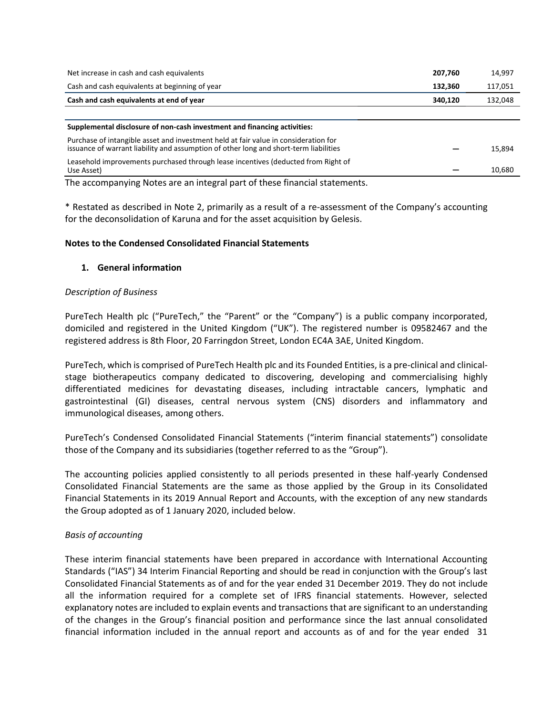| Net increase in cash and cash equivalents                                                                                                                                    | 207,760 | 14,997  |
|------------------------------------------------------------------------------------------------------------------------------------------------------------------------------|---------|---------|
| Cash and cash equivalents at beginning of year                                                                                                                               | 132,360 | 117,051 |
| Cash and cash equivalents at end of year                                                                                                                                     | 340,120 | 132,048 |
|                                                                                                                                                                              |         |         |
| Supplemental disclosure of non-cash investment and financing activities:                                                                                                     |         |         |
| Purchase of intangible asset and investment held at fair value in consideration for<br>issuance of warrant liability and assumption of other long and short-term liabilities |         | 15,894  |
| Leasehold improvements purchased through lease incentives (deducted from Right of<br>Use Asset)                                                                              |         | 10,680  |

The accompanying Notes are an integral part of these financial statements.

\* Restated as described in Note 2, primarily as a result of a re-assessment of the Company's accounting for the deconsolidation of Karuna and for the asset acquisition by Gelesis.

# **Notes to the Condensed Consolidated Financial Statements**

# **1. General information**

# *Description of Business*

PureTech Health plc ("PureTech," the "Parent" or the "Company") is a public company incorporated, domiciled and registered in the United Kingdom ("UK"). The registered number is 09582467 and the registered address is 8th Floor, 20 Farringdon Street, London EC4A 3AE, United Kingdom.

PureTech, which is comprised of PureTech Health plc and its Founded Entities, is a pre-clinical and clinicalstage biotherapeutics company dedicated to discovering, developing and commercialising highly differentiated medicines for devastating diseases, including intractable cancers, lymphatic and gastrointestinal (GI) diseases, central nervous system (CNS) disorders and inflammatory and immunological diseases, among others.

PureTech's Condensed Consolidated Financial Statements ("interim financial statements") consolidate those of the Company and its subsidiaries (together referred to as the "Group").

The accounting policies applied consistently to all periods presented in these half-yearly Condensed Consolidated Financial Statements are the same as those applied by the Group in its Consolidated Financial Statements in its 2019 Annual Report and Accounts, with the exception of any new standards the Group adopted as of 1 January 2020, included below.

# *Basis of accounting*

These interim financial statements have been prepared in accordance with International Accounting Standards ("IAS") 34 Interim Financial Reporting and should be read in conjunction with the Group's last Consolidated Financial Statements as of and for the year ended 31 December 2019. They do not include all the information required for a complete set of IFRS financial statements. However, selected explanatory notes are included to explain events and transactions that are significant to an understanding of the changes in the Group's financial position and performance since the last annual consolidated financial information included in the annual report and accounts as of and for the year ended 31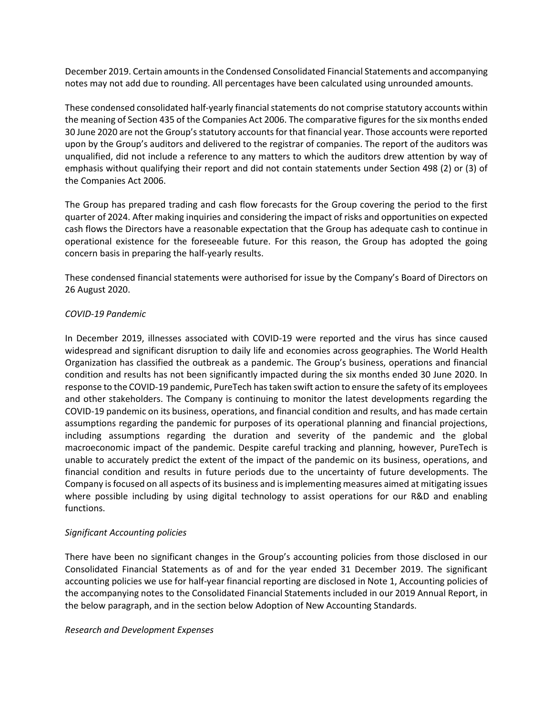December 2019. Certain amounts in the Condensed Consolidated Financial Statements and accompanying notes may not add due to rounding. All percentages have been calculated using unrounded amounts.

These condensed consolidated half-yearly financial statements do not comprise statutory accounts within the meaning of Section 435 of the Companies Act 2006. The comparative figures for the six months ended 30 June 2020 are not the Group's statutory accounts for that financial year. Those accounts were reported upon by the Group's auditors and delivered to the registrar of companies. The report of the auditors was unqualified, did not include a reference to any matters to which the auditors drew attention by way of emphasis without qualifying their report and did not contain statements under Section 498 (2) or (3) of the Companies Act 2006.

The Group has prepared trading and cash flow forecasts for the Group covering the period to the first quarter of 2024. After making inquiries and considering the impact of risks and opportunities on expected cash flows the Directors have a reasonable expectation that the Group has adequate cash to continue in operational existence for the foreseeable future. For this reason, the Group has adopted the going concern basis in preparing the half-yearly results.

These condensed financial statements were authorised for issue by the Company's Board of Directors on 26 August 2020.

#### *COVID-19 Pandemic*

In December 2019, illnesses associated with COVID-19 were reported and the virus has since caused widespread and significant disruption to daily life and economies across geographies. The World Health Organization has classified the outbreak as a pandemic. The Group's business, operations and financial condition and results has not been significantly impacted during the six months ended 30 June 2020. In response to the COVID-19 pandemic, PureTech has taken swift action to ensure the safety of its employees and other stakeholders. The Company is continuing to monitor the latest developments regarding the COVID-19 pandemic on its business, operations, and financial condition and results, and has made certain assumptions regarding the pandemic for purposes of its operational planning and financial projections, including assumptions regarding the duration and severity of the pandemic and the global macroeconomic impact of the pandemic. Despite careful tracking and planning, however, PureTech is unable to accurately predict the extent of the impact of the pandemic on its business, operations, and financial condition and results in future periods due to the uncertainty of future developments. The Company is focused on all aspects of its business and is implementing measures aimed at mitigating issues where possible including by using digital technology to assist operations for our R&D and enabling functions.

# *Significant Accounting policies*

There have been no significant changes in the Group's accounting policies from those disclosed in our Consolidated Financial Statements as of and for the year ended 31 December 2019. The significant accounting policies we use for half-year financial reporting are disclosed in Note 1, Accounting policies of the accompanying notes to the Consolidated Financial Statements included in our 2019 Annual Report, in the below paragraph, and in the section below Adoption of New Accounting Standards.

#### *Research and Development Expenses*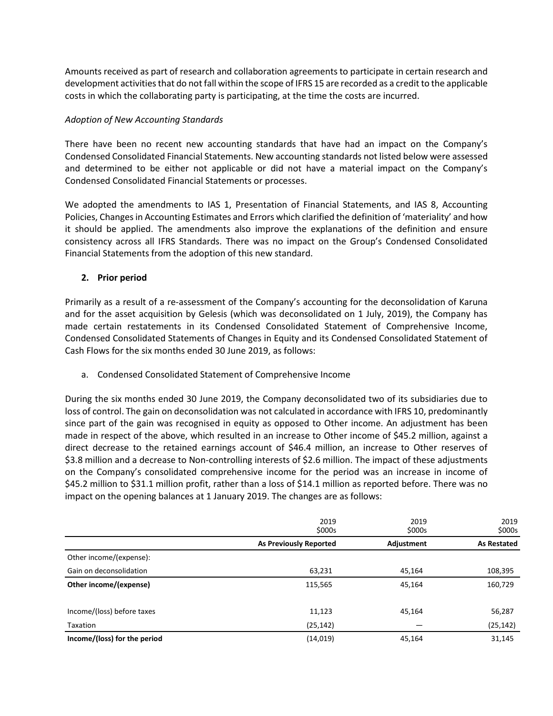Amounts received as part of research and collaboration agreements to participate in certain research and development activities that do not fall within the scope of IFRS 15 are recorded as a credit to the applicable costs in which the collaborating party is participating, at the time the costs are incurred.

# *Adoption of New Accounting Standards*

There have been no recent new accounting standards that have had an impact on the Company's Condensed Consolidated Financial Statements. New accounting standards not listed below were assessed and determined to be either not applicable or did not have a material impact on the Company's Condensed Consolidated Financial Statements or processes.

We adopted the amendments to IAS 1, Presentation of Financial Statements, and IAS 8, Accounting Policies, Changes in Accounting Estimates and Errors which clarified the definition of 'materiality' and how it should be applied. The amendments also improve the explanations of the definition and ensure consistency across all IFRS Standards. There was no impact on the Group's Condensed Consolidated Financial Statements from the adoption of this new standard.

# **2. Prior period**

Primarily as a result of a re-assessment of the Company's accounting for the deconsolidation of Karuna and for the asset acquisition by Gelesis (which was deconsolidated on 1 July, 2019), the Company has made certain restatements in its Condensed Consolidated Statement of Comprehensive Income, Condensed Consolidated Statements of Changes in Equity and its Condensed Consolidated Statement of Cash Flows for the six months ended 30 June 2019, as follows:

# a. Condensed Consolidated Statement of Comprehensive Income

During the six months ended 30 June 2019, the Company deconsolidated two of its subsidiaries due to loss of control. The gain on deconsolidation was not calculated in accordance with IFRS 10, predominantly since part of the gain was recognised in equity as opposed to Other income. An adjustment has been made in respect of the above, which resulted in an increase to Other income of \$45.2 million, against a direct decrease to the retained earnings account of \$46.4 million, an increase to Other reserves of \$3.8 million and a decrease to Non-controlling interests of \$2.6 million. The impact of these adjustments on the Company's consolidated comprehensive income for the period was an increase in income of \$45.2 million to \$31.1 million profit, rather than a loss of \$14.1 million as reported before. There was no impact on the opening balances at 1 January 2019. The changes are as follows:

|                              | 2019<br>\$000s                | 2019<br>\$000s | 2019<br>\$000s     |
|------------------------------|-------------------------------|----------------|--------------------|
|                              | <b>As Previously Reported</b> | Adjustment     | <b>As Restated</b> |
| Other income/(expense):      |                               |                |                    |
| Gain on deconsolidation      | 63,231                        | 45,164         | 108,395            |
| Other income/(expense)       | 115,565                       | 45.164         | 160,729            |
|                              |                               |                |                    |
| Income/(loss) before taxes   | 11,123                        | 45,164         | 56,287             |
| Taxation                     | (25, 142)                     |                | (25, 142)          |
| Income/(loss) for the period | (14, 019)                     | 45,164         | 31,145             |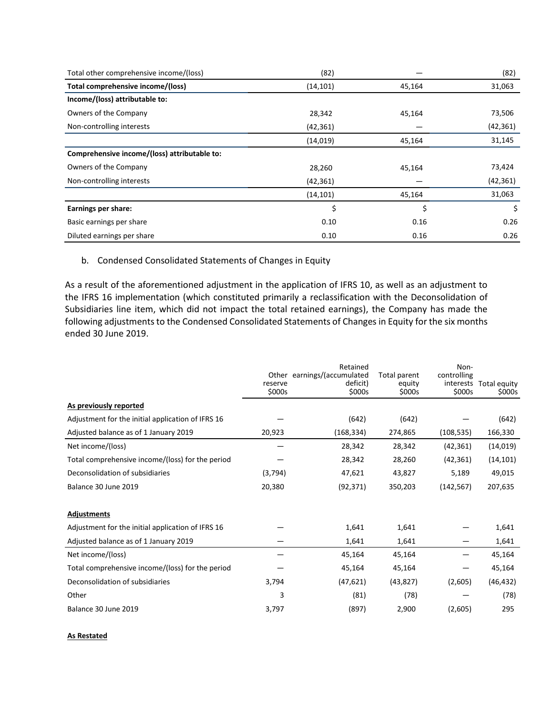| Total other comprehensive income/(loss)      | (82)      |        | (82)      |
|----------------------------------------------|-----------|--------|-----------|
| Total comprehensive income/(loss)            | (14, 101) | 45,164 | 31,063    |
| Income/(loss) attributable to:               |           |        |           |
| Owners of the Company                        | 28,342    | 45,164 | 73,506    |
| Non-controlling interests                    | (42, 361) |        | (42, 361) |
|                                              | (14, 019) | 45,164 | 31,145    |
| Comprehensive income/(loss) attributable to: |           |        |           |
| Owners of the Company                        | 28,260    | 45,164 | 73,424    |
| Non-controlling interests                    | (42, 361) |        | (42, 361) |
|                                              | (14, 101) | 45,164 | 31,063    |
| Earnings per share:                          | \$        | \$     | \$        |
| Basic earnings per share                     | 0.10      | 0.16   | 0.26      |
| Diluted earnings per share                   | 0.10      | 0.16   | 0.26      |

# b. Condensed Consolidated Statements of Changes in Equity

As a result of the aforementioned adjustment in the application of IFRS 10, as well as an adjustment to the IFRS 16 implementation (which constituted primarily a reclassification with the Deconsolidation of Subsidiaries line item, which did not impact the total retained earnings), the Company has made the following adjustments to the Condensed Consolidated Statements of Changes in Equity for the six months ended 30 June 2019.

|                                                   | reserve<br>\$000s | Retained<br>Other earnings/(accumulated<br>deficit)<br>\$000s | Total parent<br>equity<br>\$000s | Non-<br>controlling<br>\$000s | interests Total equity<br>\$000s |
|---------------------------------------------------|-------------------|---------------------------------------------------------------|----------------------------------|-------------------------------|----------------------------------|
| As previously reported                            |                   |                                                               |                                  |                               |                                  |
| Adjustment for the initial application of IFRS 16 |                   | (642)                                                         | (642)                            |                               | (642)                            |
| Adjusted balance as of 1 January 2019             | 20,923            | (168, 334)                                                    | 274,865                          | (108, 535)                    | 166,330                          |
| Net income/(loss)                                 |                   | 28,342                                                        | 28,342                           | (42, 361)                     | (14, 019)                        |
| Total comprehensive income/(loss) for the period  |                   | 28,342                                                        | 28,260                           | (42, 361)                     | (14, 101)                        |
| Deconsolidation of subsidiaries                   | (3,794)           | 47,621                                                        | 43,827                           | 5,189                         | 49,015                           |
| Balance 30 June 2019                              | 20,380            | (92, 371)                                                     | 350,203                          | (142, 567)                    | 207,635                          |
| <b>Adjustments</b>                                |                   |                                                               |                                  |                               |                                  |
| Adjustment for the initial application of IFRS 16 |                   | 1,641                                                         | 1,641                            |                               | 1,641                            |
| Adjusted balance as of 1 January 2019             |                   | 1,641                                                         | 1,641                            |                               | 1,641                            |
| Net income/(loss)                                 |                   | 45,164                                                        | 45,164                           |                               | 45,164                           |
| Total comprehensive income/(loss) for the period  |                   | 45,164                                                        | 45,164                           |                               | 45,164                           |
| Deconsolidation of subsidiaries                   | 3,794             | (47, 621)                                                     | (43, 827)                        | (2,605)                       | (46, 432)                        |
| Other                                             | 3                 | (81)                                                          | (78)                             |                               | (78)                             |
| Balance 30 June 2019                              | 3,797             | (897)                                                         | 2,900                            | (2,605)                       | 295                              |

#### **As Restated**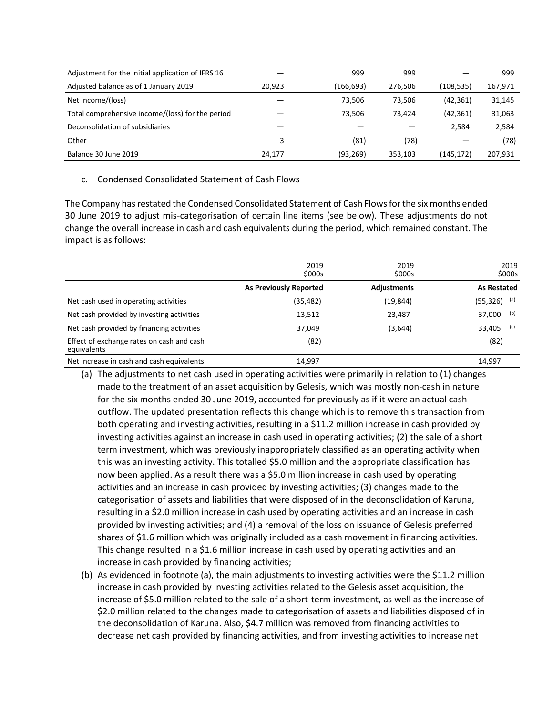| Adjustment for the initial application of IFRS 16 |        | 999       | 999     |           | 999     |
|---------------------------------------------------|--------|-----------|---------|-----------|---------|
| Adjusted balance as of 1 January 2019             | 20.923 | (166,693) | 276,506 | (108,535) | 167,971 |
| Net income/(loss)                                 |        | 73,506    | 73.506  | (42, 361) | 31,145  |
| Total comprehensive income/(loss) for the period  |        | 73.506    | 73.424  | (42, 361) | 31,063  |
| Deconsolidation of subsidiaries                   |        |           |         | 2.584     | 2,584   |
| Other                                             | 3      | (81)      | (78)    |           | (78)    |
| Balance 30 June 2019                              | 24.177 | (93, 269) | 353.103 | (145,172) | 207.931 |

# c. Condensed Consolidated Statement of Cash Flows

The Company has restated the Condensed Consolidated Statement of Cash Flows for the six months ended 30 June 2019 to adjust mis-categorisation of certain line items (see below). These adjustments do not change the overall increase in cash and cash equivalents during the period, which remained constant. The impact is as follows:

|                                                          | 2019<br>\$000s                | 2019<br>\$000s     | 2019<br>\$000s     |
|----------------------------------------------------------|-------------------------------|--------------------|--------------------|
|                                                          | <b>As Previously Reported</b> | <b>Adjustments</b> | <b>As Restated</b> |
| Net cash used in operating activities                    | (35,482)                      | (19, 844)          | (a)<br>(55, 326)   |
| Net cash provided by investing activities                | 13,512                        | 23,487             | (b)<br>37,000      |
| Net cash provided by financing activities                | 37,049                        | (3,644)            | (c)<br>33,405      |
| Effect of exchange rates on cash and cash<br>equivalents | (82)                          |                    | (82)               |
| Net increase in cash and cash equivalents                | 14.997                        |                    | 14.997             |

- (a) The adjustments to net cash used in operating activities were primarily in relation to (1) changes made to the treatment of an asset acquisition by Gelesis, which was mostly non-cash in nature for the six months ended 30 June 2019, accounted for previously as if it were an actual cash outflow. The updated presentation reflects this change which is to remove this transaction from both operating and investing activities, resulting in a \$11.2 million increase in cash provided by investing activities against an increase in cash used in operating activities; (2) the sale of a short term investment, which was previously inappropriately classified as an operating activity when this was an investing activity. This totalled \$5.0 million and the appropriate classification has now been applied. As a result there was a \$5.0 million increase in cash used by operating activities and an increase in cash provided by investing activities; (3) changes made to the categorisation of assets and liabilities that were disposed of in the deconsolidation of Karuna, resulting in a \$2.0 million increase in cash used by operating activities and an increase in cash provided by investing activities; and (4) a removal of the loss on issuance of Gelesis preferred shares of \$1.6 million which was originally included as a cash movement in financing activities. This change resulted in a \$1.6 million increase in cash used by operating activities and an increase in cash provided by financing activities;
- (b) As evidenced in footnote (a), the main adjustments to investing activities were the \$11.2 million increase in cash provided by investing activities related to the Gelesis asset acquisition, the increase of \$5.0 million related to the sale of a short-term investment, as well as the increase of \$2.0 million related to the changes made to categorisation of assets and liabilities disposed of in the deconsolidation of Karuna. Also, \$4.7 million was removed from financing activities to decrease net cash provided by financing activities, and from investing activities to increase net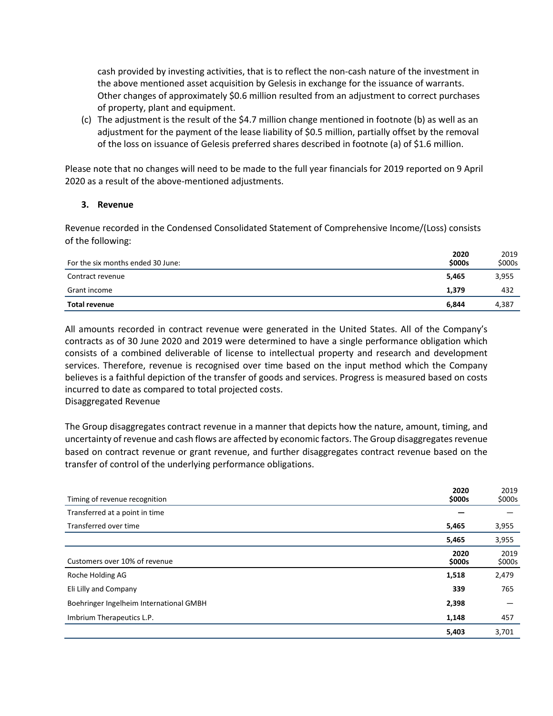cash provided by investing activities, that is to reflect the non-cash nature of the investment in the above mentioned asset acquisition by Gelesis in exchange for the issuance of warrants. Other changes of approximately \$0.6 million resulted from an adjustment to correct purchases of property, plant and equipment.

(c) The adjustment is the result of the \$4.7 million change mentioned in footnote (b) as well as an adjustment for the payment of the lease liability of \$0.5 million, partially offset by the removal of the loss on issuance of Gelesis preferred shares described in footnote (a) of \$1.6 million.

Please note that no changes will need to be made to the full year financials for 2019 reported on 9 April 2020 as a result of the above-mentioned adjustments.

## **3. Revenue**

Revenue recorded in the Condensed Consolidated Statement of Comprehensive Income/(Loss) consists of the following:

| For the six months ended 30 June: | 2020<br>\$000s | 2019<br>\$000s |
|-----------------------------------|----------------|----------------|
| Contract revenue                  | 5,465          | 3,955          |
| Grant income                      | 1.379          | 432            |
| <b>Total revenue</b>              | 6.844          | 4,387          |

All amounts recorded in contract revenue were generated in the United States. All of the Company's contracts as of 30 June 2020 and 2019 were determined to have a single performance obligation which consists of a combined deliverable of license to intellectual property and research and development services. Therefore, revenue is recognised over time based on the input method which the Company believes is a faithful depiction of the transfer of goods and services. Progress is measured based on costs incurred to date as compared to total projected costs. Disaggregated Revenue

The Group disaggregates contract revenue in a manner that depicts how the nature, amount, timing, and uncertainty of revenue and cash flows are affected by economic factors. The Group disaggregates revenue based on contract revenue or grant revenue, and further disaggregates contract revenue based on the transfer of control of the underlying performance obligations.

|                                         | 2020           | 2019           |
|-----------------------------------------|----------------|----------------|
| Timing of revenue recognition           | \$000s         | \$000s         |
| Transferred at a point in time          |                |                |
| Transferred over time                   | 5,465          | 3,955          |
|                                         | 5,465          | 3,955          |
| Customers over 10% of revenue           | 2020<br>\$000s | 2019<br>\$000s |
| Roche Holding AG                        | 1,518          | 2,479          |
| Eli Lilly and Company                   | 339            | 765            |
| Boehringer Ingelheim International GMBH | 2,398          |                |
| Imbrium Therapeutics L.P.               | 1,148          | 457            |
|                                         | 5,403          | 3,701          |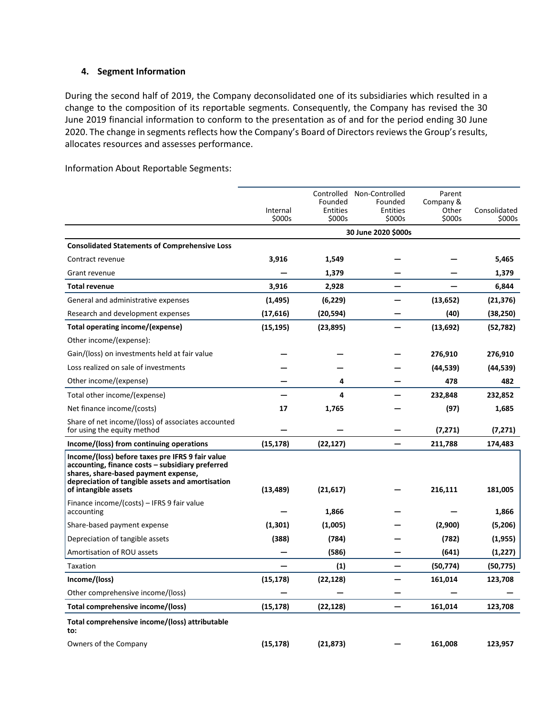# **4. Segment Information**

During the second half of 2019, the Company deconsolidated one of its subsidiaries which resulted in a change to the composition of its reportable segments. Consequently, the Company has revised the 30 June 2019 financial information to conform to the presentation as of and for the period ending 30 June 2020. The change in segments reflects how the Company's Board of Directors reviews the Group's results, allocates resources and assesses performance.

Information About Reportable Segments:

|                                                                                                                                                                                                                          | Internal<br>\$000s | Founded<br>Entities<br>\$000s | Controlled Non-Controlled<br>Founded<br>Entities<br>\$000s | Parent<br>Company &<br>Other<br>\$000s | Consolidated<br>\$000s |
|--------------------------------------------------------------------------------------------------------------------------------------------------------------------------------------------------------------------------|--------------------|-------------------------------|------------------------------------------------------------|----------------------------------------|------------------------|
|                                                                                                                                                                                                                          |                    |                               | 30 June 2020 \$000s                                        |                                        |                        |
| <b>Consolidated Statements of Comprehensive Loss</b>                                                                                                                                                                     |                    |                               |                                                            |                                        |                        |
| Contract revenue                                                                                                                                                                                                         | 3,916              | 1,549                         |                                                            |                                        | 5,465                  |
| Grant revenue                                                                                                                                                                                                            |                    | 1,379                         |                                                            |                                        | 1,379                  |
| <b>Total revenue</b>                                                                                                                                                                                                     | 3,916              | 2,928                         |                                                            |                                        | 6,844                  |
| General and administrative expenses                                                                                                                                                                                      | (1, 495)           | (6, 229)                      |                                                            | (13, 652)                              | (21, 376)              |
| Research and development expenses                                                                                                                                                                                        | (17,616)           | (20, 594)                     |                                                            | (40)                                   | (38, 250)              |
| Total operating income/(expense)                                                                                                                                                                                         | (15, 195)          | (23, 895)                     |                                                            | (13, 692)                              | (52,782)               |
| Other income/(expense):                                                                                                                                                                                                  |                    |                               |                                                            |                                        |                        |
| Gain/(loss) on investments held at fair value                                                                                                                                                                            |                    |                               |                                                            | 276,910                                | 276,910                |
| Loss realized on sale of investments                                                                                                                                                                                     |                    |                               |                                                            | (44, 539)                              | (44,539)               |
| Other income/(expense)                                                                                                                                                                                                   |                    | 4                             |                                                            | 478                                    | 482                    |
| Total other income/(expense)                                                                                                                                                                                             |                    | 4                             |                                                            | 232,848                                | 232,852                |
| Net finance income/(costs)                                                                                                                                                                                               | 17                 | 1,765                         |                                                            | (97)                                   | 1,685                  |
| Share of net income/(loss) of associates accounted<br>for using the equity method                                                                                                                                        |                    |                               |                                                            | (7, 271)                               | (7, 271)               |
| Income/(loss) from continuing operations                                                                                                                                                                                 | (15, 178)          | (22, 127)                     |                                                            | 211,788                                | 174,483                |
| Income/(loss) before taxes pre IFRS 9 fair value<br>accounting, finance costs - subsidiary preferred<br>shares, share-based payment expense,<br>depreciation of tangible assets and amortisation<br>of intangible assets | (13, 489)          | (21, 617)                     |                                                            | 216,111                                | 181,005                |
| Finance income/(costs) – IFRS 9 fair value<br>accounting                                                                                                                                                                 |                    | 1,866                         |                                                            |                                        | 1,866                  |
| Share-based payment expense                                                                                                                                                                                              | (1,301)            | (1,005)                       |                                                            | (2,900)                                | (5,206)                |
| Depreciation of tangible assets                                                                                                                                                                                          | (388)              | (784)                         |                                                            | (782)                                  | (1, 955)               |
| Amortisation of ROU assets                                                                                                                                                                                               |                    | (586)                         |                                                            | (641)                                  | (1,227)                |
| Taxation                                                                                                                                                                                                                 |                    | (1)                           |                                                            | (50, 774)                              | (50, 775)              |
| Income/(loss)                                                                                                                                                                                                            | (15, 178)          | (22, 128)                     |                                                            | 161,014                                | 123,708                |
| Other comprehensive income/(loss)                                                                                                                                                                                        |                    |                               |                                                            |                                        |                        |
| Total comprehensive income/(loss)                                                                                                                                                                                        | (15, 178)          | (22, 128)                     |                                                            | 161,014                                | 123,708                |
| Total comprehensive income/(loss) attributable<br>to:                                                                                                                                                                    |                    |                               |                                                            |                                        |                        |
| Owners of the Company                                                                                                                                                                                                    | (15, 178)          | (21, 873)                     |                                                            | 161,008                                | 123,957                |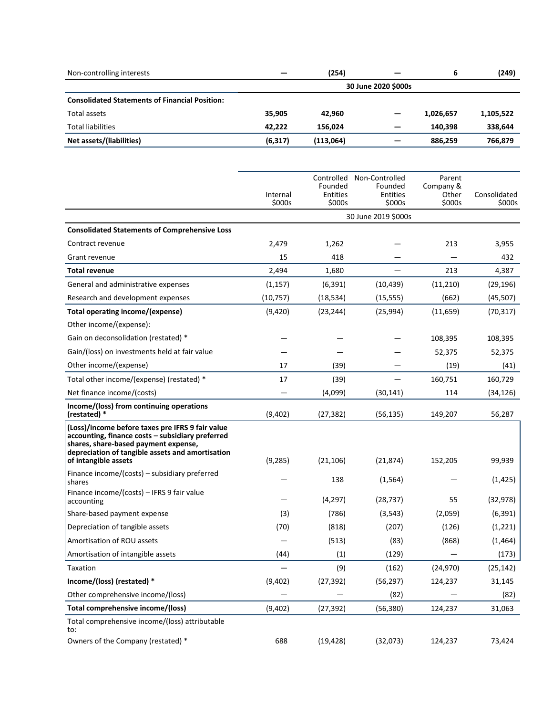| Non-controlling interests                             |          | (254)     |                     | 6         | (249)     |
|-------------------------------------------------------|----------|-----------|---------------------|-----------|-----------|
|                                                       |          |           | 30 June 2020 \$000s |           |           |
| <b>Consolidated Statements of Financial Position:</b> |          |           |                     |           |           |
| Total assets                                          | 35,905   | 42.960    |                     | 1,026,657 | 1,105,522 |
| <b>Total liabilities</b>                              | 42.222   | 156.024   |                     | 140.398   | 338,644   |
| Net assets/(liabilities)                              | (6, 317) | (113,064) | -                   | 886.259   | 766,879   |

|                                                                                                                                                                                                                          | Internal<br>\$000s | Founded<br><b>Entities</b><br>\$000s | Controlled Non-Controlled<br>Founded<br><b>Entities</b><br>\$000s | Parent<br>Company &<br>Other<br>\$000s | Consolidated<br>\$000s |
|--------------------------------------------------------------------------------------------------------------------------------------------------------------------------------------------------------------------------|--------------------|--------------------------------------|-------------------------------------------------------------------|----------------------------------------|------------------------|
|                                                                                                                                                                                                                          |                    |                                      | 30 June 2019 \$000s                                               |                                        |                        |
| <b>Consolidated Statements of Comprehensive Loss</b>                                                                                                                                                                     |                    |                                      |                                                                   |                                        |                        |
| Contract revenue                                                                                                                                                                                                         | 2,479              | 1,262                                |                                                                   | 213                                    | 3,955                  |
| Grant revenue                                                                                                                                                                                                            | 15                 | 418                                  |                                                                   |                                        | 432                    |
| <b>Total revenue</b>                                                                                                                                                                                                     | 2,494              | 1,680                                |                                                                   | 213                                    | 4,387                  |
| General and administrative expenses                                                                                                                                                                                      | (1, 157)           | (6, 391)                             | (10, 439)                                                         | (11,210)                               | (29, 196)              |
| Research and development expenses                                                                                                                                                                                        | (10, 757)          | (18, 534)                            | (15, 555)                                                         | (662)                                  | (45, 507)              |
| Total operating income/(expense)                                                                                                                                                                                         | (9,420)            | (23, 244)                            | (25, 994)                                                         | (11, 659)                              | (70, 317)              |
| Other income/(expense):                                                                                                                                                                                                  |                    |                                      |                                                                   |                                        |                        |
| Gain on deconsolidation (restated) *                                                                                                                                                                                     |                    |                                      |                                                                   | 108,395                                | 108,395                |
| Gain/(loss) on investments held at fair value                                                                                                                                                                            |                    |                                      |                                                                   | 52,375                                 | 52,375                 |
| Other income/(expense)                                                                                                                                                                                                   | 17                 | (39)                                 |                                                                   | (19)                                   | (41)                   |
| Total other income/(expense) (restated) *                                                                                                                                                                                | 17                 | (39)                                 |                                                                   | 160,751                                | 160,729                |
| Net finance income/(costs)                                                                                                                                                                                               |                    | (4,099)                              | (30, 141)                                                         | 114                                    | (34, 126)              |
| Income/(loss) from continuing operations<br>(restated) *                                                                                                                                                                 | (9,402)            | (27, 382)                            | (56, 135)                                                         | 149,207                                | 56,287                 |
| (Loss)/income before taxes pre IFRS 9 fair value<br>accounting, finance costs - subsidiary preferred<br>shares, share-based payment expense,<br>depreciation of tangible assets and amortisation<br>of intangible assets | (9, 285)           | (21, 106)                            | (21, 874)                                                         | 152,205                                | 99,939                 |
| Finance income/(costs) – subsidiary preferred<br>shares                                                                                                                                                                  |                    | 138                                  | (1, 564)                                                          |                                        | (1, 425)               |
| Finance income/(costs) - IFRS 9 fair value<br>accounting                                                                                                                                                                 |                    | (4, 297)                             | (28, 737)                                                         | 55                                     | (32, 978)              |
| Share-based payment expense                                                                                                                                                                                              | (3)                | (786)                                | (3, 543)                                                          | (2,059)                                | (6, 391)               |
| Depreciation of tangible assets                                                                                                                                                                                          | (70)               | (818)                                | (207)                                                             | (126)                                  | (1, 221)               |
| Amortisation of ROU assets                                                                                                                                                                                               |                    | (513)                                | (83)                                                              | (868)                                  | (1,464)                |
| Amortisation of intangible assets                                                                                                                                                                                        | (44)               | (1)                                  | (129)                                                             |                                        | (173)                  |
| Taxation                                                                                                                                                                                                                 |                    | (9)                                  | (162)                                                             | (24, 970)                              | (25, 142)              |
| Income/(loss) (restated) *                                                                                                                                                                                               | (9,402)            | (27, 392)                            | (56, 297)                                                         | 124,237                                | 31,145                 |
| Other comprehensive income/(loss)                                                                                                                                                                                        |                    |                                      | (82)                                                              |                                        | (82)                   |
| Total comprehensive income/(loss)                                                                                                                                                                                        | (9,402)            | (27, 392)                            | (56, 380)                                                         | 124,237                                | 31,063                 |
| Total comprehensive income/(loss) attributable<br>to:                                                                                                                                                                    |                    |                                      |                                                                   |                                        |                        |
| Owners of the Company (restated) *                                                                                                                                                                                       | 688                | (19, 428)                            | (32,073)                                                          | 124,237                                | 73,424                 |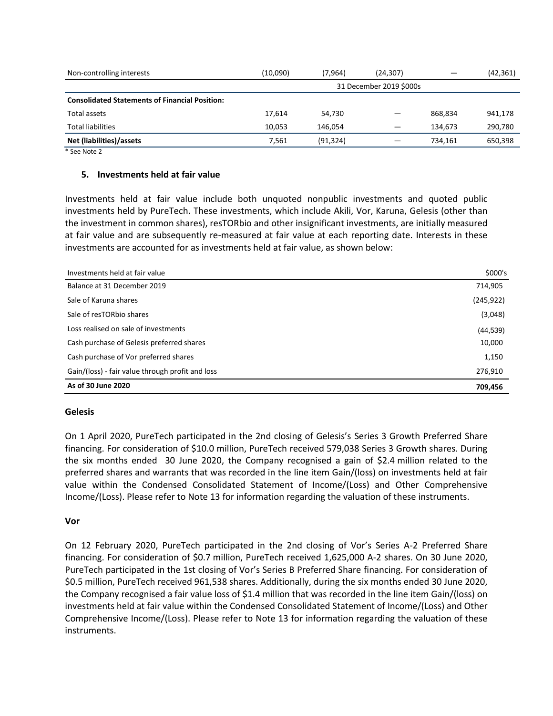| Non-controlling interests                             | (10,090) | (7,964)   | (24,307)                | $\overline{\phantom{0}}$ | (42, 361) |
|-------------------------------------------------------|----------|-----------|-------------------------|--------------------------|-----------|
|                                                       |          |           | 31 December 2019 \$000s |                          |           |
| <b>Consolidated Statements of Financial Position:</b> |          |           |                         |                          |           |
| Total assets                                          | 17,614   | 54,730    |                         | 868.834                  | 941,178   |
| <b>Total liabilities</b>                              | 10.053   | 146.054   |                         | 134.673                  | 290,780   |
| Net (liabilities)/assets                              | 7.561    | (91, 324) |                         | 734.161                  | 650,398   |

\* See Note 2

#### **5. Investments held at fair value**

Investments held at fair value include both unquoted nonpublic investments and quoted public investments held by PureTech. These investments, which include Akili, Vor, Karuna, Gelesis (other than the investment in common shares), resTORbio and other insignificant investments, are initially measured at fair value and are subsequently re-measured at fair value at each reporting date. Interests in these investments are accounted for as investments held at fair value, as shown below:

| Investments held at fair value                   | \$000's    |
|--------------------------------------------------|------------|
| Balance at 31 December 2019                      | 714,905    |
| Sale of Karuna shares                            | (245, 922) |
| Sale of resTORbio shares                         | (3,048)    |
| Loss realised on sale of investments             | (44, 539)  |
| Cash purchase of Gelesis preferred shares        | 10,000     |
| Cash purchase of Vor preferred shares            | 1,150      |
| Gain/(loss) - fair value through profit and loss | 276,910    |
| As of 30 June 2020                               | 709,456    |

#### **Gelesis**

On 1 April 2020, PureTech participated in the 2nd closing of Gelesis's Series 3 Growth Preferred Share financing. For consideration of \$10.0 million, PureTech received 579,038 Series 3 Growth shares. During the six months ended 30 June 2020, the Company recognised a gain of \$2.4 million related to the preferred shares and warrants that was recorded in the line item Gain/(loss) on investments held at fair value within the Condensed Consolidated Statement of Income/(Loss) and Other Comprehensive Income/(Loss). Please refer to Note 13 for information regarding the valuation of these instruments.

#### **Vor**

On 12 February 2020, PureTech participated in the 2nd closing of Vor's Series A-2 Preferred Share financing. For consideration of \$0.7 million, PureTech received 1,625,000 A-2 shares. On 30 June 2020, PureTech participated in the 1st closing of Vor's Series B Preferred Share financing. For consideration of \$0.5 million, PureTech received 961,538 shares. Additionally, during the six months ended 30 June 2020, the Company recognised a fair value loss of \$1.4 million that was recorded in the line item Gain/(loss) on investments held at fair value within the Condensed Consolidated Statement of Income/(Loss) and Other Comprehensive Income/(Loss). Please refer to Note 13 for information regarding the valuation of these instruments.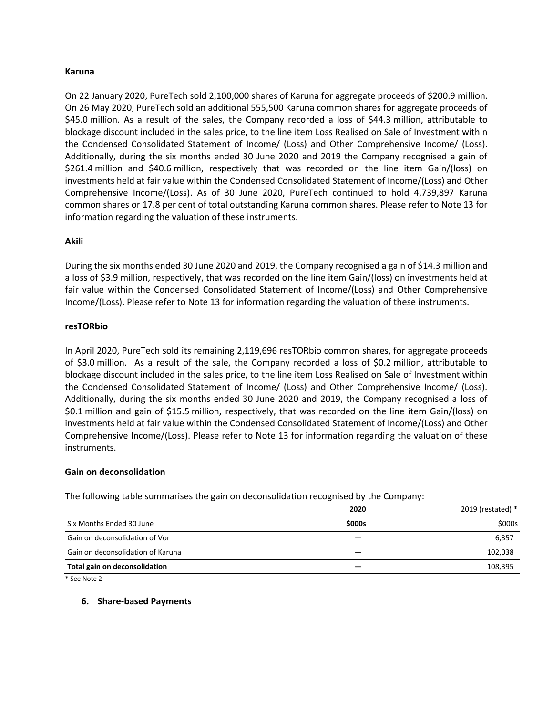## **Karuna**

On 22 January 2020, PureTech sold 2,100,000 shares of Karuna for aggregate proceeds of \$200.9 million. On 26 May 2020, PureTech sold an additional 555,500 Karuna common shares for aggregate proceeds of \$45.0 million. As a result of the sales, the Company recorded a loss of \$44.3 million, attributable to blockage discount included in the sales price, to the line item Loss Realised on Sale of Investment within the Condensed Consolidated Statement of Income/ (Loss) and Other Comprehensive Income/ (Loss). Additionally, during the six months ended 30 June 2020 and 2019 the Company recognised a gain of \$261.4 million and \$40.6 million, respectively that was recorded on the line item Gain/(loss) on investments held at fair value within the Condensed Consolidated Statement of Income/(Loss) and Other Comprehensive Income/(Loss). As of 30 June 2020, PureTech continued to hold 4,739,897 Karuna common shares or 17.8 per cent of total outstanding Karuna common shares. Please refer to Note 13 for information regarding the valuation of these instruments.

## **Akili**

During the six months ended 30 June 2020 and 2019, the Company recognised a gain of \$14.3 million and a loss of \$3.9 million, respectively, that was recorded on the line item Gain/(loss) on investments held at fair value within the Condensed Consolidated Statement of Income/(Loss) and Other Comprehensive Income/(Loss). Please refer to Note 13 for information regarding the valuation of these instruments.

## **resTORbio**

In April 2020, PureTech sold its remaining 2,119,696 resTORbio common shares, for aggregate proceeds of \$3.0 million. As a result of the sale, the Company recorded a loss of \$0.2 million, attributable to blockage discount included in the sales price, to the line item Loss Realised on Sale of Investment within the Condensed Consolidated Statement of Income/ (Loss) and Other Comprehensive Income/ (Loss). Additionally, during the six months ended 30 June 2020 and 2019, the Company recognised a loss of \$0.1 million and gain of \$15.5 million, respectively, that was recorded on the line item Gain/(loss) on investments held at fair value within the Condensed Consolidated Statement of Income/(Loss) and Other Comprehensive Income/(Loss). Please refer to Note 13 for information regarding the valuation of these instruments.

#### **Gain on deconsolidation**

The following table summarises the gain on deconsolidation recognised by the Company:

|                                   | 2020         | 2019 (restated) * |
|-----------------------------------|--------------|-------------------|
| Six Months Ended 30 June          | <b>S000s</b> | \$000s            |
| Gain on deconsolidation of Vor    |              | 6,357             |
| Gain on deconsolidation of Karuna |              | 102,038           |
| Total gain on deconsolidation     |              | 108,395           |

\* See Note 2

#### **6. Share-based Payments**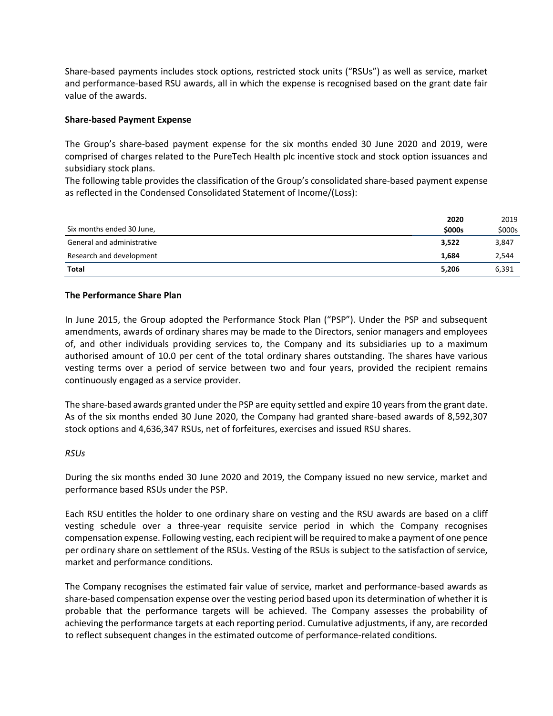Share-based payments includes stock options, restricted stock units ("RSUs") as well as service, market and performance-based RSU awards, all in which the expense is recognised based on the grant date fair value of the awards.

## **Share-based Payment Expense**

The Group's share-based payment expense for the six months ended 30 June 2020 and 2019, were comprised of charges related to the PureTech Health plc incentive stock and stock option issuances and subsidiary stock plans.

The following table provides the classification of the Group's consolidated share-based payment expense as reflected in the Condensed Consolidated Statement of Income/(Loss):

|                            | 2020   | 2019   |
|----------------------------|--------|--------|
| Six months ended 30 June,  | \$000s | \$000s |
| General and administrative | 3.522  | 3,847  |
| Research and development   | 1.684  | 2,544  |
| <b>Total</b>               | 5,206  | 6,391  |

# **The Performance Share Plan**

In June 2015, the Group adopted the Performance Stock Plan ("PSP"). Under the PSP and subsequent amendments, awards of ordinary shares may be made to the Directors, senior managers and employees of, and other individuals providing services to, the Company and its subsidiaries up to a maximum authorised amount of 10.0 per cent of the total ordinary shares outstanding. The shares have various vesting terms over a period of service between two and four years, provided the recipient remains continuously engaged as a service provider.

The share-based awards granted under the PSP are equity settled and expire 10 years from the grant date. As of the six months ended 30 June 2020, the Company had granted share-based awards of 8,592,307 stock options and 4,636,347 RSUs, net of forfeitures, exercises and issued RSU shares.

#### *RSUs*

During the six months ended 30 June 2020 and 2019, the Company issued no new service, market and performance based RSUs under the PSP.

Each RSU entitles the holder to one ordinary share on vesting and the RSU awards are based on a cliff vesting schedule over a three-year requisite service period in which the Company recognises compensation expense. Following vesting, each recipient will be required to make a payment of one pence per ordinary share on settlement of the RSUs. Vesting of the RSUs is subject to the satisfaction of service, market and performance conditions.

The Company recognises the estimated fair value of service, market and performance-based awards as share-based compensation expense over the vesting period based upon its determination of whether it is probable that the performance targets will be achieved. The Company assesses the probability of achieving the performance targets at each reporting period. Cumulative adjustments, if any, are recorded to reflect subsequent changes in the estimated outcome of performance-related conditions.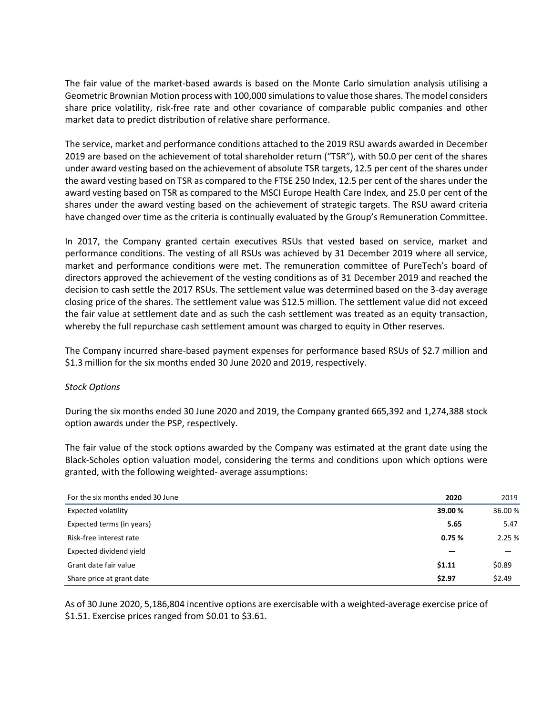The fair value of the market-based awards is based on the Monte Carlo simulation analysis utilising a Geometric Brownian Motion process with 100,000 simulations to value those shares. The model considers share price volatility, risk-free rate and other covariance of comparable public companies and other market data to predict distribution of relative share performance.

The service, market and performance conditions attached to the 2019 RSU awards awarded in December 2019 are based on the achievement of total shareholder return ("TSR"), with 50.0 per cent of the shares under award vesting based on the achievement of absolute TSR targets, 12.5 per cent of the shares under the award vesting based on TSR as compared to the FTSE 250 Index, 12.5 per cent of the shares under the award vesting based on TSR as compared to the MSCI Europe Health Care Index, and 25.0 per cent of the shares under the award vesting based on the achievement of strategic targets. The RSU award criteria have changed over time as the criteria is continually evaluated by the Group's Remuneration Committee.

In 2017, the Company granted certain executives RSUs that vested based on service, market and performance conditions. The vesting of all RSUs was achieved by 31 December 2019 where all service, market and performance conditions were met. The remuneration committee of PureTech's board of directors approved the achievement of the vesting conditions as of 31 December 2019 and reached the decision to cash settle the 2017 RSUs. The settlement value was determined based on the 3-day average closing price of the shares. The settlement value was \$12.5 million. The settlement value did not exceed the fair value at settlement date and as such the cash settlement was treated as an equity transaction, whereby the full repurchase cash settlement amount was charged to equity in Other reserves.

The Company incurred share-based payment expenses for performance based RSUs of \$2.7 million and \$1.3 million for the six months ended 30 June 2020 and 2019, respectively.

# *Stock Options*

During the six months ended 30 June 2020 and 2019, the Company granted 665,392 and 1,274,388 stock option awards under the PSP, respectively.

The fair value of the stock options awarded by the Company was estimated at the grant date using the Black-Scholes option valuation model, considering the terms and conditions upon which options were granted, with the following weighted- average assumptions:

| For the six months ended 30 June | 2020   | 2019    |
|----------------------------------|--------|---------|
| <b>Expected volatility</b>       | 39.00% | 36.00 % |
| Expected terms (in years)        | 5.65   | 5.47    |
| Risk-free interest rate          | 0.75%  | 2.25%   |
| Expected dividend yield          |        |         |
| Grant date fair value            | \$1.11 | \$0.89  |
| Share price at grant date        | \$2.97 | \$2.49  |

As of 30 June 2020, 5,186,804 incentive options are exercisable with a weighted-average exercise price of \$1.51. Exercise prices ranged from \$0.01 to \$3.61.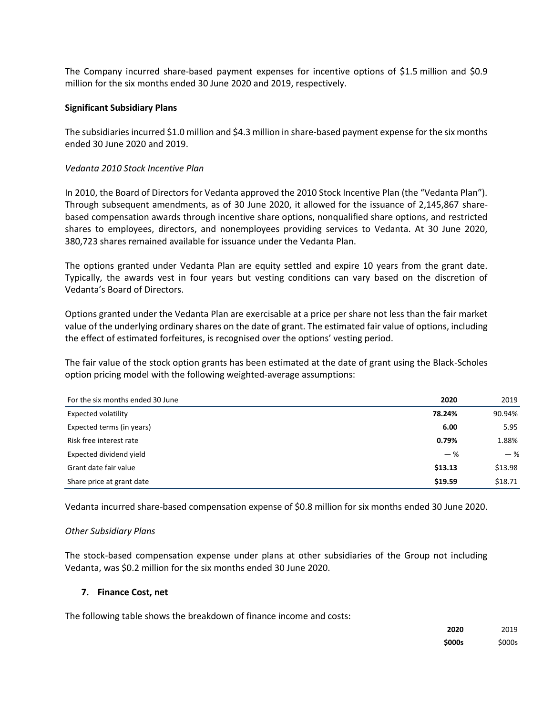The Company incurred share-based payment expenses for incentive options of \$1.5 million and \$0.9 million for the six months ended 30 June 2020 and 2019, respectively.

## **Significant Subsidiary Plans**

The subsidiaries incurred \$1.0 million and \$4.3 million in share-based payment expense for the six months ended 30 June 2020 and 2019.

## *Vedanta 2010 Stock Incentive Plan*

In 2010, the Board of Directors for Vedanta approved the 2010 Stock Incentive Plan (the "Vedanta Plan"). Through subsequent amendments, as of 30 June 2020, it allowed for the issuance of 2,145,867 sharebased compensation awards through incentive share options, nonqualified share options, and restricted shares to employees, directors, and nonemployees providing services to Vedanta. At 30 June 2020, 380,723 shares remained available for issuance under the Vedanta Plan.

The options granted under Vedanta Plan are equity settled and expire 10 years from the grant date. Typically, the awards vest in four years but vesting conditions can vary based on the discretion of Vedanta's Board of Directors.

Options granted under the Vedanta Plan are exercisable at a price per share not less than the fair market value of the underlying ordinary shares on the date of grant. The estimated fair value of options, including the effect of estimated forfeitures, is recognised over the options' vesting period.

The fair value of the stock option grants has been estimated at the date of grant using the Black-Scholes option pricing model with the following weighted-average assumptions:

| For the six months ended 30 June | 2020    | 2019    |
|----------------------------------|---------|---------|
| <b>Expected volatility</b>       | 78.24%  | 90.94%  |
| Expected terms (in years)        | 6.00    | 5.95    |
| Risk free interest rate          | 0.79%   | 1.88%   |
| Expected dividend yield          | $-$ %   | $-$ %   |
| Grant date fair value            | \$13.13 | \$13.98 |
| Share price at grant date        | \$19.59 | \$18.71 |

Vedanta incurred share-based compensation expense of \$0.8 million for six months ended 30 June 2020.

#### *Other Subsidiary Plans*

The stock-based compensation expense under plans at other subsidiaries of the Group not including Vedanta, was \$0.2 million for the six months ended 30 June 2020.

#### **7. Finance Cost, net**

The following table shows the breakdown of finance income and costs:

| 2020          | 2019   |
|---------------|--------|
| <b>\$000s</b> | \$000s |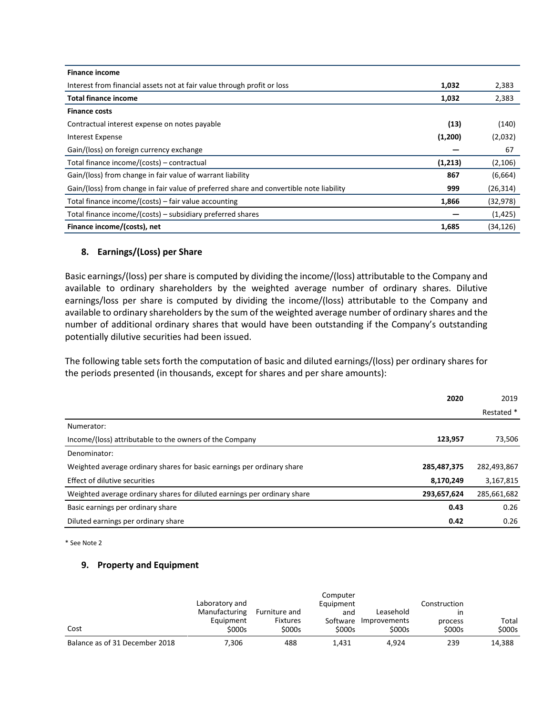| <b>Finance income</b>                                                                   |         |           |
|-----------------------------------------------------------------------------------------|---------|-----------|
| Interest from financial assets not at fair value through profit or loss                 | 1,032   | 2,383     |
| <b>Total finance income</b>                                                             | 1,032   | 2,383     |
| <b>Finance costs</b>                                                                    |         |           |
| Contractual interest expense on notes payable                                           | (13)    | (140)     |
| Interest Expense                                                                        | (1,200) | (2,032)   |
| Gain/(loss) on foreign currency exchange                                                |         | 67        |
| Total finance income/(costs) - contractual                                              | (1,213) | (2, 106)  |
| Gain/(loss) from change in fair value of warrant liability                              | 867     | (6,664)   |
| Gain/(loss) from change in fair value of preferred share and convertible note liability | 999     | (26, 314) |
| Total finance income/(costs) – fair value accounting                                    | 1,866   | (32, 978) |
| Total finance income/(costs) – subsidiary preferred shares                              |         | (1, 425)  |
| Finance income/(costs), net                                                             | 1,685   | (34, 126) |

# **8. Earnings/(Loss) per Share**

Basic earnings/(loss) per share is computed by dividing the income/(loss) attributable to the Company and available to ordinary shareholders by the weighted average number of ordinary shares. Dilutive earnings/loss per share is computed by dividing the income/(loss) attributable to the Company and available to ordinary shareholders by the sum of the weighted average number of ordinary shares and the number of additional ordinary shares that would have been outstanding if the Company's outstanding potentially dilutive securities had been issued.

The following table sets forth the computation of basic and diluted earnings/(loss) per ordinary shares for the periods presented (in thousands, except for shares and per share amounts):

|                                                                          | 2020        | 2019        |
|--------------------------------------------------------------------------|-------------|-------------|
|                                                                          |             | Restated *  |
| Numerator:                                                               |             |             |
| Income/(loss) attributable to the owners of the Company                  | 123,957     | 73,506      |
| Denominator:                                                             |             |             |
| Weighted average ordinary shares for basic earnings per ordinary share   | 285,487,375 | 282,493,867 |
| Effect of dilutive securities                                            | 8,170,249   | 3,167,815   |
| Weighted average ordinary shares for diluted earnings per ordinary share | 293,657,624 | 285,661,682 |
| Basic earnings per ordinary share                                        | 0.43        | 0.26        |
| Diluted earnings per ordinary share                                      | 0.42        | 0.26        |

\* See Note 2

# **9. Property and Equipment**

|                                | Laboratory and |                 | Computer<br>Equipment |                       | Construction |        |
|--------------------------------|----------------|-----------------|-----------------------|-----------------------|--------------|--------|
|                                | Manufacturing  | Furniture and   | and                   | Leasehold             | ın           |        |
|                                | Equipment      | <b>Fixtures</b> |                       | Software Improvements | process      | Total  |
| Cost                           | \$000s         | \$000s          | \$000s                | \$000s                | \$000s       | \$000s |
| Balance as of 31 December 2018 | 7,306          | 488             | 1.431                 | 4.924                 | 239          | 14,388 |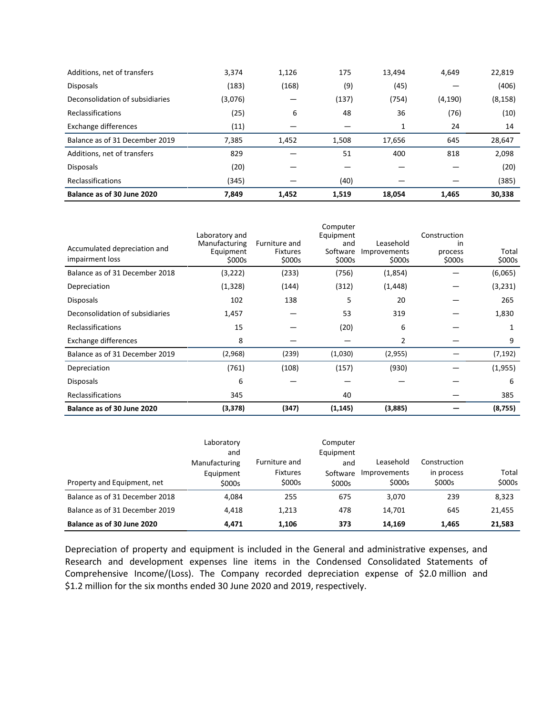| Additions, net of transfers     | 3,374   | 1,126 | 175   | 13.494 | 4,649    | 22,819   |
|---------------------------------|---------|-------|-------|--------|----------|----------|
| <b>Disposals</b>                | (183)   | (168) | (9)   | (45)   |          | (406)    |
| Deconsolidation of subsidiaries | (3,076) |       | (137) | (754)  | (4, 190) | (8, 158) |
| <b>Reclassifications</b>        | (25)    | 6     | 48    | 36     | (76)     | (10)     |
| Exchange differences            | (11)    |       |       | 1      | 24       | 14       |
|                                 |         |       |       |        |          |          |
| Balance as of 31 December 2019  | 7,385   | 1,452 | 1,508 | 17,656 | 645      | 28,647   |
| Additions, net of transfers     | 829     |       | 51    | 400    | 818      | 2,098    |
| <b>Disposals</b>                | (20)    |       |       |        |          | (20)     |
| <b>Reclassifications</b>        | (345)   |       | (40)  |        |          | (385)    |

| Accumulated depreciation and<br>impairment loss | Laboratory and<br>Manufacturing<br>Equipment<br>\$000s | Furniture and<br><b>Fixtures</b><br>\$000s | Computer<br>Equipment<br>and<br>Software<br>\$000s | Leasehold<br>Improvements<br>\$000s | Construction<br>in<br>process<br>\$000s | Total<br>\$000s |
|-------------------------------------------------|--------------------------------------------------------|--------------------------------------------|----------------------------------------------------|-------------------------------------|-----------------------------------------|-----------------|
| Balance as of 31 December 2018                  | (3,222)                                                | (233)                                      | (756)                                              | (1,854)                             |                                         | (6,065)         |
| Depreciation                                    | (1, 328)                                               | (144)                                      | (312)                                              | (1, 448)                            |                                         | (3,231)         |
| <b>Disposals</b>                                | 102                                                    | 138                                        | 5                                                  | 20                                  |                                         | 265             |
| Deconsolidation of subsidiaries                 | 1,457                                                  |                                            | 53                                                 | 319                                 |                                         | 1,830           |
| Reclassifications                               | 15                                                     |                                            | (20)                                               | 6                                   |                                         |                 |
| Exchange differences                            | 8                                                      |                                            |                                                    | 2                                   |                                         | 9               |
| Balance as of 31 December 2019                  | (2,968)                                                | (239)                                      | (1,030)                                            | (2,955)                             |                                         | (7, 192)        |
| Depreciation                                    | (761)                                                  | (108)                                      | (157)                                              | (930)                               |                                         | (1,955)         |
| <b>Disposals</b>                                | 6                                                      |                                            |                                                    |                                     |                                         | 6               |
| Reclassifications                               | 345                                                    |                                            | 40                                                 |                                     |                                         | 385             |
| Balance as of 30 June 2020                      | (3, 378)                                               | (347)                                      | (1, 145)                                           | (3,885)                             |                                         | (8,755)         |

| Property and Equipment, net    | Laboratory<br>and<br>Manufacturing<br>Equipment<br>\$000s | Furniture and<br><b>Fixtures</b><br>\$000s | Computer<br>Equipment<br>and<br>Software<br>\$000s | Leasehold<br>Improvements<br>\$000s | Construction<br>in process<br>\$000s | Total<br>\$000s |
|--------------------------------|-----------------------------------------------------------|--------------------------------------------|----------------------------------------------------|-------------------------------------|--------------------------------------|-----------------|
| Balance as of 31 December 2018 | 4.084                                                     | 255                                        | 675                                                | 3.070                               | 239                                  | 8,323           |
| Balance as of 31 December 2019 | 4.418                                                     | 1,213                                      | 478                                                | 14,701                              | 645                                  | 21,455          |
| Balance as of 30 June 2020     | 4.471                                                     | 1.106                                      | 373                                                | 14.169                              | 1,465                                | 21,583          |

Depreciation of property and equipment is included in the General and administrative expenses, and Research and development expenses line items in the Condensed Consolidated Statements of Comprehensive Income/(Loss). The Company recorded depreciation expense of \$2.0 million and \$1.2 million for the six months ended 30 June 2020 and 2019, respectively.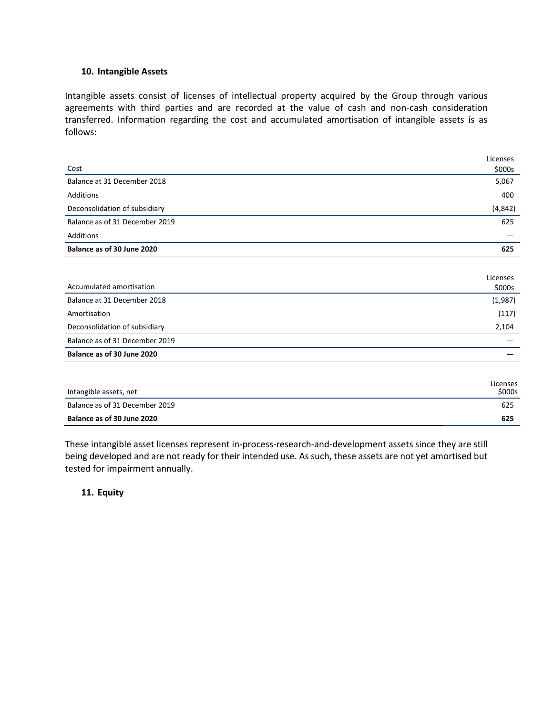# **10. Intangible Assets**

Intangible assets consist of licenses of intellectual property acquired by the Group through various agreements with third parties and are recorded at the value of cash and non-cash consideration transferred. Information regarding the cost and accumulated amortisation of intangible assets is as follows:

|                                | Licenses |
|--------------------------------|----------|
| Cost                           | \$000s   |
| Balance at 31 December 2018    | 5,067    |
| Additions                      | 400      |
| Deconsolidation of subsidiary  | (4, 842) |
| Balance as of 31 December 2019 | 625      |
| Additions                      |          |
| Balance as of 30 June 2020     | 625      |
|                                |          |
|                                | Licenses |
| Accumulated amortisation       | \$000s   |
| Balance at 31 December 2018    | (1,987)  |
| Amortisation                   | (117)    |
| Deconsolidation of subsidiary  | 2,104    |
| Balance as of 31 December 2019 |          |
| Balance as of 30 June 2020     |          |
|                                |          |
|                                | Licenses |
| Intangible assets, net         | \$000s   |
| Balance as of 31 December 2019 | 625      |
| Balance as of 30 June 2020     | 625      |

These intangible asset licenses represent in-process-research-and-development assets since they are still being developed and are not ready for their intended use. As such, these assets are not yet amortised but tested for impairment annually.

**11. Equity**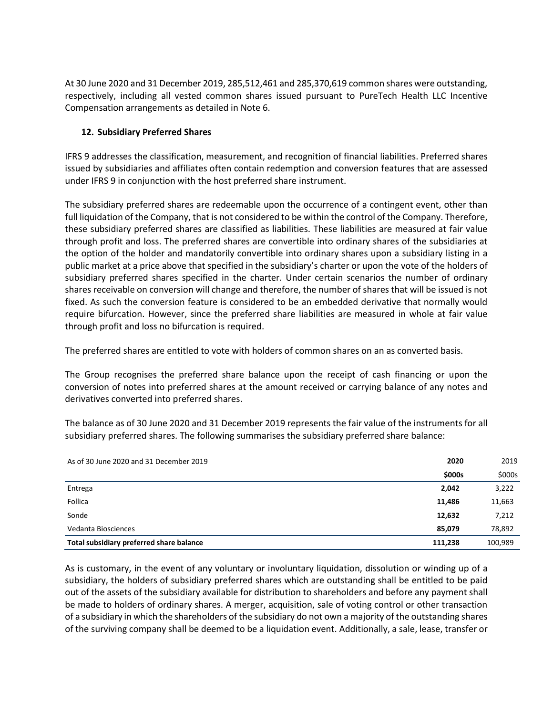At 30 June 2020 and 31 December 2019, 285,512,461 and 285,370,619 common shares were outstanding, respectively, including all vested common shares issued pursuant to PureTech Health LLC Incentive Compensation arrangements as detailed in Note 6.

# **12. Subsidiary Preferred Shares**

IFRS 9 addresses the classification, measurement, and recognition of financial liabilities. Preferred shares issued by subsidiaries and affiliates often contain redemption and conversion features that are assessed under IFRS 9 in conjunction with the host preferred share instrument.

The subsidiary preferred shares are redeemable upon the occurrence of a contingent event, other than full liquidation of the Company, that is not considered to be within the control of the Company. Therefore, these subsidiary preferred shares are classified as liabilities. These liabilities are measured at fair value through profit and loss. The preferred shares are convertible into ordinary shares of the subsidiaries at the option of the holder and mandatorily convertible into ordinary shares upon a subsidiary listing in a public market at a price above that specified in the subsidiary's charter or upon the vote of the holders of subsidiary preferred shares specified in the charter. Under certain scenarios the number of ordinary shares receivable on conversion will change and therefore, the number of shares that will be issued is not fixed. As such the conversion feature is considered to be an embedded derivative that normally would require bifurcation. However, since the preferred share liabilities are measured in whole at fair value through profit and loss no bifurcation is required.

The preferred shares are entitled to vote with holders of common shares on an as converted basis.

The Group recognises the preferred share balance upon the receipt of cash financing or upon the conversion of notes into preferred shares at the amount received or carrying balance of any notes and derivatives converted into preferred shares.

The balance as of 30 June 2020 and 31 December 2019 represents the fair value of the instruments for all subsidiary preferred shares. The following summarises the subsidiary preferred share balance:

| As of 30 June 2020 and 31 December 2019  |         | 2019    |
|------------------------------------------|---------|---------|
|                                          | \$000s  | \$000s  |
| Entrega                                  | 2,042   | 3,222   |
| Follica                                  | 11,486  | 11,663  |
| Sonde                                    | 12,632  | 7,212   |
| Vedanta Biosciences                      | 85,079  | 78,892  |
| Total subsidiary preferred share balance | 111,238 | 100,989 |

As is customary, in the event of any voluntary or involuntary liquidation, dissolution or winding up of a subsidiary, the holders of subsidiary preferred shares which are outstanding shall be entitled to be paid out of the assets of the subsidiary available for distribution to shareholders and before any payment shall be made to holders of ordinary shares. A merger, acquisition, sale of voting control or other transaction of a subsidiary in which the shareholders of the subsidiary do not own a majority of the outstanding shares of the surviving company shall be deemed to be a liquidation event. Additionally, a sale, lease, transfer or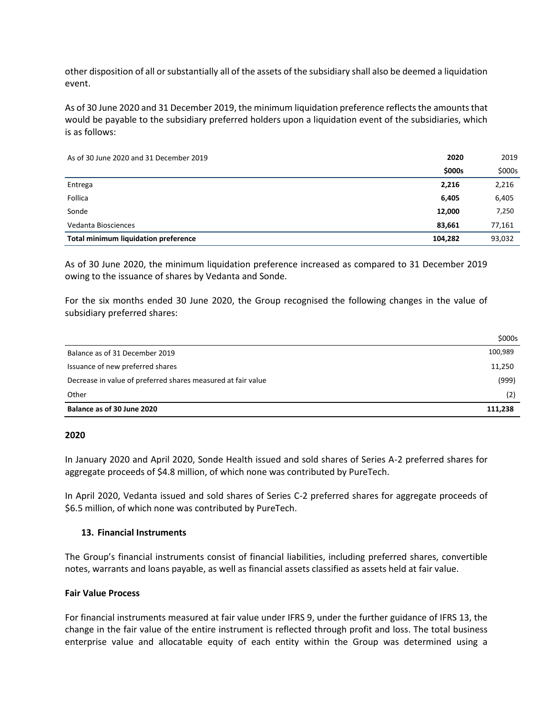other disposition of all or substantially all of the assets of the subsidiary shall also be deemed a liquidation event.

As of 30 June 2020 and 31 December 2019, the minimum liquidation preference reflects the amounts that would be payable to the subsidiary preferred holders upon a liquidation event of the subsidiaries, which is as follows:

As of 30 June 2020 and 31 December 2019 **2020** 2019

|                                      | \$000s  | \$000s |
|--------------------------------------|---------|--------|
| Entrega                              | 2,216   | 2,216  |
| Follica                              | 6,405   | 6,405  |
| Sonde                                | 12,000  | 7,250  |
| Vedanta Biosciences                  | 83,661  | 77,161 |
| Total minimum liquidation preference | 104,282 | 93,032 |

As of 30 June 2020, the minimum liquidation preference increased as compared to 31 December 2019 owing to the issuance of shares by Vedanta and Sonde.

For the six months ended 30 June 2020, the Group recognised the following changes in the value of subsidiary preferred shares:

|                                                              | \$000s  |
|--------------------------------------------------------------|---------|
| Balance as of 31 December 2019                               | 100,989 |
| Issuance of new preferred shares                             | 11,250  |
| Decrease in value of preferred shares measured at fair value | (999)   |
| Other                                                        | (2)     |
| Balance as of 30 June 2020                                   | 111,238 |

#### **2020**

In January 2020 and April 2020, Sonde Health issued and sold shares of Series A-2 preferred shares for aggregate proceeds of \$4.8 million, of which none was contributed by PureTech.

In April 2020, Vedanta issued and sold shares of Series C-2 preferred shares for aggregate proceeds of \$6.5 million, of which none was contributed by PureTech.

#### **13. Financial Instruments**

The Group's financial instruments consist of financial liabilities, including preferred shares, convertible notes, warrants and loans payable, as well as financial assets classified as assets held at fair value.

## **Fair Value Process**

For financial instruments measured at fair value under IFRS 9, under the further guidance of IFRS 13, the change in the fair value of the entire instrument is reflected through profit and loss. The total business enterprise value and allocatable equity of each entity within the Group was determined using a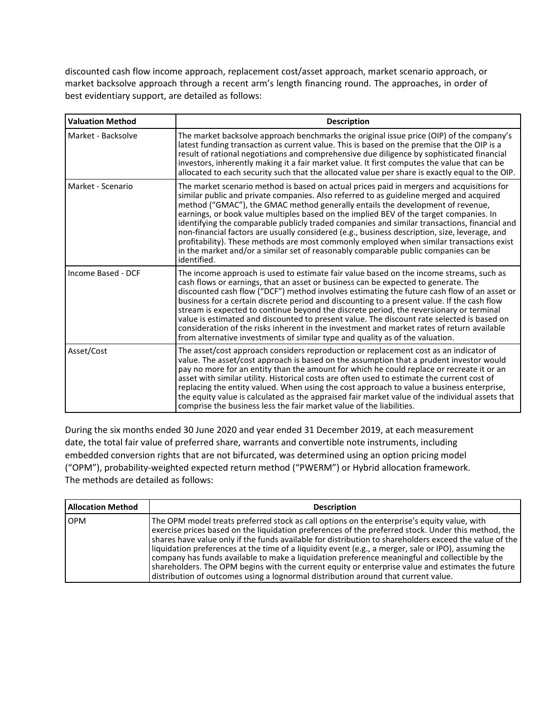discounted cash flow income approach, replacement cost/asset approach, market scenario approach, or market backsolve approach through a recent arm's length financing round. The approaches, in order of best evidentiary support, are detailed as follows:

| <b>Valuation Method</b> | <b>Description</b>                                                                                                                                                                                                                                                                                                                                                                                                                                                                                                                                                                                                                                                                                                                                                  |
|-------------------------|---------------------------------------------------------------------------------------------------------------------------------------------------------------------------------------------------------------------------------------------------------------------------------------------------------------------------------------------------------------------------------------------------------------------------------------------------------------------------------------------------------------------------------------------------------------------------------------------------------------------------------------------------------------------------------------------------------------------------------------------------------------------|
| Market - Backsolve      | The market backsolve approach benchmarks the original issue price (OIP) of the company's<br>latest funding transaction as current value. This is based on the premise that the OIP is a<br>result of rational negotiations and comprehensive due diligence by sophisticated financial<br>investors, inherently making it a fair market value. It first computes the value that can be<br>allocated to each security such that the allocated value per share is exactly equal to the OIP.                                                                                                                                                                                                                                                                            |
| Market - Scenario       | The market scenario method is based on actual prices paid in mergers and acquisitions for<br>similar public and private companies. Also referred to as guideline merged and acquired<br>method ("GMAC"), the GMAC method generally entails the development of revenue,<br>earnings, or book value multiples based on the implied BEV of the target companies. In<br>identifying the comparable publicly traded companies and similar transactions, financial and<br>non-financial factors are usually considered (e.g., business description, size, leverage, and<br>profitability). These methods are most commonly employed when similar transactions exist<br>in the market and/or a similar set of reasonably comparable public companies can be<br>identified. |
| Income Based - DCF      | The income approach is used to estimate fair value based on the income streams, such as<br>cash flows or earnings, that an asset or business can be expected to generate. The<br>discounted cash flow ("DCF") method involves estimating the future cash flow of an asset or<br>business for a certain discrete period and discounting to a present value. If the cash flow<br>stream is expected to continue beyond the discrete period, the reversionary or terminal<br>value is estimated and discounted to present value. The discount rate selected is based on<br>consideration of the risks inherent in the investment and market rates of return available<br>from alternative investments of similar type and quality as of the valuation.                 |
| Asset/Cost              | The asset/cost approach considers reproduction or replacement cost as an indicator of<br>value. The asset/cost approach is based on the assumption that a prudent investor would<br>pay no more for an entity than the amount for which he could replace or recreate it or an<br>asset with similar utility. Historical costs are often used to estimate the current cost of<br>replacing the entity valued. When using the cost approach to value a business enterprise,<br>the equity value is calculated as the appraised fair market value of the individual assets that<br>comprise the business less the fair market value of the liabilities.                                                                                                                |

During the six months ended 30 June 2020 and year ended 31 December 2019, at each measurement date, the total fair value of preferred share, warrants and convertible note instruments, including embedded conversion rights that are not bifurcated, was determined using an option pricing model ("OPM"), probability-weighted expected return method ("PWERM") or Hybrid allocation framework. The methods are detailed as follows:

| <b>Allocation Method</b> | <b>Description</b>                                                                                                                                                                                                                                                                                                                                                                                                                                                                                                                                                                                                                                                                                                |
|--------------------------|-------------------------------------------------------------------------------------------------------------------------------------------------------------------------------------------------------------------------------------------------------------------------------------------------------------------------------------------------------------------------------------------------------------------------------------------------------------------------------------------------------------------------------------------------------------------------------------------------------------------------------------------------------------------------------------------------------------------|
| <b>OPM</b>               | The OPM model treats preferred stock as call options on the enterprise's equity value, with<br>exercise prices based on the liquidation preferences of the preferred stock. Under this method, the<br>shares have value only if the funds available for distribution to shareholders exceed the value of the<br>liquidation preferences at the time of a liquidity event (e.g., a merger, sale or IPO), assuming the<br>company has funds available to make a liquidation preference meaningful and collectible by the<br>shareholders. The OPM begins with the current equity or enterprise value and estimates the future<br>distribution of outcomes using a lognormal distribution around that current value. |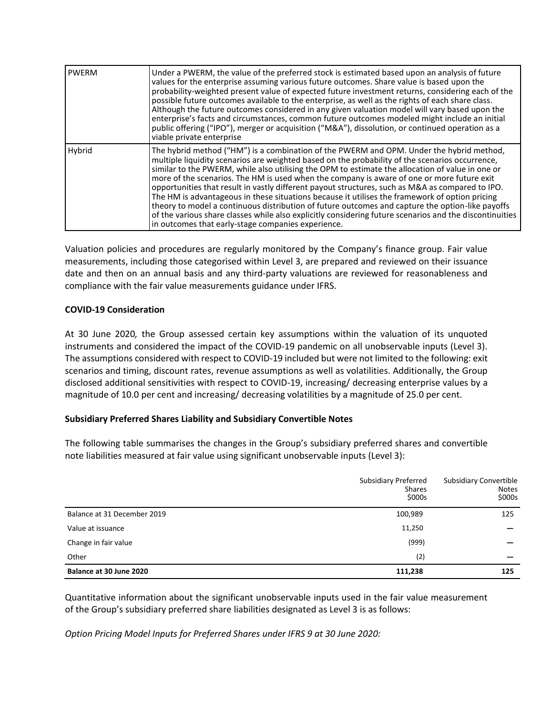| <b>PWERM</b> | Under a PWERM, the value of the preferred stock is estimated based upon an analysis of future<br>values for the enterprise assuming various future outcomes. Share value is based upon the<br>probability-weighted present value of expected future investment returns, considering each of the<br>possible future outcomes available to the enterprise, as well as the rights of each share class.<br>Although the future outcomes considered in any given valuation model will vary based upon the<br>enterprise's facts and circumstances, common future outcomes modeled might include an initial<br>public offering ("IPO"), merger or acquisition ("M&A"), dissolution, or continued operation as a<br>viable private enterprise                                                                                                                                   |
|--------------|--------------------------------------------------------------------------------------------------------------------------------------------------------------------------------------------------------------------------------------------------------------------------------------------------------------------------------------------------------------------------------------------------------------------------------------------------------------------------------------------------------------------------------------------------------------------------------------------------------------------------------------------------------------------------------------------------------------------------------------------------------------------------------------------------------------------------------------------------------------------------|
| Hybrid       | The hybrid method ("HM") is a combination of the PWERM and OPM. Under the hybrid method,<br>multiple liquidity scenarios are weighted based on the probability of the scenarios occurrence,<br>similar to the PWERM, while also utilising the OPM to estimate the allocation of value in one or<br>more of the scenarios. The HM is used when the company is aware of one or more future exit<br>opportunities that result in vastly different payout structures, such as M&A as compared to IPO.<br>The HM is advantageous in these situations because it utilises the framework of option pricing<br>theory to model a continuous distribution of future outcomes and capture the option-like payoffs<br>of the various share classes while also explicitly considering future scenarios and the discontinuities<br>in outcomes that early-stage companies experience. |

Valuation policies and procedures are regularly monitored by the Company's finance group. Fair value measurements, including those categorised within Level 3, are prepared and reviewed on their issuance date and then on an annual basis and any third-party valuations are reviewed for reasonableness and compliance with the fair value measurements guidance under IFRS.

# **COVID-19 Consideration**

At 30 June 2020*,* the Group assessed certain key assumptions within the valuation of its unquoted instruments and considered the impact of the COVID-19 pandemic on all unobservable inputs (Level 3). The assumptions considered with respect to COVID-19 included but were not limited to the following: exit scenarios and timing, discount rates, revenue assumptions as well as volatilities. Additionally, the Group disclosed additional sensitivities with respect to COVID-19, increasing/ decreasing enterprise values by a magnitude of 10.0 per cent and increasing/ decreasing volatilities by a magnitude of 25.0 per cent.

# **Subsidiary Preferred Shares Liability and Subsidiary Convertible Notes**

The following table summarises the changes in the Group's subsidiary preferred shares and convertible note liabilities measured at fair value using significant unobservable inputs (Level 3):

|                             | <b>Subsidiary Preferred</b><br><b>Shares</b><br>\$000s | <b>Subsidiary Convertible</b><br><b>Notes</b><br>\$000s |
|-----------------------------|--------------------------------------------------------|---------------------------------------------------------|
| Balance at 31 December 2019 | 100,989                                                | 125                                                     |
| Value at issuance           | 11,250                                                 |                                                         |
| Change in fair value        | (999)                                                  |                                                         |
| Other                       | (2)                                                    |                                                         |
| Balance at 30 June 2020     | 111,238                                                | 125                                                     |

Quantitative information about the significant unobservable inputs used in the fair value measurement of the Group's subsidiary preferred share liabilities designated as Level 3 is as follows:

*Option Pricing Model Inputs for Preferred Shares under IFRS 9 at 30 June 2020:*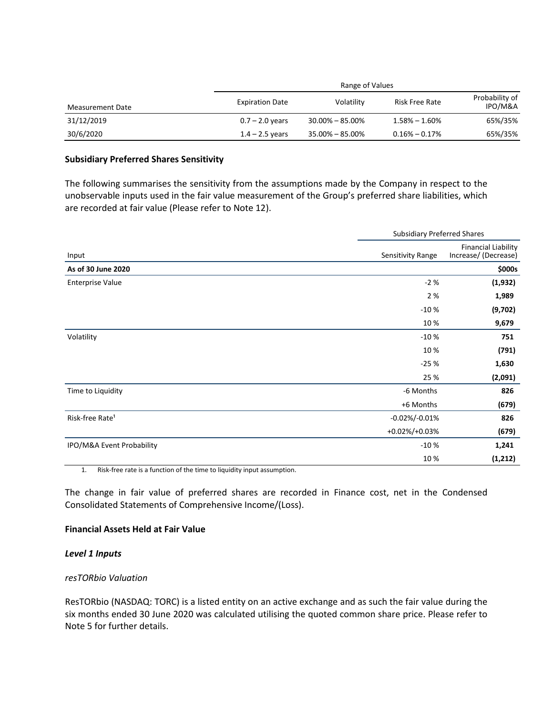|                  |                        | Range of Values     |                       |                           |
|------------------|------------------------|---------------------|-----------------------|---------------------------|
| Measurement Date | <b>Expiration Date</b> | Volatility          | <b>Risk Free Rate</b> | Probability of<br>IPO/M&A |
| 31/12/2019       | $0.7 - 2.0$ years      | $30.00\% - 85.00\%$ | $1.58\% - 1.60\%$     | 65%/35%                   |
| 30/6/2020        | $1.4 - 2.5$ years      | $35.00\% - 85.00\%$ | $0.16\% - 0.17\%$     | 65%/35%                   |

#### **Subsidiary Preferred Shares Sensitivity**

The following summarises the sensitivity from the assumptions made by the Company in respect to the unobservable inputs used in the fair value measurement of the Group's preferred share liabilities, which are recorded at fair value (Please refer to Note 12).

| Input                       |                   | <b>Subsidiary Preferred Shares</b>                 |  |
|-----------------------------|-------------------|----------------------------------------------------|--|
|                             | Sensitivity Range | <b>Financial Liability</b><br>Increase/ (Decrease) |  |
| As of 30 June 2020          |                   | \$000s                                             |  |
| <b>Enterprise Value</b>     | $-2%$             | (1, 932)                                           |  |
|                             | 2%                | 1,989                                              |  |
|                             | $-10%$            | (9,702)                                            |  |
|                             | 10%               | 9,679                                              |  |
| Volatility                  | $-10%$            | 751                                                |  |
|                             | 10%               | (791)                                              |  |
|                             | $-25%$            | 1,630                                              |  |
|                             | 25 %              | (2,091)                                            |  |
| Time to Liquidity           | -6 Months         | 826                                                |  |
|                             | +6 Months         | (679)                                              |  |
| Risk-free Rate <sup>1</sup> | $-0.02\%/0.01\%$  | 826                                                |  |
|                             | +0.02%/+0.03%     | (679)                                              |  |
| IPO/M&A Event Probability   | $-10%$            | 1,241                                              |  |
|                             | 10%               | (1, 212)                                           |  |

1. Risk-free rate is a function of the time to liquidity input assumption.

The change in fair value of preferred shares are recorded in Finance cost, net in the Condensed Consolidated Statements of Comprehensive Income/(Loss).

## **Financial Assets Held at Fair Value**

#### *Level 1 Inputs*

#### *resTORbio Valuation*

ResTORbio (NASDAQ: TORC) is a listed entity on an active exchange and as such the fair value during the six months ended 30 June 2020 was calculated utilising the quoted common share price. Please refer to Note 5 for further details.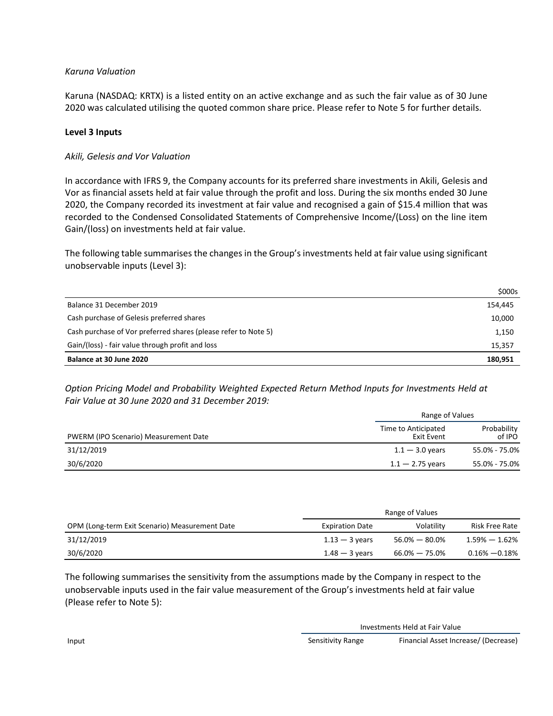# *Karuna Valuation*

Karuna (NASDAQ: KRTX) is a listed entity on an active exchange and as such the fair value as of 30 June 2020 was calculated utilising the quoted common share price. Please refer to Note 5 for further details.

# **Level 3 Inputs**

# *Akili, Gelesis and Vor Valuation*

In accordance with IFRS 9, the Company accounts for its preferred share investments in Akili, Gelesis and Vor as financial assets held at fair value through the profit and loss. During the six months ended 30 June 2020, the Company recorded its investment at fair value and recognised a gain of \$15.4 million that was recorded to the Condensed Consolidated Statements of Comprehensive Income/(Loss) on the line item Gain/(loss) on investments held at fair value.

The following table summarises the changes in the Group's investments held at fair value using significant unobservable inputs (Level 3):

|                                                                | \$000s  |
|----------------------------------------------------------------|---------|
| Balance 31 December 2019                                       | 154,445 |
| Cash purchase of Gelesis preferred shares                      | 10,000  |
| Cash purchase of Vor preferred shares (please refer to Note 5) | 1,150   |
| Gain/(loss) - fair value through profit and loss               | 15,357  |
| Balance at 30 June 2020                                        | 180.951 |

*Option Pricing Model and Probability Weighted Expected Return Method Inputs for Investments Held at Fair Value at 30 June 2020 and 31 December 2019:*

|                                       | Range of Values                   |                       |
|---------------------------------------|-----------------------------------|-----------------------|
| PWERM (IPO Scenario) Measurement Date | Time to Anticipated<br>Exit Event | Probability<br>of IPO |
| 31/12/2019                            | $1.1 - 3.0$ years                 | 55.0% - 75.0%         |
| 30/6/2020                             | $1.1 - 2.75$ years                | 55.0% - 75.0%         |

|                                                | Range of Values        |                   |                    |
|------------------------------------------------|------------------------|-------------------|--------------------|
| OPM (Long-term Exit Scenario) Measurement Date | <b>Expiration Date</b> | Volatility        | Risk Free Rate     |
| 31/12/2019                                     | $1.13 - 3$ years       | 56.0% — 80.0%     | $1.59\% - 1.62\%$  |
| 30/6/2020                                      | $1.48 - 3$ vears       | $66.0\% - 75.0\%$ | $0.16\%$ $-0.18\%$ |

The following summarises the sensitivity from the assumptions made by the Company in respect to the unobservable inputs used in the fair value measurement of the Group's investments held at fair value (Please refer to Note 5):

Investments Held at Fair Value

Input Sensitivity Range Financial Asset Increase/ (Decrease)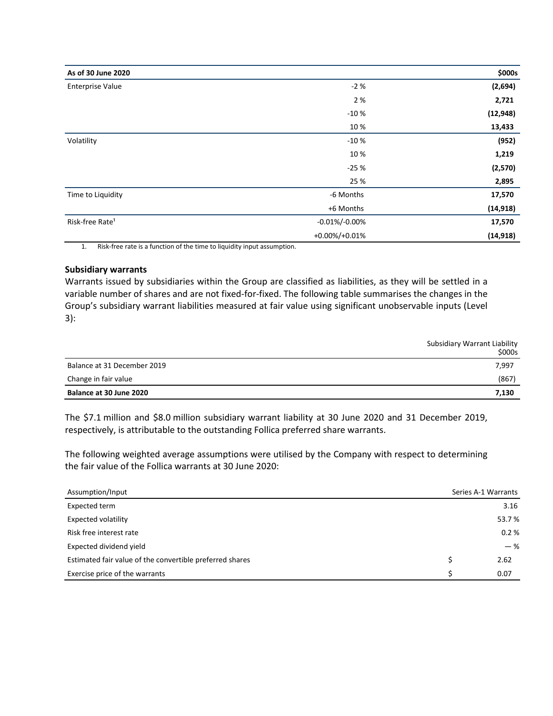| As of 30 June 2020          |                   | \$000s    |
|-----------------------------|-------------------|-----------|
| <b>Enterprise Value</b>     | $-2%$             | (2,694)   |
|                             | 2 %               | 2,721     |
|                             | $-10%$            | (12, 948) |
|                             | 10%               | 13,433    |
| Volatility                  | $-10%$            | (952)     |
|                             | 10%               | 1,219     |
|                             | $-25%$            | (2,570)   |
|                             | 25 %              | 2,895     |
| Time to Liquidity           | -6 Months         | 17,570    |
|                             | +6 Months         | (14, 918) |
| Risk-free Rate <sup>1</sup> | $-0.01\%/0.00\%$  | 17,570    |
|                             | $+0.00\%/+0.01\%$ | (14, 918) |

1. Risk-free rate is a function of the time to liquidity input assumption.

#### **Subsidiary warrants**

Warrants issued by subsidiaries within the Group are classified as liabilities, as they will be settled in a variable number of shares and are not fixed-for-fixed. The following table summarises the changes in the Group's subsidiary warrant liabilities measured at fair value using significant unobservable inputs (Level 3):

|                             | Subsidiary Warrant Liability<br>\$000s |
|-----------------------------|----------------------------------------|
| Balance at 31 December 2019 | 7,997                                  |
| Change in fair value        | (867)                                  |
| Balance at 30 June 2020     | 7,130                                  |

The \$7.1 million and \$8.0 million subsidiary warrant liability at 30 June 2020 and 31 December 2019, respectively, is attributable to the outstanding Follica preferred share warrants.

The following weighted average assumptions were utilised by the Company with respect to determining the fair value of the Follica warrants at 30 June 2020:

| Assumption/Input                                         | Series A-1 Warrants |
|----------------------------------------------------------|---------------------|
| Expected term                                            | 3.16                |
| <b>Expected volatility</b>                               | 53.7%               |
| Risk free interest rate                                  | 0.2%                |
| Expected dividend yield                                  | $-$ %               |
| Estimated fair value of the convertible preferred shares | 2.62                |
| Exercise price of the warrants                           | 0.07                |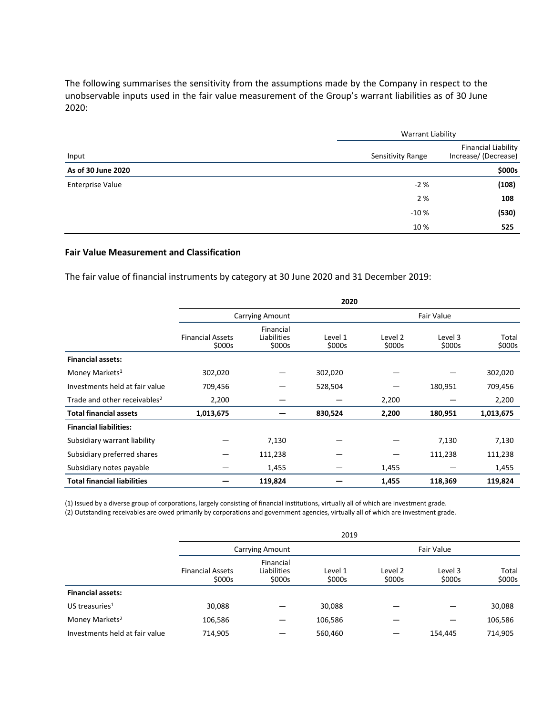The following summarises the sensitivity from the assumptions made by the Company in respect to the unobservable inputs used in the fair value measurement of the Group's warrant liabilities as of 30 June 2020:

|                    |                   | <b>Warrant Liability</b>                           |  |  |
|--------------------|-------------------|----------------------------------------------------|--|--|
| Input              | Sensitivity Range | <b>Financial Liability</b><br>Increase/ (Decrease) |  |  |
| As of 30 June 2020 |                   | \$000s                                             |  |  |
| Enterprise Value   | $-2%$             | (108)                                              |  |  |
|                    | 2 %               | 108                                                |  |  |
|                    | $-10%$            | (530)                                              |  |  |
|                    | 10%               | 525                                                |  |  |

## **Fair Value Measurement and Classification**

The fair value of financial instruments by category at 30 June 2020 and 31 December 2019:

|                                          |                                   |                                    | 2020              |                   |                   |                 |
|------------------------------------------|-----------------------------------|------------------------------------|-------------------|-------------------|-------------------|-----------------|
|                                          |                                   | <b>Carrying Amount</b>             |                   |                   | Fair Value        |                 |
|                                          | <b>Financial Assets</b><br>\$000s | Financial<br>Liabilities<br>\$000s | Level 1<br>\$000s | Level 2<br>\$000s | Level 3<br>\$000s | Total<br>\$000s |
| <b>Financial assets:</b>                 |                                   |                                    |                   |                   |                   |                 |
| Money Markets <sup>1</sup>               | 302,020                           |                                    | 302,020           |                   |                   | 302,020         |
| Investments held at fair value           | 709,456                           |                                    | 528,504           |                   | 180,951           | 709,456         |
| Trade and other receivables <sup>2</sup> | 2,200                             |                                    |                   | 2,200             |                   | 2,200           |
| <b>Total financial assets</b>            | 1,013,675                         |                                    | 830,524           | 2,200             | 180,951           | 1,013,675       |
| <b>Financial liabilities:</b>            |                                   |                                    |                   |                   |                   |                 |
| Subsidiary warrant liability             |                                   | 7,130                              |                   |                   | 7,130             | 7,130           |
| Subsidiary preferred shares              |                                   | 111,238                            |                   |                   | 111,238           | 111,238         |
| Subsidiary notes payable                 |                                   | 1,455                              |                   | 1,455             |                   | 1,455           |
| <b>Total financial liabilities</b>       |                                   | 119,824                            |                   | 1,455             | 118,369           | 119,824         |

(1) Issued by a diverse group of corporations, largely consisting of financial institutions, virtually all of which are investment grade. (2) Outstanding receivables are owed primarily by corporations and government agencies, virtually all of which are investment grade.

|                                |                                   |                                    | 2019              |                   |                   |                 |
|--------------------------------|-----------------------------------|------------------------------------|-------------------|-------------------|-------------------|-----------------|
|                                |                                   | <b>Carrying Amount</b>             |                   |                   | Fair Value        |                 |
|                                | <b>Financial Assets</b><br>\$000s | Financial<br>Liabilities<br>\$000s | Level 1<br>\$000s | Level 2<br>\$000s | Level 3<br>\$000s | Total<br>\$000s |
| <b>Financial assets:</b>       |                                   |                                    |                   |                   |                   |                 |
| US treasuries $1$              | 30,088                            |                                    | 30,088            |                   |                   | 30,088          |
| Money Markets <sup>2</sup>     | 106,586                           |                                    | 106,586           |                   |                   | 106,586         |
| Investments held at fair value | 714,905                           |                                    | 560,460           |                   | 154.445           | 714.905         |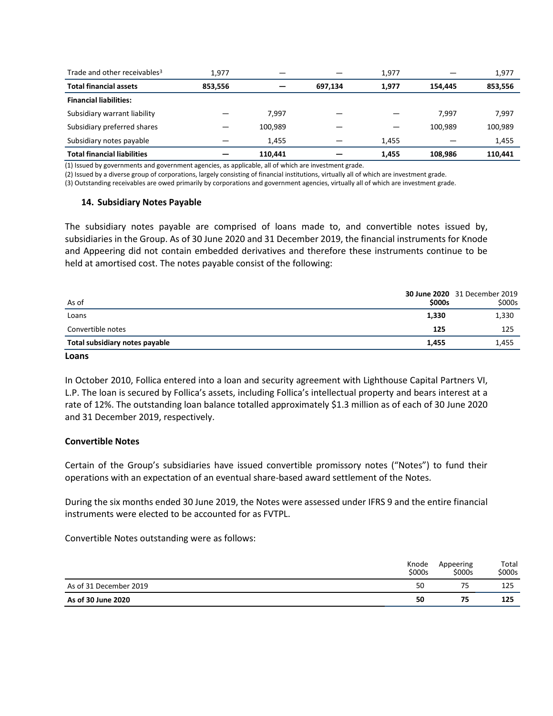| Trade and other receivables <sup>3</sup> | 1.977   |         |         | 1.977 |         | 1,977   |
|------------------------------------------|---------|---------|---------|-------|---------|---------|
| <b>Total financial assets</b>            | 853,556 |         | 697.134 | 1,977 | 154.445 | 853,556 |
| <b>Financial liabilities:</b>            |         |         |         |       |         |         |
| Subsidiary warrant liability             |         | 7,997   |         |       | 7.997   | 7,997   |
| Subsidiary preferred shares              |         | 100.989 |         |       | 100.989 | 100,989 |
| Subsidiary notes payable                 |         | 1.455   |         | 1.455 |         | 1,455   |
| <b>Total financial liabilities</b>       |         | 110.441 |         | 1,455 | 108.986 | 110.441 |

(1) Issued by governments and government agencies, as applicable, all of which are investment grade.

(2) Issued by a diverse group of corporations, largely consisting of financial institutions, virtually all of which are investment grade.

(3) Outstanding receivables are owed primarily by corporations and government agencies, virtually all of which are investment grade.

#### **14. Subsidiary Notes Payable**

The subsidiary notes payable are comprised of loans made to, and convertible notes issued by, subsidiaries in the Group. As of 30 June 2020 and 31 December 2019, the financial instruments for Knode and Appeering did not contain embedded derivatives and therefore these instruments continue to be held at amortised cost. The notes payable consist of the following:

| As of                          | \$000s | <b>30 June 2020</b> 31 December 2019<br>\$000s |
|--------------------------------|--------|------------------------------------------------|
| Loans                          | 1,330  | 1,330                                          |
| Convertible notes              | 125    | 125                                            |
| Total subsidiary notes payable | 1.455  | 1,455                                          |
|                                |        |                                                |

#### **Loans**

In October 2010, Follica entered into a loan and security agreement with Lighthouse Capital Partners VI, L.P. The loan is secured by Follica's assets, including Follica's intellectual property and bears interest at a rate of 12%. The outstanding loan balance totalled approximately \$1.3 million as of each of 30 June 2020 and 31 December 2019, respectively.

#### **Convertible Notes**

Certain of the Group's subsidiaries have issued convertible promissory notes ("Notes") to fund their operations with an expectation of an eventual share-based award settlement of the Notes.

During the six months ended 30 June 2019, the Notes were assessed under IFRS 9 and the entire financial instruments were elected to be accounted for as FVTPL.

Convertible Notes outstanding were as follows:

|                        | Knode<br>\$000s | Appeering<br>\$000s | Total<br>\$000s |
|------------------------|-----------------|---------------------|-----------------|
| As of 31 December 2019 | 50              |                     | 125             |
| As of 30 June 2020     | 50              | 75                  | 125             |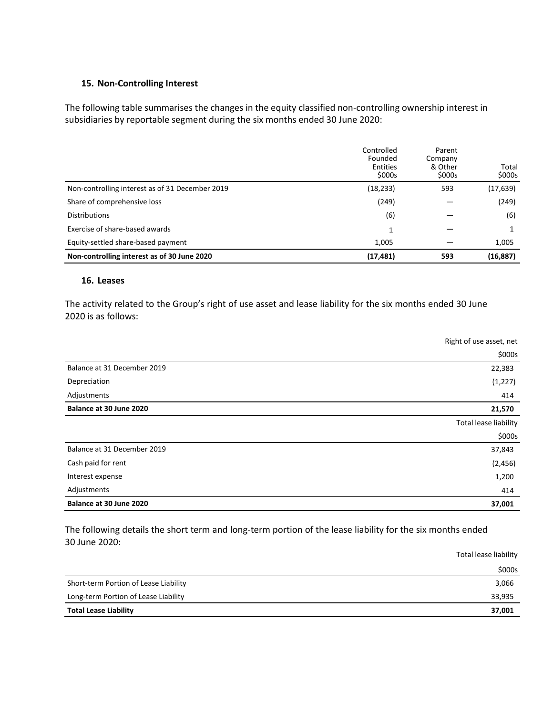## **15. Non-Controlling Interest**

The following table summarises the changes in the equity classified non-controlling ownership interest in subsidiaries by reportable segment during the six months ended 30 June 2020:

|                                                 | Controlled<br>Founded<br>Entities<br>\$000s | Parent<br>Company<br>& Other<br>\$000s | Total<br>\$000s |
|-------------------------------------------------|---------------------------------------------|----------------------------------------|-----------------|
| Non-controlling interest as of 31 December 2019 | (18, 233)                                   | 593                                    | (17, 639)       |
| Share of comprehensive loss                     | (249)                                       |                                        | (249)           |
| <b>Distributions</b>                            | (6)                                         |                                        | (6)             |
| Exercise of share-based awards                  |                                             |                                        |                 |
| Equity-settled share-based payment              | 1,005                                       |                                        | 1,005           |
| Non-controlling interest as of 30 June 2020     | (17, 481)                                   | 593                                    | (16, 887)       |

## **16. Leases**

The activity related to the Group's right of use asset and lease liability for the six months ended 30 June 2020 is as follows:

|                             | Right of use asset, net |
|-----------------------------|-------------------------|
|                             | \$000s                  |
| Balance at 31 December 2019 | 22,383                  |
| Depreciation                | (1, 227)                |
| Adjustments                 | 414                     |
| Balance at 30 June 2020     | 21,570                  |
|                             | Total lease liability   |
|                             | \$000s                  |
| Balance at 31 December 2019 | 37,843                  |
| Cash paid for rent          | (2, 456)                |
| Interest expense            | 1,200                   |
| Adjustments                 | 414                     |
| Balance at 30 June 2020     | 37,001                  |

The following details the short term and long-term portion of the lease liability for the six months ended 30 June 2020:

|                                       | Total lease liability |
|---------------------------------------|-----------------------|
|                                       | \$000s                |
| Short-term Portion of Lease Liability | 3,066                 |
| Long-term Portion of Lease Liability  | 33,935                |
| <b>Total Lease Liability</b>          | 37,001                |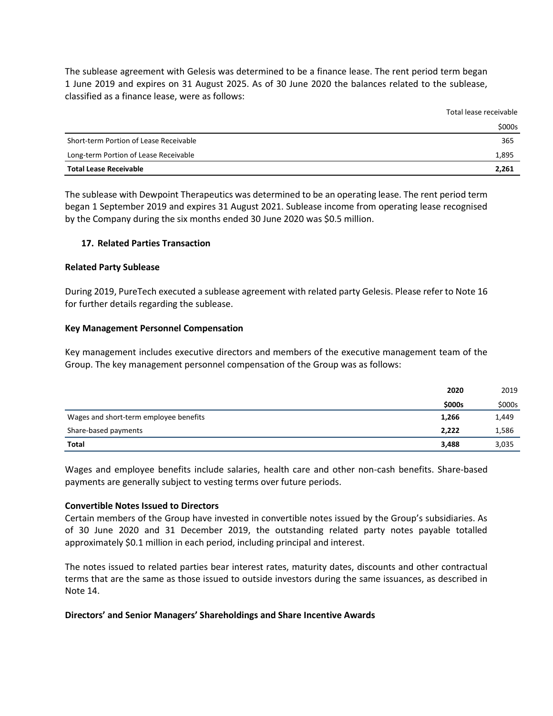The sublease agreement with Gelesis was determined to be a finance lease. The rent period term began 1 June 2019 and expires on 31 August 2025. As of 30 June 2020 the balances related to the sublease, classified as a finance lease, were as follows:

| <b>Total Lease Receivable</b>          | 2,261                  |
|----------------------------------------|------------------------|
| Long-term Portion of Lease Receivable  | 1,895                  |
| Short-term Portion of Lease Receivable | 365                    |
|                                        | \$000s                 |
|                                        | TULUI ILUJL TLULIVUDIL |

Total lease receivable

The sublease with Dewpoint Therapeutics was determined to be an operating lease. The rent period term began 1 September 2019 and expires 31 August 2021. Sublease income from operating lease recognised by the Company during the six months ended 30 June 2020 was \$0.5 million.

## **17. Related Parties Transaction**

#### **Related Party Sublease**

During 2019, PureTech executed a sublease agreement with related party Gelesis. Please refer to Note 16 for further details regarding the sublease.

#### **Key Management Personnel Compensation**

Key management includes executive directors and members of the executive management team of the Group. The key management personnel compensation of the Group was as follows:

|                                        | 2020   | 2019   |
|----------------------------------------|--------|--------|
|                                        | \$000s | \$000s |
| Wages and short-term employee benefits | 1,266  | 1,449  |
| Share-based payments                   | 2,222  | 1,586  |
| <b>Total</b>                           | 3,488  | 3,035  |

Wages and employee benefits include salaries, health care and other non-cash benefits. Share-based payments are generally subject to vesting terms over future periods.

#### **Convertible Notes Issued to Directors**

Certain members of the Group have invested in convertible notes issued by the Group's subsidiaries. As of 30 June 2020 and 31 December 2019, the outstanding related party notes payable totalled approximately \$0.1 million in each period, including principal and interest.

The notes issued to related parties bear interest rates, maturity dates, discounts and other contractual terms that are the same as those issued to outside investors during the same issuances, as described in Note 14.

#### **Directors' and Senior Managers' Shareholdings and Share Incentive Awards**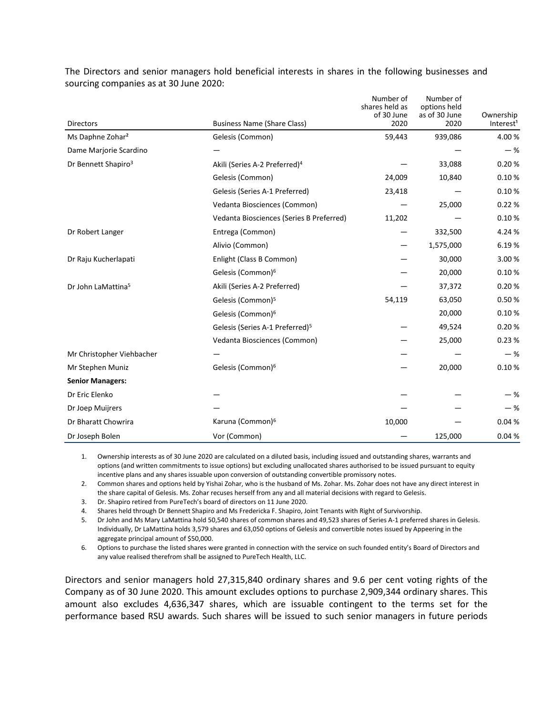The Directors and senior managers hold beneficial interests in shares in the following businesses and sourcing companies as at 30 June 2020:

| <b>Directors</b>                | <b>Business Name (Share Class)</b>          | Number of<br>shares held as<br>of 30 June<br>2020 | Number of<br>options held<br>as of 30 June<br>2020 | Ownership<br>Interest <sup>1</sup> |
|---------------------------------|---------------------------------------------|---------------------------------------------------|----------------------------------------------------|------------------------------------|
| Ms Daphne Zohar <sup>2</sup>    | Gelesis (Common)                            | 59,443                                            | 939,086                                            | 4.00%                              |
| Dame Marjorie Scardino          |                                             |                                                   |                                                    | $-$ %                              |
| Dr Bennett Shapiro <sup>3</sup> | Akili (Series A-2 Preferred) <sup>4</sup>   |                                                   | 33,088                                             | 0.20%                              |
|                                 | Gelesis (Common)                            | 24,009                                            | 10,840                                             | 0.10%                              |
|                                 | Gelesis (Series A-1 Preferred)              | 23,418                                            |                                                    | 0.10%                              |
|                                 | Vedanta Biosciences (Common)                |                                                   | 25,000                                             | 0.22%                              |
|                                 | Vedanta Biosciences (Series B Preferred)    | 11,202                                            |                                                    | 0.10%                              |
| Dr Robert Langer                | Entrega (Common)                            |                                                   | 332,500                                            | 4.24 %                             |
|                                 | Alivio (Common)                             |                                                   | 1,575,000                                          | 6.19%                              |
| Dr Raju Kucherlapati            | Enlight (Class B Common)                    |                                                   | 30,000                                             | 3.00 %                             |
|                                 | Gelesis (Common) <sup>6</sup>               |                                                   | 20,000                                             | 0.10%                              |
| Dr John LaMattina <sup>5</sup>  | Akili (Series A-2 Preferred)                |                                                   | 37,372                                             | 0.20%                              |
|                                 | Gelesis (Common) <sup>5</sup>               | 54,119                                            | 63,050                                             | 0.50%                              |
|                                 | Gelesis (Common) <sup>6</sup>               |                                                   | 20,000                                             | 0.10%                              |
|                                 | Gelesis (Series A-1 Preferred) <sup>5</sup> |                                                   | 49,524                                             | 0.20%                              |
|                                 | Vedanta Biosciences (Common)                |                                                   | 25,000                                             | 0.23%                              |
| Mr Christopher Viehbacher       |                                             |                                                   |                                                    | $-$ %                              |
| Mr Stephen Muniz                | Gelesis (Common) <sup>6</sup>               |                                                   | 20,000                                             | 0.10%                              |
| <b>Senior Managers:</b>         |                                             |                                                   |                                                    |                                    |
| Dr Eric Elenko                  |                                             |                                                   |                                                    | $-$ %                              |
| Dr Joep Muijrers                |                                             |                                                   |                                                    | $-$ %                              |
| Dr Bharatt Chowrira             | Karuna (Common) <sup>6</sup>                | 10,000                                            |                                                    | 0.04%                              |
| Dr Joseph Bolen                 | Vor (Common)                                |                                                   | 125,000                                            | 0.04%                              |

1. Ownership interests as of 30 June 2020 are calculated on a diluted basis, including issued and outstanding shares, warrants and options (and written commitments to issue options) but excluding unallocated shares authorised to be issued pursuant to equity incentive plans and any shares issuable upon conversion of outstanding convertible promissory notes.

2. Common shares and options held by Yishai Zohar, who is the husband of Ms. Zohar. Ms. Zohar does not have any direct interest in the share capital of Gelesis. Ms. Zohar recuses herself from any and all material decisions with regard to Gelesis.

3. Dr. Shapiro retired from PureTech's board of directors on 11 June 2020.

4. Shares held through Dr Bennett Shapiro and Ms Fredericka F. Shapiro, Joint Tenants with Right of Survivorship.

5. Dr John and Ms Mary LaMattina hold 50,540 shares of common shares and 49,523 shares of Series A-1 preferred shares in Gelesis. Individually, Dr LaMattina holds 3,579 shares and 63,050 options of Gelesis and convertible notes issued by Appeering in the aggregate principal amount of \$50,000.

6. Options to purchase the listed shares were granted in connection with the service on such founded entity's Board of Directors and any value realised therefrom shall be assigned to PureTech Health, LLC.

Directors and senior managers hold 27,315,840 ordinary shares and 9.6 per cent voting rights of the Company as of 30 June 2020. This amount excludes options to purchase 2,909,344 ordinary shares. This amount also excludes 4,636,347 shares, which are issuable contingent to the terms set for the performance based RSU awards. Such shares will be issued to such senior managers in future periods